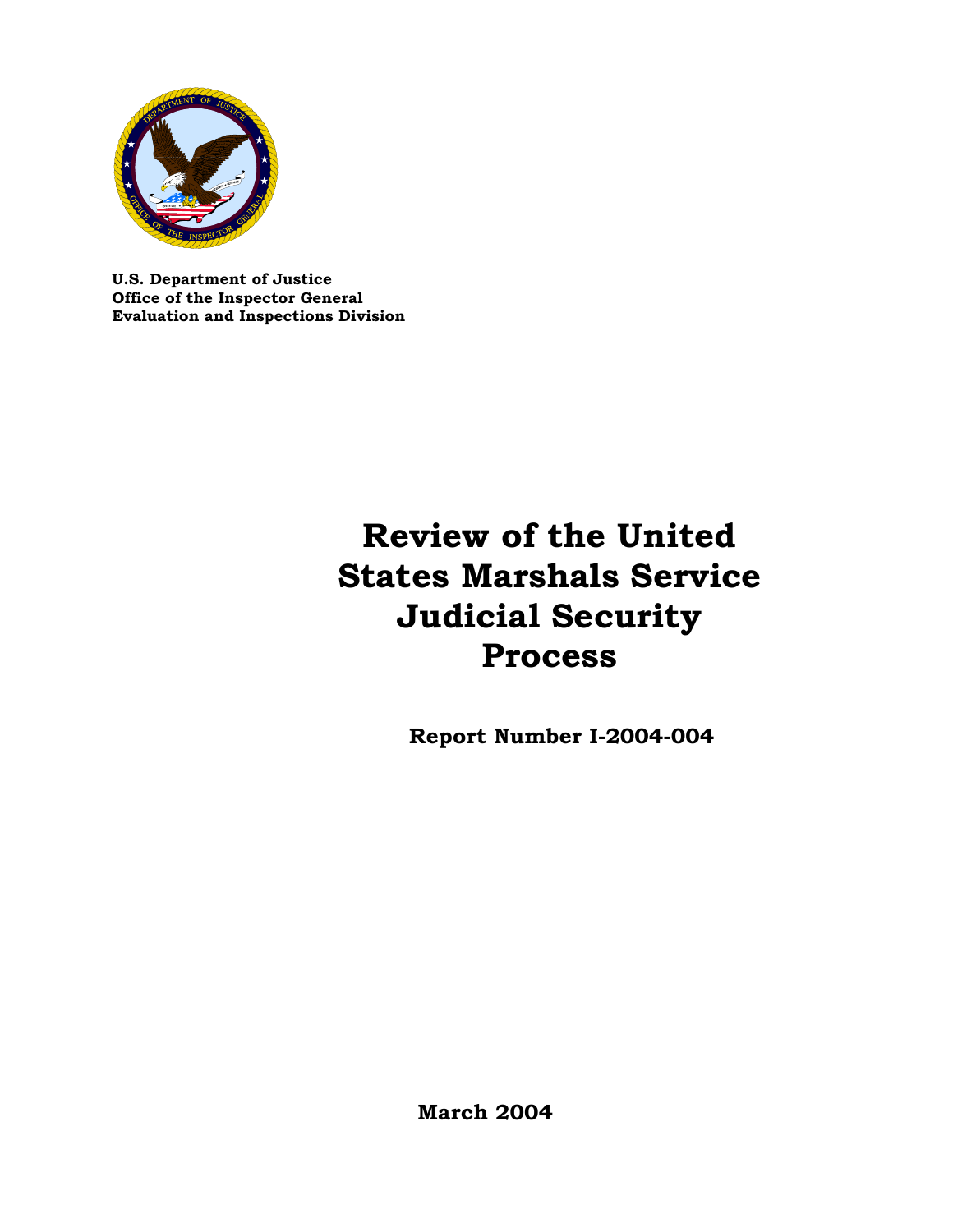

**U.S. Department of Justice Office of the Inspector General Evaluation and Inspections Division**

# **Review of the United States Marshals Service Judicial Security Process**

 **Report Number I-2004-004**

 **March 2004**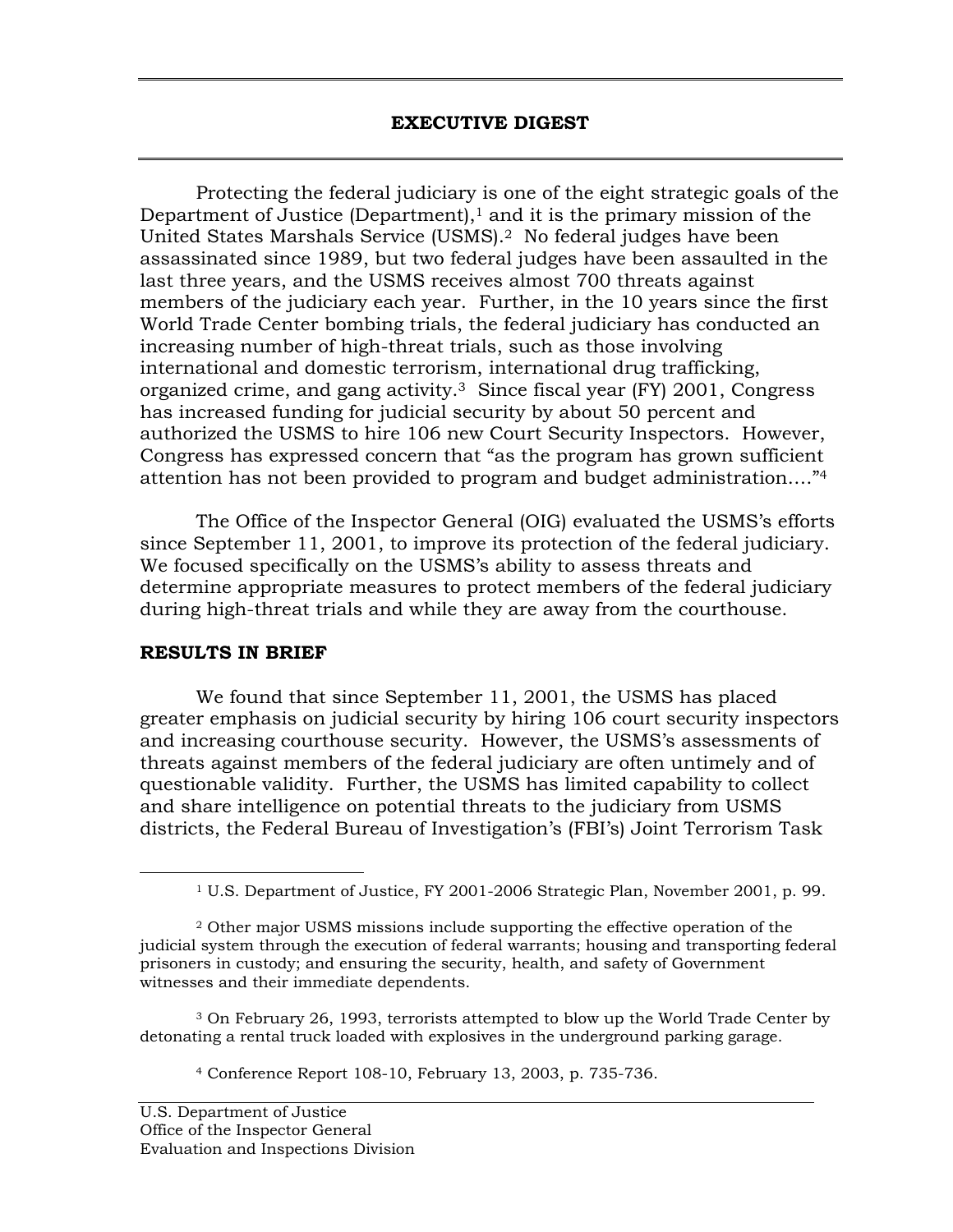Protecting the federal judiciary is one of the eight strategic goals of the Department of Justice (Department), $1$  and it is the primary mission of the United States Marshals Service (USMS).2 No federal judges have been assassinated since 1989, but two federal judges have been assaulted in the last three years, and the USMS receives almost 700 threats against members of the judiciary each year. Further, in the 10 years since the first World Trade Center bombing trials, the federal judiciary has conducted an increasing number of high-threat trials, such as those involving international and domestic terrorism, international drug trafficking, organized crime, and gang activity.3 Since fiscal year (FY) 2001, Congress has increased funding for judicial security by about 50 percent and authorized the USMS to hire 106 new Court Security Inspectors. However, Congress has expressed concern that "as the program has grown sufficient attention has not been provided to program and budget administration…."4

The Office of the Inspector General (OIG) evaluated the USMS's efforts since September 11, 2001, to improve its protection of the federal judiciary. We focused specifically on the USMS's ability to assess threats and determine appropriate measures to protect members of the federal judiciary during high-threat trials and while they are away from the courthouse.

## **RESULTS IN BRIEF**

We found that since September 11, 2001, the USMS has placed greater emphasis on judicial security by hiring 106 court security inspectors and increasing courthouse security. However, the USMS's assessments of threats against members of the federal judiciary are often untimely and of questionable validity. Further, the USMS has limited capability to collect and share intelligence on potential threats to the judiciary from USMS districts, the Federal Bureau of Investigation's (FBI's) Joint Terrorism Task

3 On February 26, 1993, terrorists attempted to blow up the World Trade Center by detonating a rental truck loaded with explosives in the underground parking garage.

4 Conference Report 108-10, February 13, 2003, p. 735-736.

 <sup>1</sup> U.S. Department of Justice, FY 2001-2006 Strategic Plan, November 2001, p. 99.

<sup>2</sup> Other major USMS missions include supporting the effective operation of the judicial system through the execution of federal warrants; housing and transporting federal prisoners in custody; and ensuring the security, health, and safety of Government witnesses and their immediate dependents.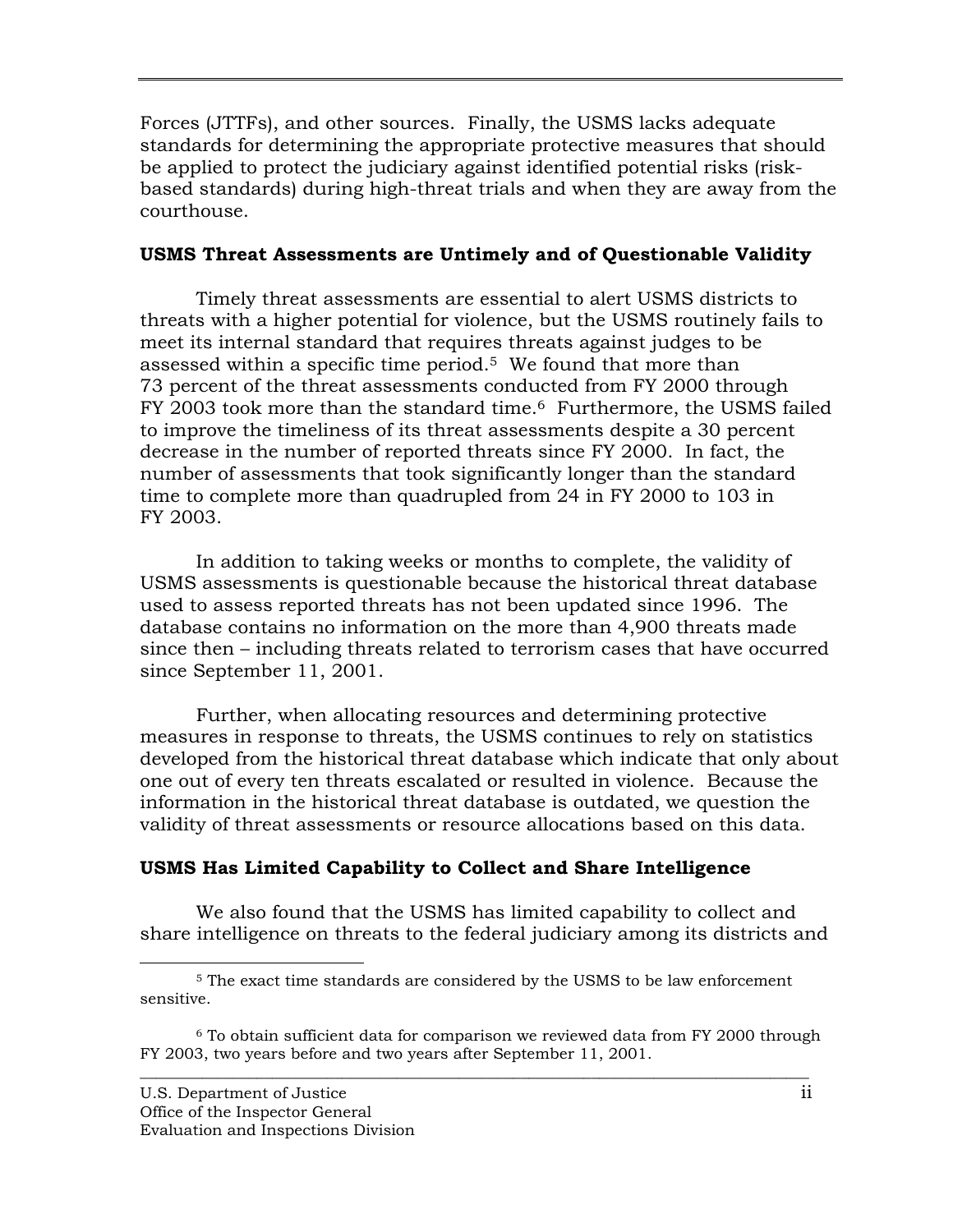Forces (JTTFs), and other sources. Finally, the USMS lacks adequate standards for determining the appropriate protective measures that should be applied to protect the judiciary against identified potential risks (riskbased standards) during high-threat trials and when they are away from the courthouse.

## **USMS Threat Assessments are Untimely and of Questionable Validity**

Timely threat assessments are essential to alert USMS districts to threats with a higher potential for violence, but the USMS routinely fails to meet its internal standard that requires threats against judges to be assessed within a specific time period.5 We found that more than 73 percent of the threat assessments conducted from FY 2000 through FY 2003 took more than the standard time.<sup>6</sup> Furthermore, the USMS failed to improve the timeliness of its threat assessments despite a 30 percent decrease in the number of reported threats since FY 2000. In fact, the number of assessments that took significantly longer than the standard time to complete more than quadrupled from 24 in FY 2000 to 103 in FY 2003.

In addition to taking weeks or months to complete, the validity of USMS assessments is questionable because the historical threat database used to assess reported threats has not been updated since 1996. The database contains no information on the more than 4,900 threats made since then – including threats related to terrorism cases that have occurred since September 11, 2001.

Further, when allocating resources and determining protective measures in response to threats, the USMS continues to rely on statistics developed from the historical threat database which indicate that only about one out of every ten threats escalated or resulted in violence. Because the information in the historical threat database is outdated, we question the validity of threat assessments or resource allocations based on this data.

# **USMS Has Limited Capability to Collect and Share Intelligence**

We also found that the USMS has limited capability to collect and share intelligence on threats to the federal judiciary among its districts and

 <sup>5</sup> The exact time standards are considered by the USMS to be law enforcement sensitive.

 $\overline{\phantom{a}}$  ,  $\overline{\phantom{a}}$  ,  $\overline{\phantom{a}}$  ,  $\overline{\phantom{a}}$  ,  $\overline{\phantom{a}}$  ,  $\overline{\phantom{a}}$  ,  $\overline{\phantom{a}}$  ,  $\overline{\phantom{a}}$  ,  $\overline{\phantom{a}}$  ,  $\overline{\phantom{a}}$  ,  $\overline{\phantom{a}}$  ,  $\overline{\phantom{a}}$  ,  $\overline{\phantom{a}}$  ,  $\overline{\phantom{a}}$  ,  $\overline{\phantom{a}}$  ,  $\overline{\phantom{a}}$ 6 To obtain sufficient data for comparison we reviewed data from FY 2000 through FY 2003, two years before and two years after September 11, 2001.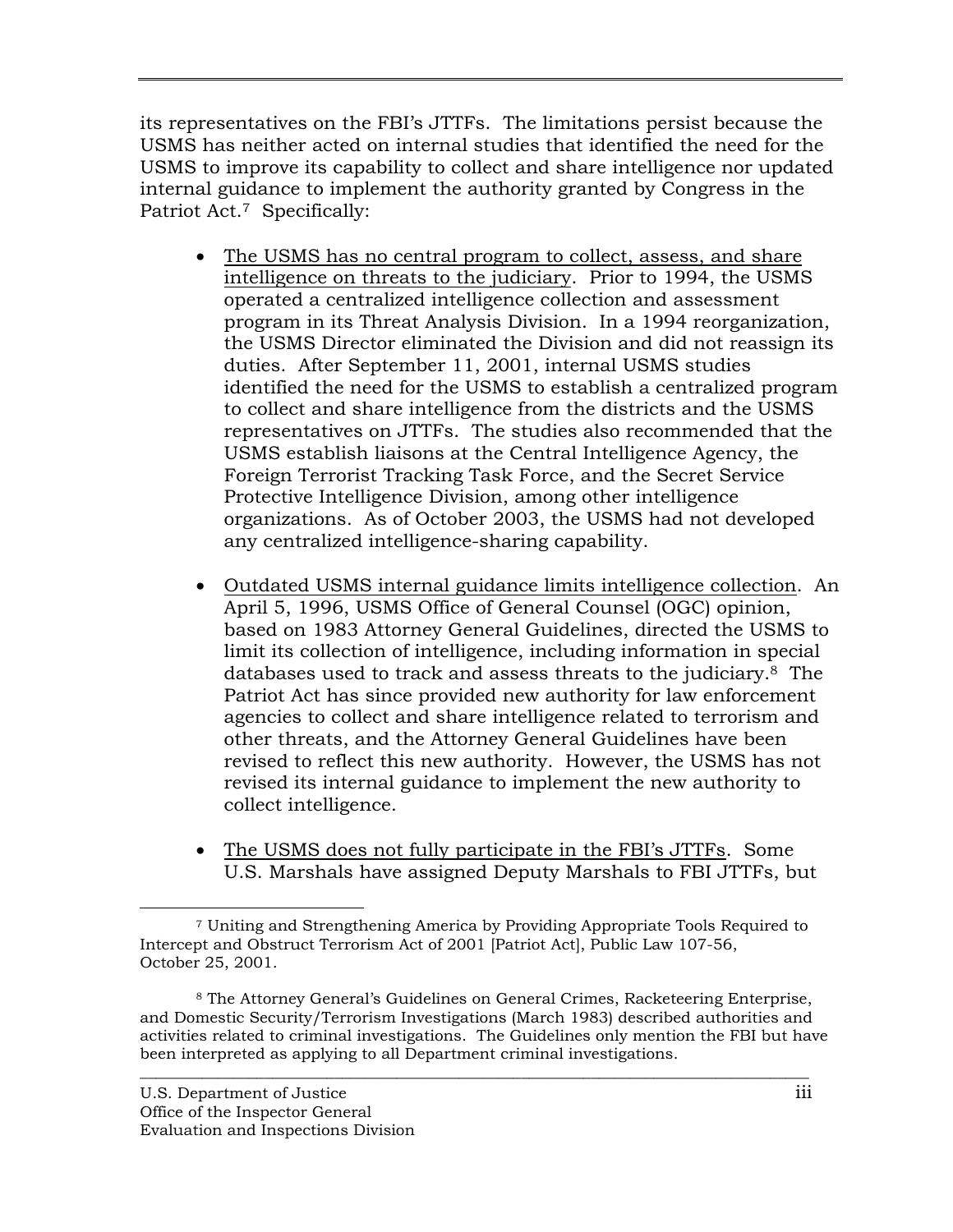its representatives on the FBI's JTTFs. The limitations persist because the USMS has neither acted on internal studies that identified the need for the USMS to improve its capability to collect and share intelligence nor updated internal guidance to implement the authority granted by Congress in the Patriot Act.<sup>7</sup> Specifically:

- The USMS has no central program to collect, assess, and share intelligence on threats to the judiciary. Prior to 1994, the USMS operated a centralized intelligence collection and assessment program in its Threat Analysis Division. In a 1994 reorganization, the USMS Director eliminated the Division and did not reassign its duties. After September 11, 2001, internal USMS studies identified the need for the USMS to establish a centralized program to collect and share intelligence from the districts and the USMS representatives on JTTFs. The studies also recommended that the USMS establish liaisons at the Central Intelligence Agency, the Foreign Terrorist Tracking Task Force, and the Secret Service Protective Intelligence Division, among other intelligence organizations. As of October 2003, the USMS had not developed any centralized intelligence-sharing capability.
- Outdated USMS internal guidance limits intelligence collection. An April 5, 1996, USMS Office of General Counsel (OGC) opinion, based on 1983 Attorney General Guidelines, directed the USMS to limit its collection of intelligence, including information in special databases used to track and assess threats to the judiciary.8 The Patriot Act has since provided new authority for law enforcement agencies to collect and share intelligence related to terrorism and other threats, and the Attorney General Guidelines have been revised to reflect this new authority. However, the USMS has not revised its internal guidance to implement the new authority to collect intelligence.
- The USMS does not fully participate in the FBI's JTTFs. Some U.S. Marshals have assigned Deputy Marshals to FBI JTTFs, but

 <sup>7</sup> Uniting and Strengthening America by Providing Appropriate Tools Required to Intercept and Obstruct Terrorism Act of 2001 [Patriot Act], Public Law 107-56, October 25, 2001.

<sup>8</sup> The Attorney General's Guidelines on General Crimes, Racketeering Enterprise, and Domestic Security/Terrorism Investigations (March 1983) described authorities and activities related to criminal investigations. The Guidelines only mention the FBI but have been interpreted as applying to all Department criminal investigations.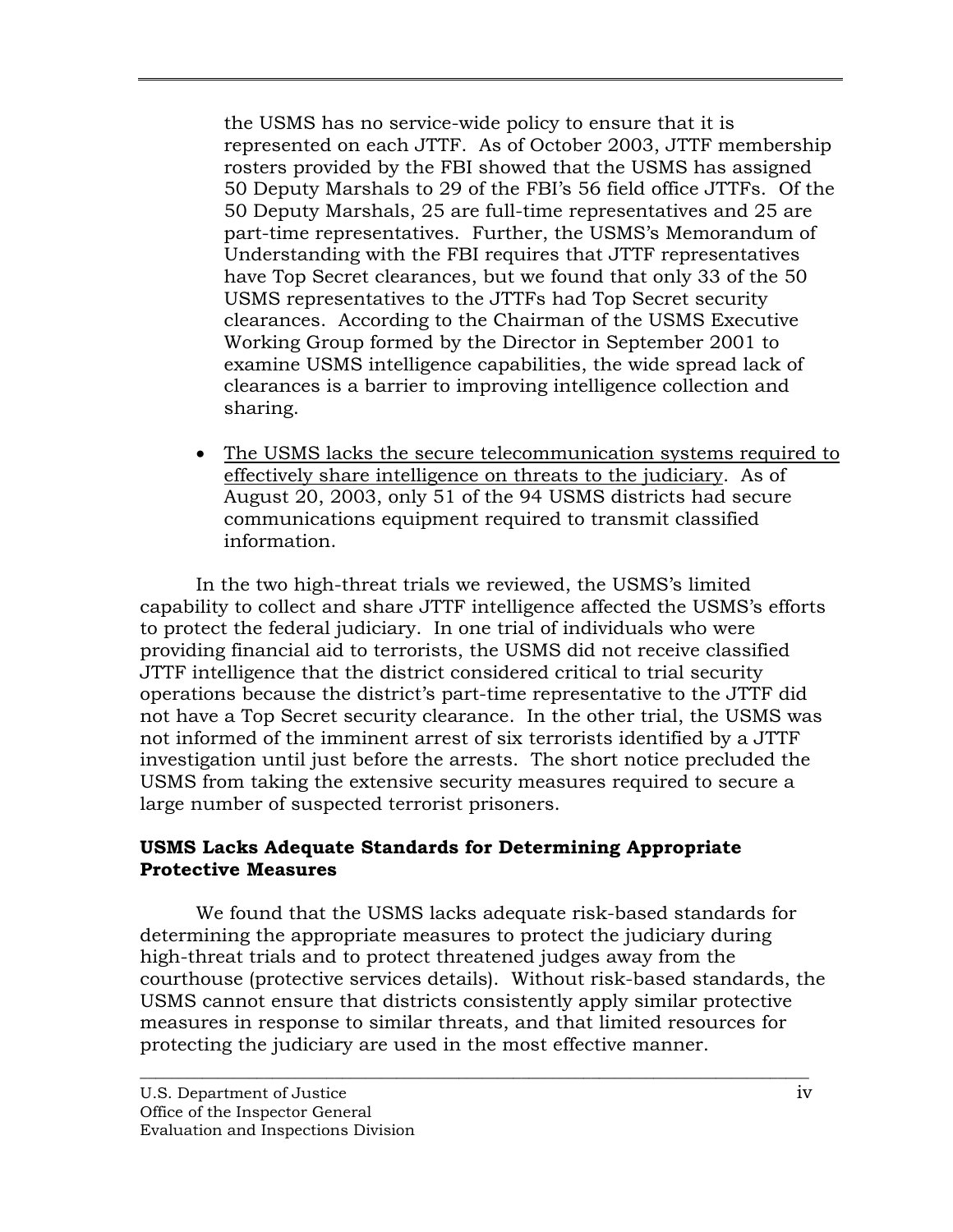the USMS has no service-wide policy to ensure that it is represented on each JTTF. As of October 2003, JTTF membership rosters provided by the FBI showed that the USMS has assigned 50 Deputy Marshals to 29 of the FBI's 56 field office JTTFs. Of the 50 Deputy Marshals, 25 are full-time representatives and 25 are part-time representatives. Further, the USMS's Memorandum of Understanding with the FBI requires that JTTF representatives have Top Secret clearances, but we found that only 33 of the 50 USMS representatives to the JTTFs had Top Secret security clearances. According to the Chairman of the USMS Executive Working Group formed by the Director in September 2001 to examine USMS intelligence capabilities, the wide spread lack of clearances is a barrier to improving intelligence collection and sharing.

• The USMS lacks the secure telecommunication systems required to effectively share intelligence on threats to the judiciary. As of August 20, 2003, only 51 of the 94 USMS districts had secure communications equipment required to transmit classified information.

In the two high-threat trials we reviewed, the USMS's limited capability to collect and share JTTF intelligence affected the USMS's efforts to protect the federal judiciary. In one trial of individuals who were providing financial aid to terrorists, the USMS did not receive classified JTTF intelligence that the district considered critical to trial security operations because the district's part-time representative to the JTTF did not have a Top Secret security clearance. In the other trial, the USMS was not informed of the imminent arrest of six terrorists identified by a JTTF investigation until just before the arrests. The short notice precluded the USMS from taking the extensive security measures required to secure a large number of suspected terrorist prisoners.

## **USMS Lacks Adequate Standards for Determining Appropriate Protective Measures**

We found that the USMS lacks adequate risk-based standards for determining the appropriate measures to protect the judiciary during high-threat trials and to protect threatened judges away from the courthouse (protective services details). Without risk-based standards, the USMS cannot ensure that districts consistently apply similar protective measures in response to similar threats, and that limited resources for protecting the judiciary are used in the most effective manner.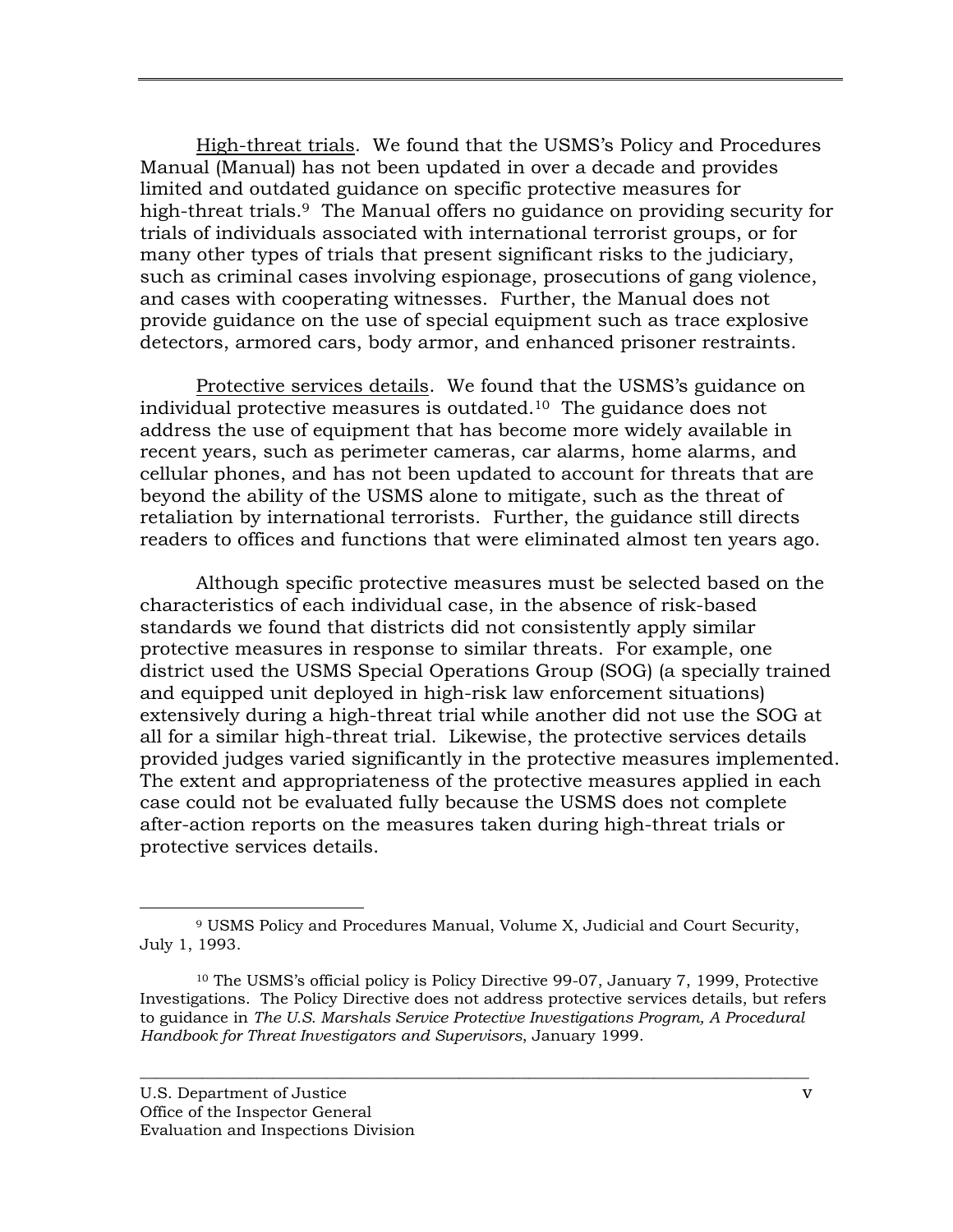High-threat trials. We found that the USMS's Policy and Procedures Manual (Manual) has not been updated in over a decade and provides limited and outdated guidance on specific protective measures for high-threat trials.<sup>9</sup> The Manual offers no guidance on providing security for trials of individuals associated with international terrorist groups, or for many other types of trials that present significant risks to the judiciary, such as criminal cases involving espionage, prosecutions of gang violence, and cases with cooperating witnesses. Further, the Manual does not provide guidance on the use of special equipment such as trace explosive detectors, armored cars, body armor, and enhanced prisoner restraints.

Protective services details. We found that the USMS's guidance on individual protective measures is outdated.10 The guidance does not address the use of equipment that has become more widely available in recent years, such as perimeter cameras, car alarms, home alarms, and cellular phones, and has not been updated to account for threats that are beyond the ability of the USMS alone to mitigate, such as the threat of retaliation by international terrorists. Further, the guidance still directs readers to offices and functions that were eliminated almost ten years ago.

Although specific protective measures must be selected based on the characteristics of each individual case, in the absence of risk-based standards we found that districts did not consistently apply similar protective measures in response to similar threats. For example, one district used the USMS Special Operations Group (SOG) (a specially trained and equipped unit deployed in high-risk law enforcement situations) extensively during a high-threat trial while another did not use the SOG at all for a similar high-threat trial. Likewise, the protective services details provided judges varied significantly in the protective measures implemented. The extent and appropriateness of the protective measures applied in each case could not be evaluated fully because the USMS does not complete after-action reports on the measures taken during high-threat trials or protective services details.

 <sup>9</sup> USMS Policy and Procedures Manual, Volume X, Judicial and Court Security, July 1, 1993.

<sup>10</sup> The USMS's official policy is Policy Directive 99-07, January 7, 1999, Protective Investigations. The Policy Directive does not address protective services details, but refers to guidance in *The U.S. Marshals Service Protective Investigations Program, A Procedural Handbook for Threat Investigators and Supervisors*, January 1999.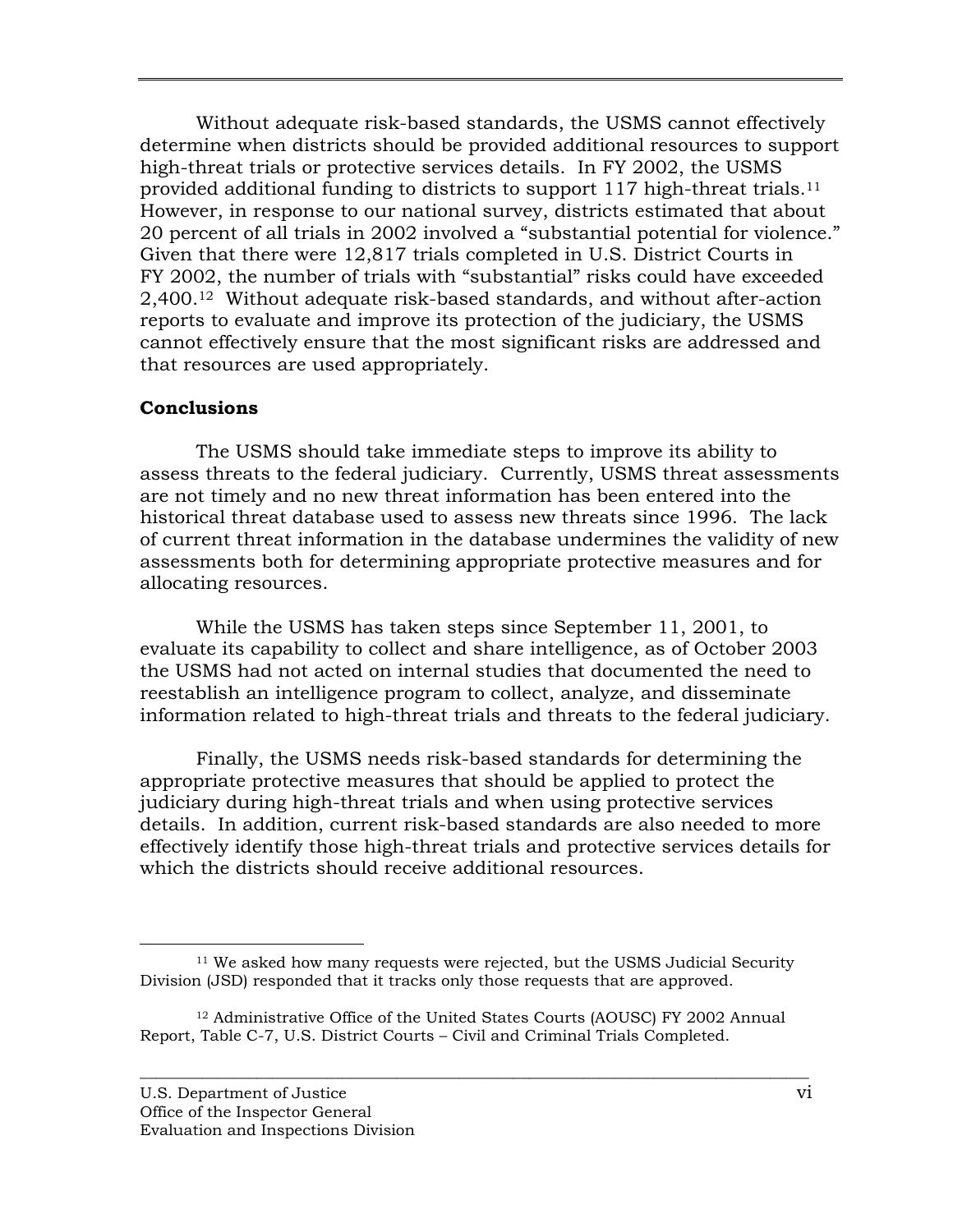Without adequate risk-based standards, the USMS cannot effectively determine when districts should be provided additional resources to support high-threat trials or protective services details. In FY 2002, the USMS provided additional funding to districts to support 117 high-threat trials.11 However, in response to our national survey, districts estimated that about 20 percent of all trials in 2002 involved a "substantial potential for violence." Given that there were 12,817 trials completed in U.S. District Courts in FY 2002, the number of trials with "substantial" risks could have exceeded 2,400.12 Without adequate risk-based standards, and without after-action reports to evaluate and improve its protection of the judiciary, the USMS cannot effectively ensure that the most significant risks are addressed and that resources are used appropriately.

## **Conclusions**

The USMS should take immediate steps to improve its ability to assess threats to the federal judiciary. Currently, USMS threat assessments are not timely and no new threat information has been entered into the historical threat database used to assess new threats since 1996. The lack of current threat information in the database undermines the validity of new assessments both for determining appropriate protective measures and for allocating resources.

While the USMS has taken steps since September 11, 2001, to evaluate its capability to collect and share intelligence, as of October 2003 the USMS had not acted on internal studies that documented the need to reestablish an intelligence program to collect, analyze, and disseminate information related to high-threat trials and threats to the federal judiciary.

Finally, the USMS needs risk-based standards for determining the appropriate protective measures that should be applied to protect the judiciary during high-threat trials and when using protective services details. In addition, current risk-based standards are also needed to more effectively identify those high-threat trials and protective services details for which the districts should receive additional resources.

<sup>&</sup>lt;sup>11</sup> We asked how many requests were rejected, but the USMS Judicial Security Division (JSD) responded that it tracks only those requests that are approved.

<sup>12</sup> Administrative Office of the United States Courts (AOUSC) FY 2002 Annual Report, Table C-7, U.S. District Courts – Civil and Criminal Trials Completed.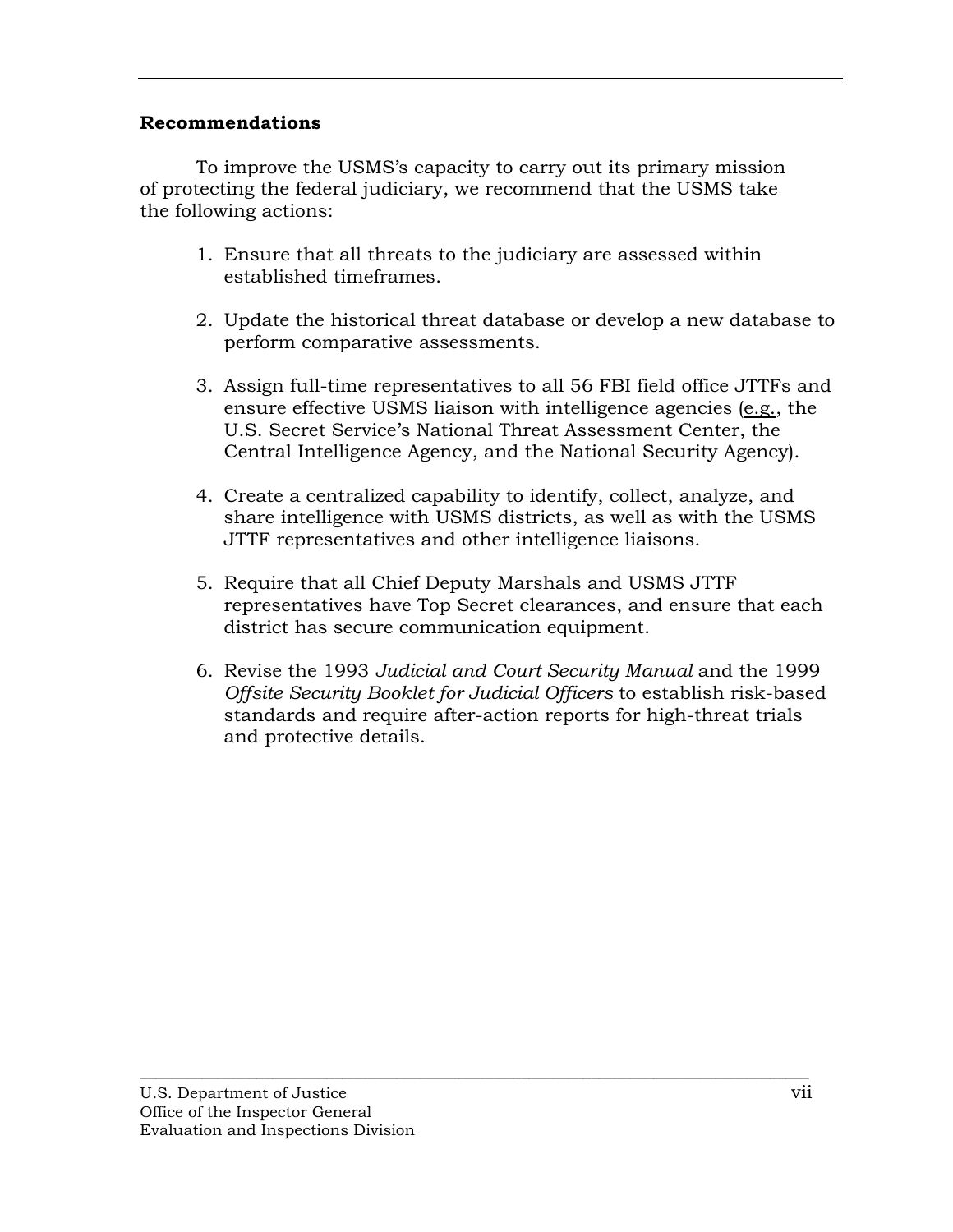## **Recommendations**

To improve the USMS's capacity to carry out its primary mission of protecting the federal judiciary, we recommend that the USMS take the following actions:

- 1. Ensure that all threats to the judiciary are assessed within established timeframes.
- 2. Update the historical threat database or develop a new database to perform comparative assessments.
- 3. Assign full-time representatives to all 56 FBI field office JTTFs and ensure effective USMS liaison with intelligence agencies (e.g., the U.S. Secret Service's National Threat Assessment Center, the Central Intelligence Agency, and the National Security Agency).
- 4. Create a centralized capability to identify, collect, analyze, and share intelligence with USMS districts, as well as with the USMS JTTF representatives and other intelligence liaisons.
- 5. Require that all Chief Deputy Marshals and USMS JTTF representatives have Top Secret clearances, and ensure that each district has secure communication equipment.
- 6. Revise the 1993 *Judicial and Court Security Manual* and the 1999 *Offsite Security Booklet for Judicial Officers* to establish risk-based standards and require after-action reports for high-threat trials and protective details.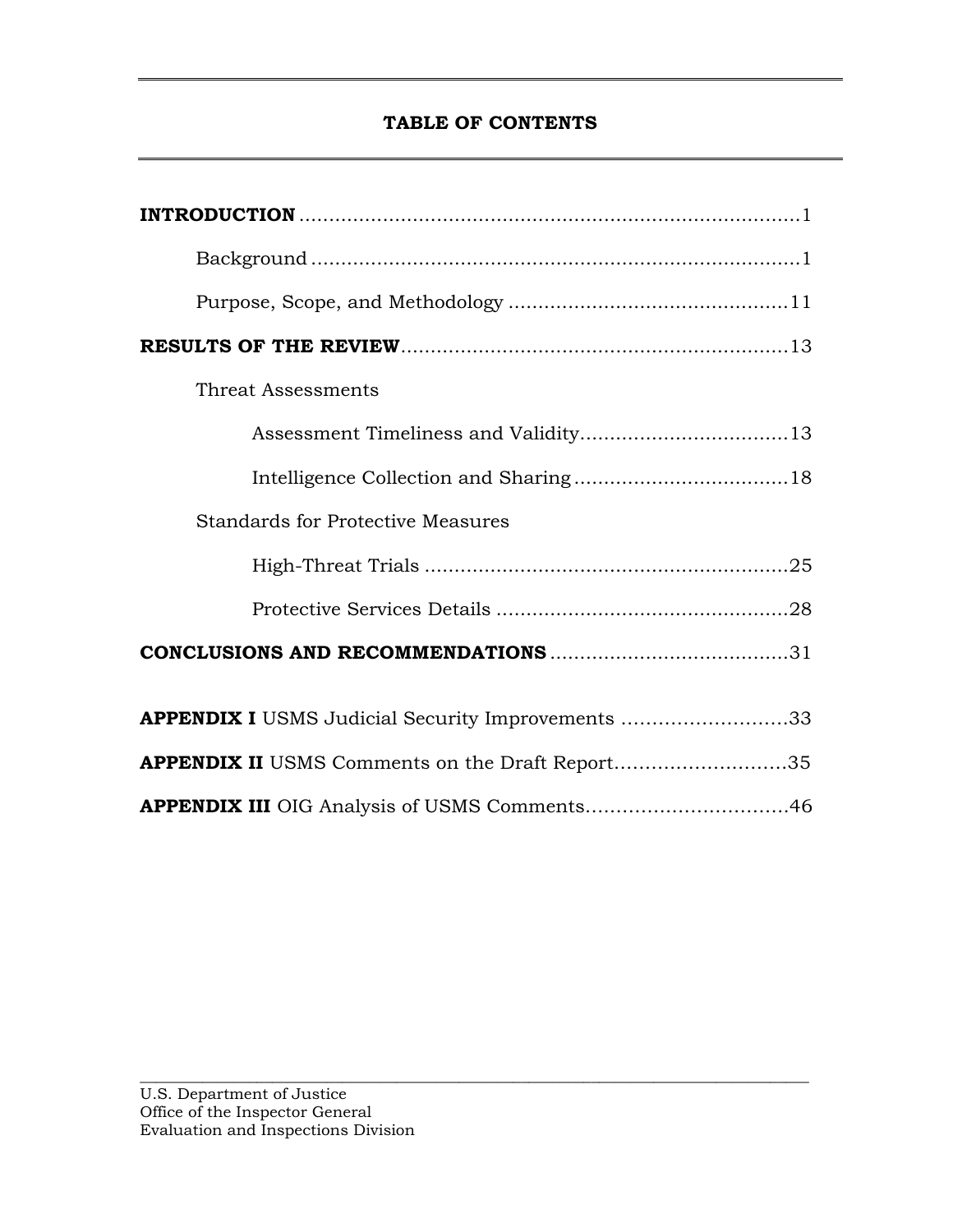# **TABLE OF CONTENTS**

| Threat Assessments                                       |
|----------------------------------------------------------|
|                                                          |
|                                                          |
| <b>Standards for Protective Measures</b>                 |
|                                                          |
|                                                          |
|                                                          |
| <b>APPENDIX I</b> USMS Judicial Security Improvements 33 |
| <b>APPENDIX II</b> USMS Comments on the Draft Report35   |
|                                                          |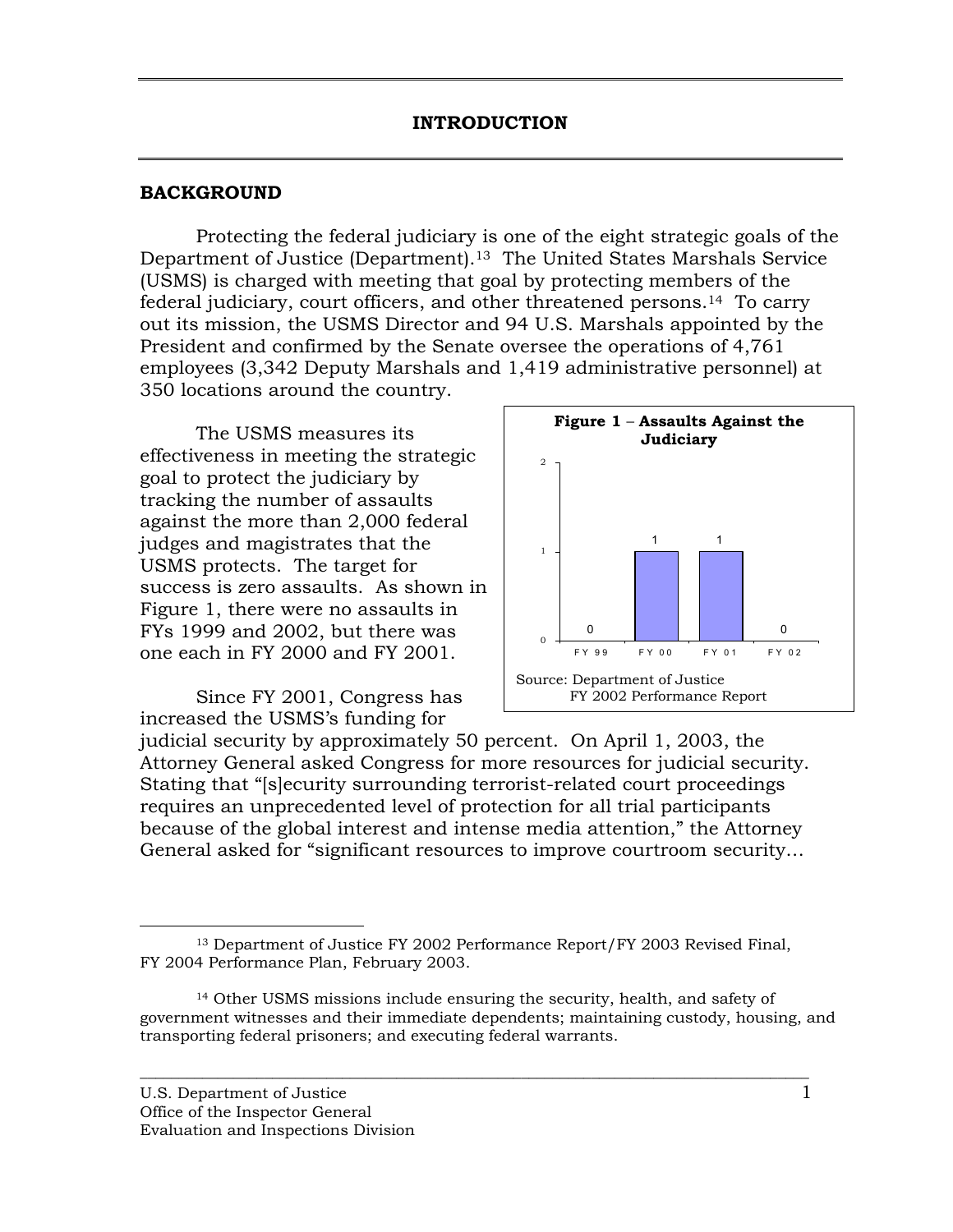#### <span id="page-9-0"></span>**BACKGROUND**

Protecting the federal judiciary is one of the eight strategic goals of the Department of Justice (Department).<sup>13</sup> The United States Marshals Service (USMS) is charged with meeting that goal by protecting members of the federal judiciary, court officers, and other threatened persons.14 To carry out its mission, the USMS Director and 94 U.S. Marshals appointed by the President and confirmed by the Senate oversee the operations of 4,761 employees (3,342 Deputy Marshals and 1,419 administrative personnel) at 350 locations around the country.

The USMS measures its effectiveness in meeting the strategic goal to protect the judiciary by tracking the number of assaults against the more than 2,000 federal judges and magistrates that the USMS protects. The target for success is zero assaults. As shown in Figure 1, there were no assaults in FYs 1999 and 2002, but there was one each in FY 2000 and FY 2001.

Since FY 2001, Congress has increased the USMS's funding for



judicial security by approximately 50 percent. On April 1, 2003, the Attorney General asked Congress for more resources for judicial security. Stating that "[s]ecurity surrounding terrorist-related court proceedings requires an unprecedented level of protection for all trial participants because of the global interest and intense media attention," the Attorney General asked for "significant resources to improve courtroom security…

 <sup>13</sup> Department of Justice FY 2002 Performance Report/FY 2003 Revised Final, FY 2004 Performance Plan, February 2003.

<sup>14</sup> Other USMS missions include ensuring the security, health, and safety of government witnesses and their immediate dependents; maintaining custody, housing, and transporting federal prisoners; and executing federal warrants.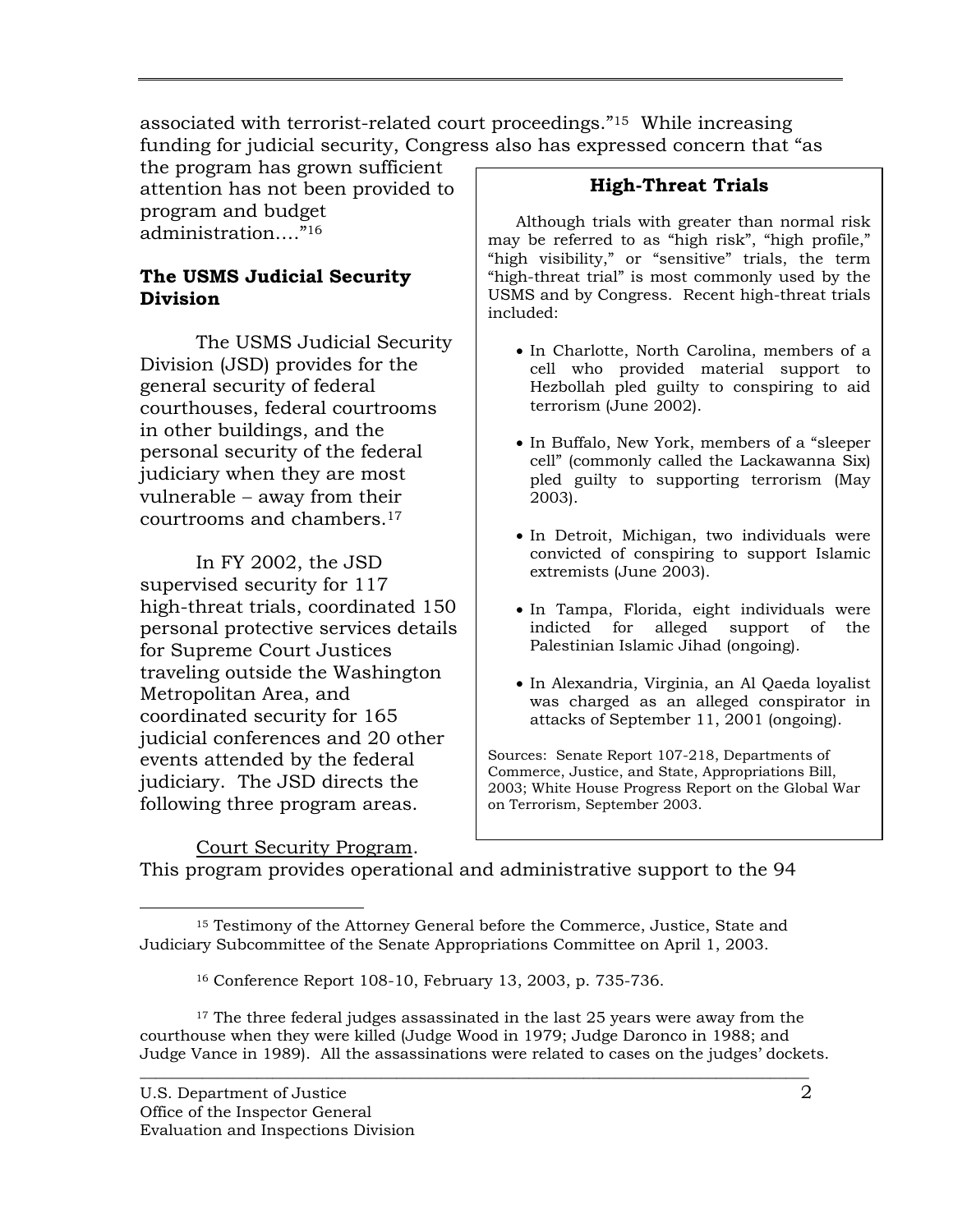associated with terrorist-related court proceedings."15 While increasing funding for judicial security, Congress also has expressed concern that "as

the program has grown sufficient attention has not been provided to program and budget administration…."16

## **The USMS Judicial Security Division**

The USMS Judicial Security Division (JSD) provides for the general security of federal courthouses, federal courtrooms in other buildings, and the personal security of the federal judiciary when they are most vulnerable − away from their courtrooms and chambers.17

In FY 2002, the JSD supervised security for 117 high-threat trials, coordinated 150 personal protective services details for Supreme Court Justices traveling outside the Washington Metropolitan Area, and coordinated security for 165 judicial conferences and 20 other events attended by the federal judiciary. The JSD directs the following three program areas.

## **High-Threat Trials**

Although trials with greater than normal risk may be referred to as "high risk", "high profile," "high visibility," or "sensitive" trials, the term "high-threat trial" is most commonly used by the USMS and by Congress. Recent high-threat trials included:

- In Charlotte, North Carolina, members of a cell who provided material support to Hezbollah pled guilty to conspiring to aid terrorism (June 2002).
- In Buffalo, New York, members of a "sleeper cell" (commonly called the Lackawanna Six) pled guilty to supporting terrorism (May 2003).
- In Detroit, Michigan, two individuals were convicted of conspiring to support Islamic extremists (June 2003).
- In Tampa, Florida, eight individuals were indicted for alleged support of the Palestinian Islamic Jihad (ongoing).
- In Alexandria, Virginia, an Al Qaeda loyalist was charged as an alleged conspirator in attacks of September 11, 2001 (ongoing).

Sources: Senate Report 107-218, Departments of Commerce, Justice, and State, Appropriations Bill, 2003; White House Progress Report on the Global War on Terrorism, September 2003.

Court Security Program. This program provides operational and administrative support to the 94

 <sup>15</sup> Testimony of the Attorney General before the Commerce, Justice, State and Judiciary Subcommittee of the Senate Appropriations Committee on April 1, 2003.

<sup>16</sup> Conference Report 108-10, February 13, 2003, p. 735-736.

 $17$  The three federal judges assassinated in the last 25 years were away from the courthouse when they were killed (Judge Wood in 1979; Judge Daronco in 1988; and Judge Vance in 1989). All the assassinations were related to cases on the judges' dockets.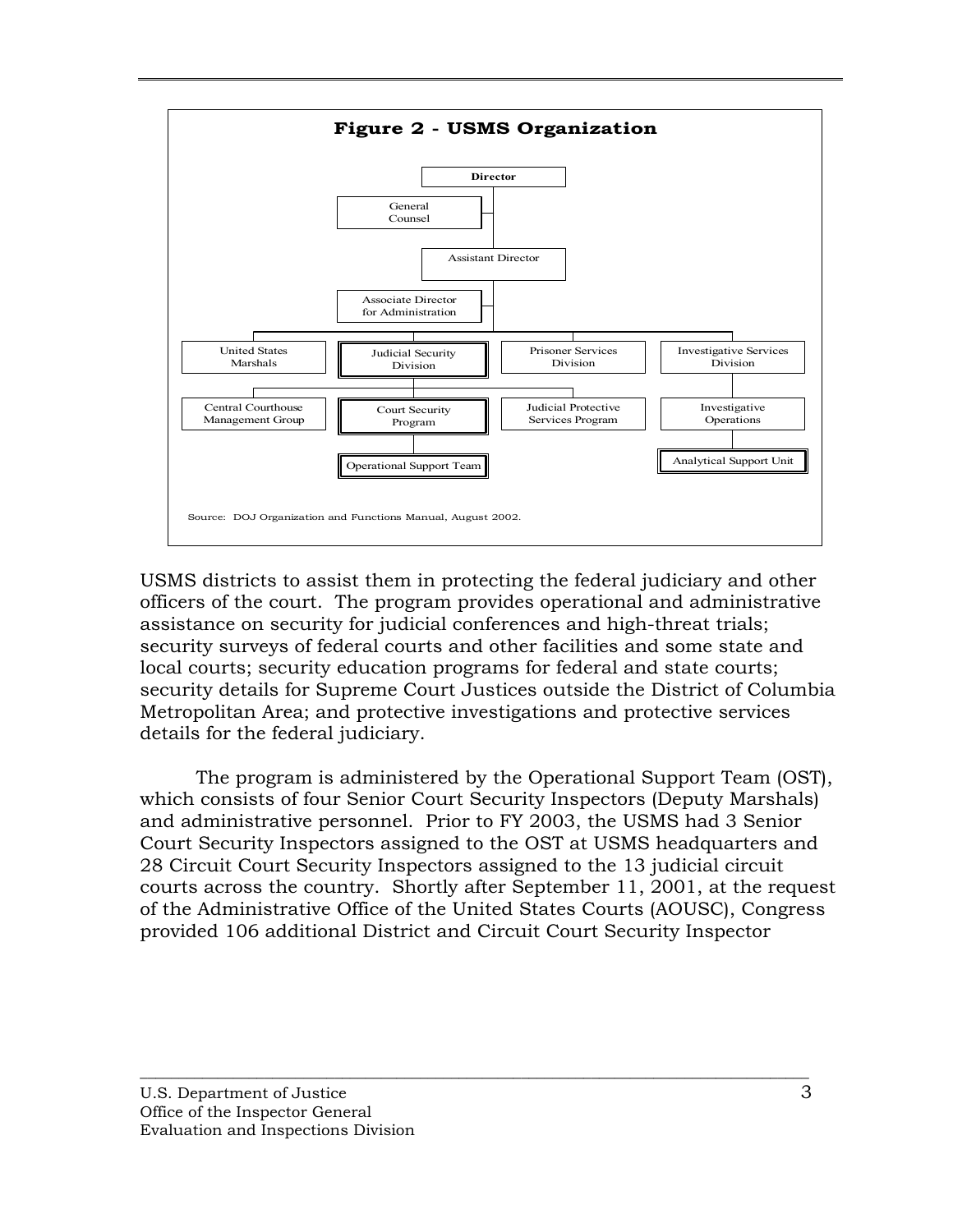

USMS districts to assist them in protecting the federal judiciary and other officers of the court. The program provides operational and administrative assistance on security for judicial conferences and high-threat trials; security surveys of federal courts and other facilities and some state and local courts; security education programs for federal and state courts; security details for Supreme Court Justices outside the District of Columbia Metropolitan Area; and protective investigations and protective services details for the federal judiciary.

The program is administered by the Operational Support Team (OST), which consists of four Senior Court Security Inspectors (Deputy Marshals) and administrative personnel. Prior to FY 2003, the USMS had 3 Senior Court Security Inspectors assigned to the OST at USMS headquarters and 28 Circuit Court Security Inspectors assigned to the 13 judicial circuit courts across the country. Shortly after September 11, 2001, at the request of the Administrative Office of the United States Courts (AOUSC), Congress provided 106 additional District and Circuit Court Security Inspector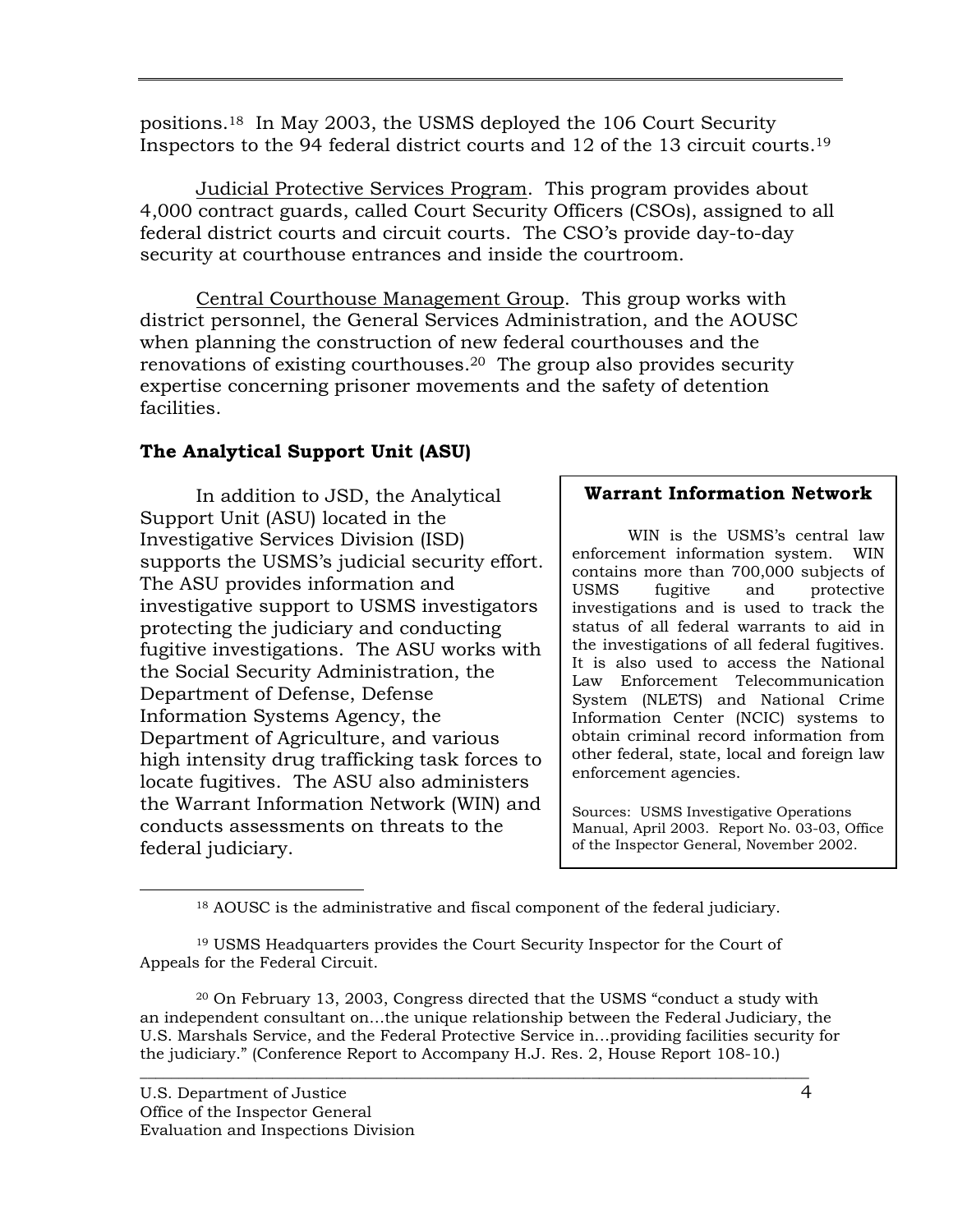positions.18 In May 2003, the USMS deployed the 106 Court Security Inspectors to the 94 federal district courts and 12 of the 13 circuit courts.19

Judicial Protective Services Program. This program provides about 4,000 contract guards, called Court Security Officers (CSOs), assigned to all federal district courts and circuit courts. The CSO's provide day-to-day security at courthouse entrances and inside the courtroom.

Central Courthouse Management Group. This group works with district personnel, the General Services Administration, and the AOUSC when planning the construction of new federal courthouses and the renovations of existing courthouses.20 The group also provides security expertise concerning prisoner movements and the safety of detention facilities.

# **The Analytical Support Unit (ASU)**

In addition to JSD, the Analytical Support Unit (ASU) located in the Investigative Services Division (ISD) supports the USMS's judicial security effort. The ASU provides information and investigative support to USMS investigators protecting the judiciary and conducting fugitive investigations. The ASU works with the Social Security Administration, the Department of Defense, Defense Information Systems Agency, the Department of Agriculture, and various high intensity drug trafficking task forces to locate fugitives. The ASU also administers the Warrant Information Network (WIN) and conducts assessments on threats to the federal judiciary.

## **Warrant Information Network**

WIN is the USMS's central law enforcement information system. WIN contains more than 700,000 subjects of USMS fugitive and protective investigations and is used to track the status of all federal warrants to aid in the investigations of all federal fugitives. It is also used to access the National Law Enforcement Telecommunication System (NLETS) and National Crime Information Center (NCIC) systems to obtain criminal record information from other federal, state, local and foreign law enforcement agencies.

Sources: USMS Investigative Operations Manual, April 2003. Report No. 03-03, Office of the Inspector General, November 2002.

18 AOUSC is the administrative and fiscal component of the federal judiciary.

19 USMS Headquarters provides the Court Security Inspector for the Court of Appeals for the Federal Circuit.

20 On February 13, 2003, Congress directed that the USMS "conduct a study with an independent consultant on…the unique relationship between the Federal Judiciary, the U.S. Marshals Service, and the Federal Protective Service in…providing facilities security for the judiciary." (Conference Report to Accompany H.J. Res. 2, House Report 108-10.)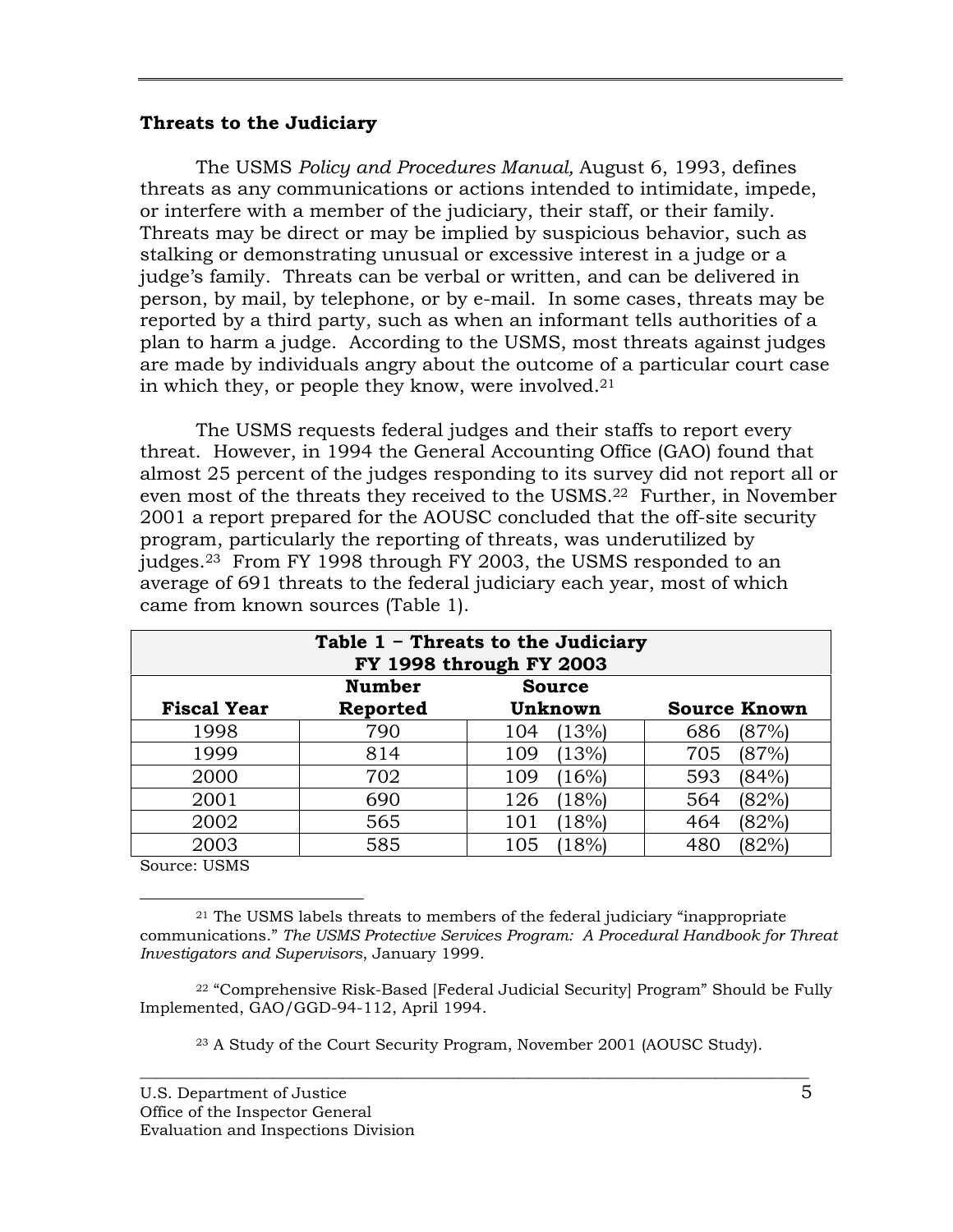#### **Threats to the Judiciary**

The USMS *Policy and Procedures Manual,* August 6, 1993, defines threats as any communications or actions intended to intimidate, impede, or interfere with a member of the judiciary, their staff, or their family. Threats may be direct or may be implied by suspicious behavior, such as stalking or demonstrating unusual or excessive interest in a judge or a judge's family. Threats can be verbal or written, and can be delivered in person, by mail, by telephone, or by e-mail. In some cases, threats may be reported by a third party, such as when an informant tells authorities of a plan to harm a judge. According to the USMS, most threats against judges are made by individuals angry about the outcome of a particular court case in which they, or people they know, were involved.21

The USMS requests federal judges and their staffs to report every threat. However, in 1994 the General Accounting Office (GAO) found that almost 25 percent of the judges responding to its survey did not report all or even most of the threats they received to the USMS.<sup>22</sup> Further, in November 2001 a report prepared for the AOUSC concluded that the off-site security program, particularly the reporting of threats, was underutilized by judges.23 From FY 1998 through FY 2003, the USMS responded to an average of 691 threats to the federal judiciary each year, most of which came from known sources (Table 1).

| Table $1$ - Threats to the Judiciary<br>FY 1998 through FY 2003 |               |               |                     |  |
|-----------------------------------------------------------------|---------------|---------------|---------------------|--|
|                                                                 | <b>Number</b> | <b>Source</b> |                     |  |
| <b>Fiscal Year</b>                                              | Reported      | Unknown       | <b>Source Known</b> |  |
| 1998                                                            | 790           | (13%)<br>104  | (87%)<br>686        |  |
| 1999                                                            | 814           | (13%)<br>109  | (87%)<br>705        |  |
| 2000                                                            | 702           | (16%)<br>109  | (84%<br>593         |  |
| 2001                                                            | 690           | (18%)<br>126  | (82%)<br>564        |  |
| 2002                                                            | 565           | (18%)<br>101  | 464<br>(82%)        |  |
| 2003                                                            | 585           | 18%<br>105    | 82%<br>480          |  |

Source: USMS

 $21$  The USMS labels threats to members of the federal judiciary "inappropriate" communications." *The USMS Protective Services Program: A Procedural Handbook for Threat Investigators and Supervisors*, January 1999.

22 "Comprehensive Risk-Based [Federal Judicial Security] Program" Should be Fully Implemented, GAO/GGD-94-112, April 1994.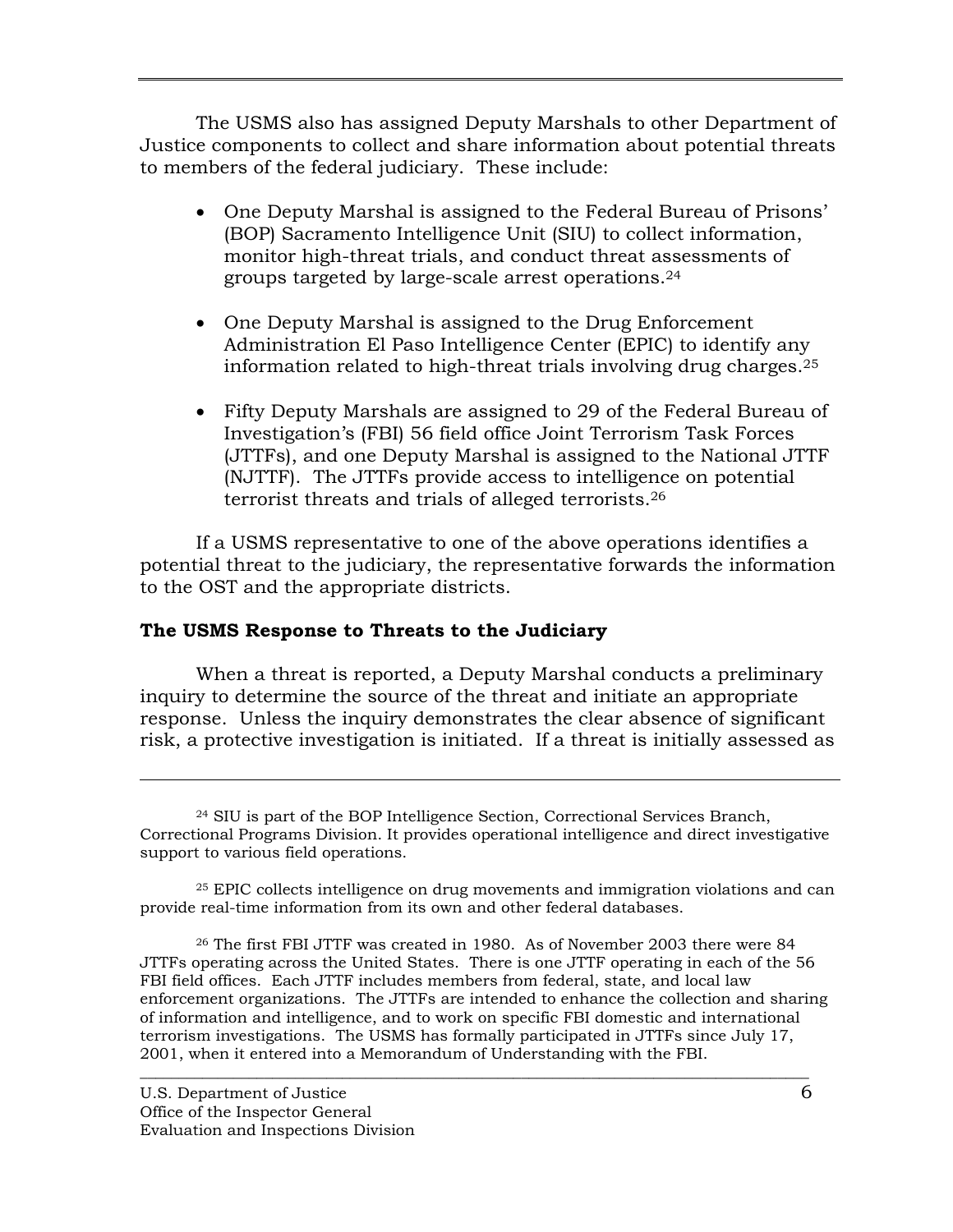The USMS also has assigned Deputy Marshals to other Department of Justice components to collect and share information about potential threats to members of the federal judiciary. These include:

- One Deputy Marshal is assigned to the Federal Bureau of Prisons' (BOP) Sacramento Intelligence Unit (SIU) to collect information, monitor high-threat trials, and conduct threat assessments of groups targeted by large-scale arrest operations.24
- One Deputy Marshal is assigned to the Drug Enforcement Administration El Paso Intelligence Center (EPIC) to identify any information related to high-threat trials involving drug charges.25
- Fifty Deputy Marshals are assigned to 29 of the Federal Bureau of Investigation's (FBI) 56 field office Joint Terrorism Task Forces (JTTFs), and one Deputy Marshal is assigned to the National JTTF (NJTTF). The JTTFs provide access to intelligence on potential terrorist threats and trials of alleged terrorists.26

If a USMS representative to one of the above operations identifies a potential threat to the judiciary, the representative forwards the information to the OST and the appropriate districts.

## **The USMS Response to Threats to the Judiciary**

When a threat is reported, a Deputy Marshal conducts a preliminary inquiry to determine the source of the threat and initiate an appropriate response. Unless the inquiry demonstrates the clear absence of significant risk, a protective investigation is initiated. If a threat is initially assessed as

 $\overline{\phantom{a}}$  ,  $\overline{\phantom{a}}$  ,  $\overline{\phantom{a}}$  ,  $\overline{\phantom{a}}$  ,  $\overline{\phantom{a}}$  ,  $\overline{\phantom{a}}$  ,  $\overline{\phantom{a}}$  ,  $\overline{\phantom{a}}$  ,  $\overline{\phantom{a}}$  ,  $\overline{\phantom{a}}$  ,  $\overline{\phantom{a}}$  ,  $\overline{\phantom{a}}$  ,  $\overline{\phantom{a}}$  ,  $\overline{\phantom{a}}$  ,  $\overline{\phantom{a}}$  ,  $\overline{\phantom{a}}$ 

 $\overline{a}$ 

<sup>24</sup> SIU is part of the BOP Intelligence Section, Correctional Services Branch, Correctional Programs Division. It provides operational intelligence and direct investigative support to various field operations.

<sup>25</sup> EPIC collects intelligence on drug movements and immigration violations and can provide real-time information from its own and other federal databases.

<sup>26</sup> The first FBI JTTF was created in 1980. As of November 2003 there were 84 JTTFs operating across the United States. There is one JTTF operating in each of the 56 FBI field offices. Each JTTF includes members from federal, state, and local law enforcement organizations. The JTTFs are intended to enhance the collection and sharing of information and intelligence, and to work on specific FBI domestic and international terrorism investigations. The USMS has formally participated in JTTFs since July 17, 2001, when it entered into a Memorandum of Understanding with the FBI.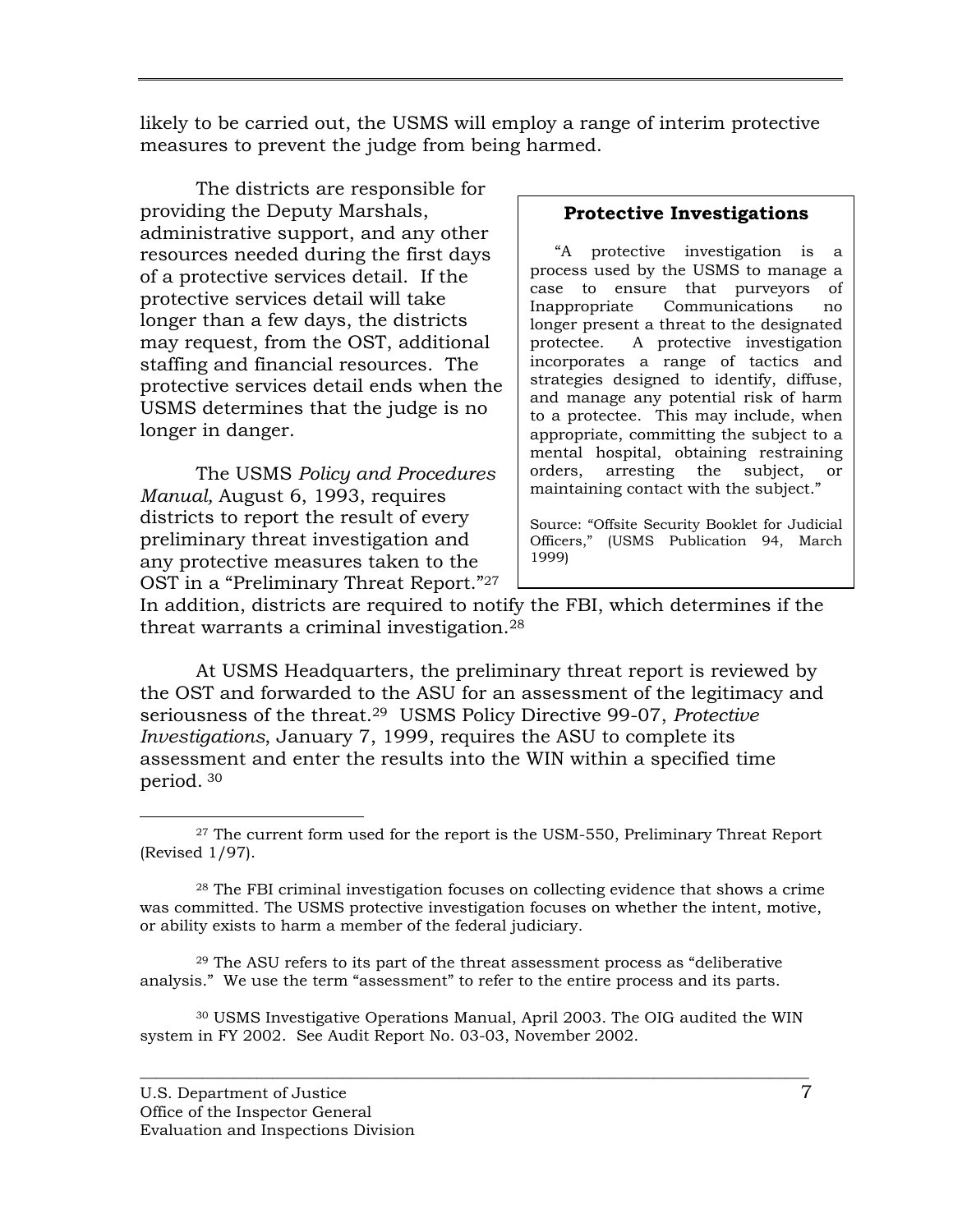likely to be carried out, the USMS will employ a range of interim protective measures to prevent the judge from being harmed.

The districts are responsible for providing the Deputy Marshals, administrative support, and any other resources needed during the first days of a protective services detail. If the protective services detail will take longer than a few days, the districts may request, from the OST, additional staffing and financial resources. The protective services detail ends when the USMS determines that the judge is no longer in danger.

The USMS *Policy and Procedures Manual,* August 6, 1993, requires districts to report the result of every preliminary threat investigation and any protective measures taken to the OST in a "Preliminary Threat Report."27

## **Protective Investigations**

 "A protective investigation is a process used by the USMS to manage a case to ensure that purveyors of Inappropriate Communications no longer present a threat to the designated protectee. A protective investigation incorporates a range of tactics and strategies designed to identify, diffuse, and manage any potential risk of harm to a protectee. This may include, when appropriate, committing the subject to a mental hospital, obtaining restraining orders, arresting the subject, or maintaining contact with the subject."

Source: "Offsite Security Booklet for Judicial Officers," (USMS Publication 94, March 1999)

In addition, districts are required to notify the FBI, which determines if the threat warrants a criminal investigation.28

At USMS Headquarters, the preliminary threat report is reviewed by the OST and forwarded to the ASU for an assessment of the legitimacy and seriousness of the threat.29 USMS Policy Directive 99-07, *Protective Investigations*, January 7, 1999, requires the ASU to complete its assessment and enter the results into the WIN within a specified time period. 30

 $29$  The ASU refers to its part of the threat assessment process as "deliberative" analysis." We use the term "assessment" to refer to the entire process and its parts.

30 USMS Investigative Operations Manual, April 2003. The OIG audited the WIN system in FY 2002. See Audit Report No. 03-03, November 2002.

 $27$  The current form used for the report is the USM-550, Preliminary Threat Report (Revised 1/97).

<sup>28</sup> The FBI criminal investigation focuses on collecting evidence that shows a crime was committed. The USMS protective investigation focuses on whether the intent, motive, or ability exists to harm a member of the federal judiciary.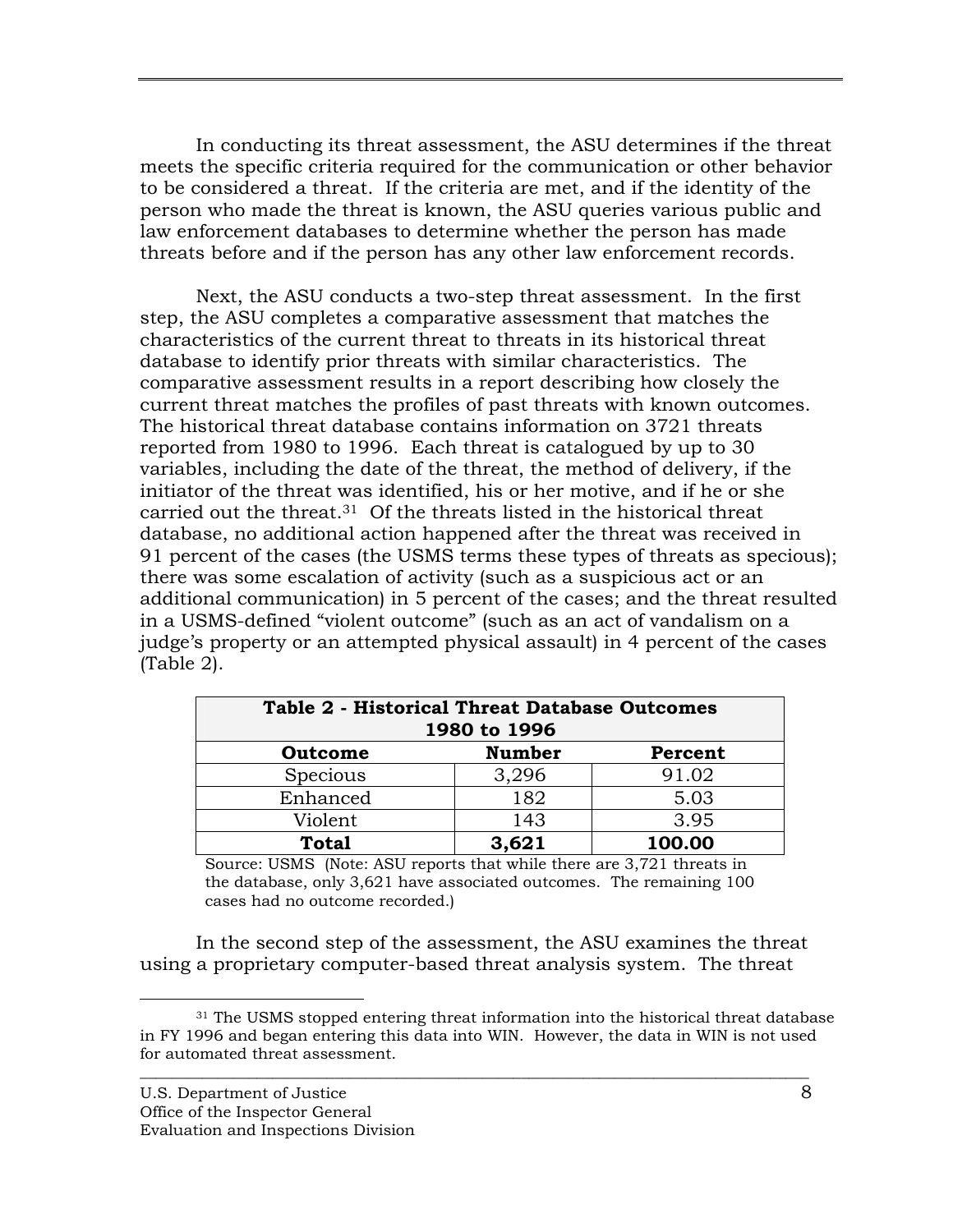In conducting its threat assessment, the ASU determines if the threat meets the specific criteria required for the communication or other behavior to be considered a threat. If the criteria are met, and if the identity of the person who made the threat is known, the ASU queries various public and law enforcement databases to determine whether the person has made threats before and if the person has any other law enforcement records.

Next, the ASU conducts a two-step threat assessment. In the first step, the ASU completes a comparative assessment that matches the characteristics of the current threat to threats in its historical threat database to identify prior threats with similar characteristics. The comparative assessment results in a report describing how closely the current threat matches the profiles of past threats with known outcomes. The historical threat database contains information on 3721 threats reported from 1980 to 1996. Each threat is catalogued by up to 30 variables, including the date of the threat, the method of delivery, if the initiator of the threat was identified, his or her motive, and if he or she carried out the threat.31 Of the threats listed in the historical threat database, no additional action happened after the threat was received in 91 percent of the cases (the USMS terms these types of threats as specious); there was some escalation of activity (such as a suspicious act or an additional communication) in 5 percent of the cases; and the threat resulted in a USMS-defined "violent outcome" (such as an act of vandalism on a judge's property or an attempted physical assault) in 4 percent of the cases (Table 2).

| <b>Table 2 - Historical Threat Database Outcomes</b><br>1980 to 1996 |               |         |  |  |
|----------------------------------------------------------------------|---------------|---------|--|--|
| Outcome                                                              | <b>Number</b> | Percent |  |  |
| Specious                                                             | 3,296         | 91.02   |  |  |
| Enhanced                                                             | 182           | 5.03    |  |  |
| Violent                                                              | 143           | 3.95    |  |  |
| <b>Total</b>                                                         | 3,621         | 100.00  |  |  |

Source: USMS (Note: ASU reports that while there are 3,721 threats in the database, only 3,621 have associated outcomes. The remaining 100 cases had no outcome recorded.)

In the second step of the assessment, the ASU examines the threat using a proprietary computer-based threat analysis system. The threat

<sup>&</sup>lt;sup>31</sup> The USMS stopped entering threat information into the historical threat database in FY 1996 and began entering this data into WIN. However, the data in WIN is not used for automated threat assessment.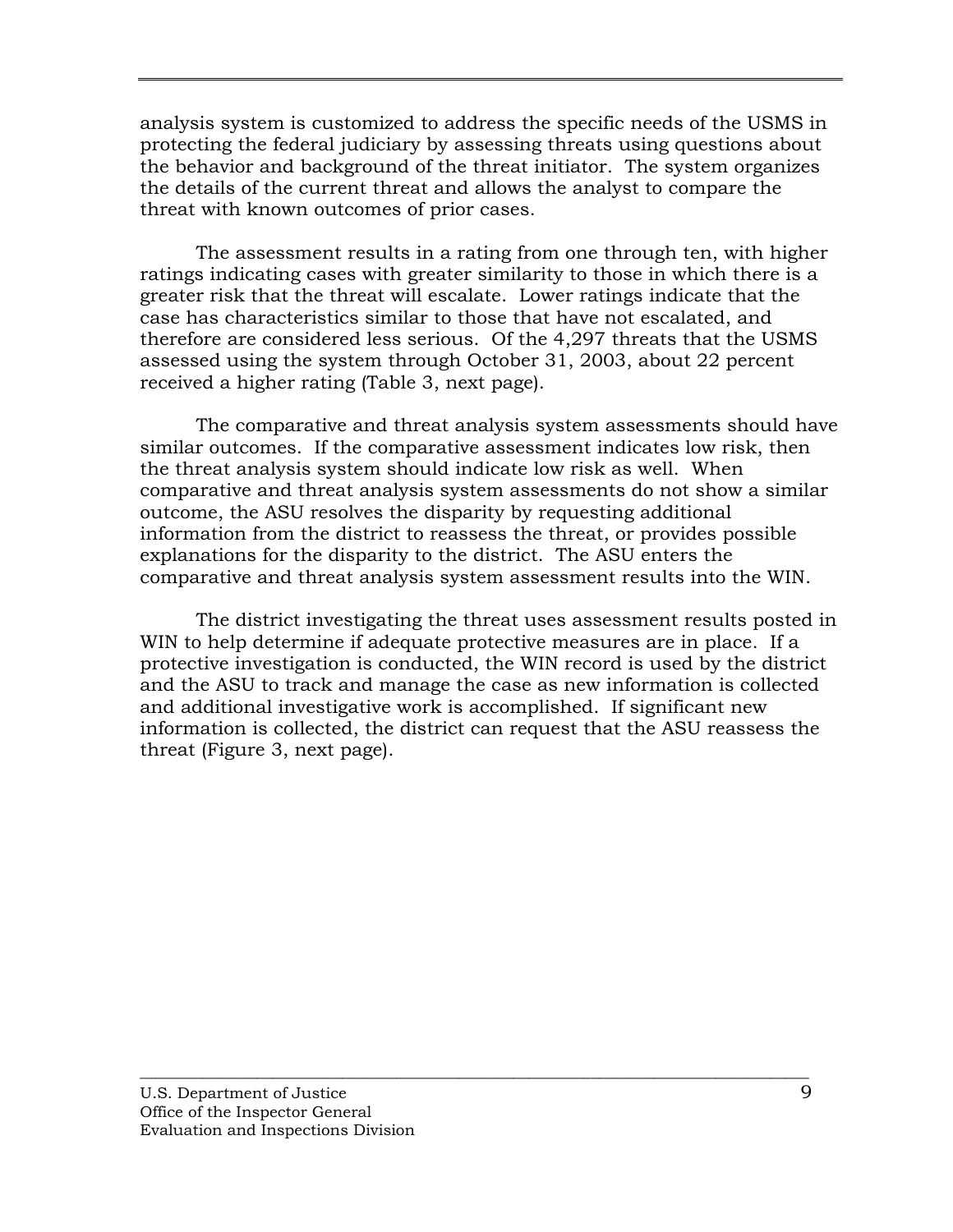analysis system is customized to address the specific needs of the USMS in protecting the federal judiciary by assessing threats using questions about the behavior and background of the threat initiator. The system organizes the details of the current threat and allows the analyst to compare the threat with known outcomes of prior cases.

The assessment results in a rating from one through ten, with higher ratings indicating cases with greater similarity to those in which there is a greater risk that the threat will escalate. Lower ratings indicate that the case has characteristics similar to those that have not escalated, and therefore are considered less serious. Of the 4,297 threats that the USMS assessed using the system through October 31, 2003, about 22 percent received a higher rating (Table 3, next page).

The comparative and threat analysis system assessments should have similar outcomes. If the comparative assessment indicates low risk, then the threat analysis system should indicate low risk as well. When comparative and threat analysis system assessments do not show a similar outcome, the ASU resolves the disparity by requesting additional information from the district to reassess the threat, or provides possible explanations for the disparity to the district. The ASU enters the comparative and threat analysis system assessment results into the WIN.

The district investigating the threat uses assessment results posted in WIN to help determine if adequate protective measures are in place. If a protective investigation is conducted, the WIN record is used by the district and the ASU to track and manage the case as new information is collected and additional investigative work is accomplished. If significant new information is collected, the district can request that the ASU reassess the threat (Figure 3, next page).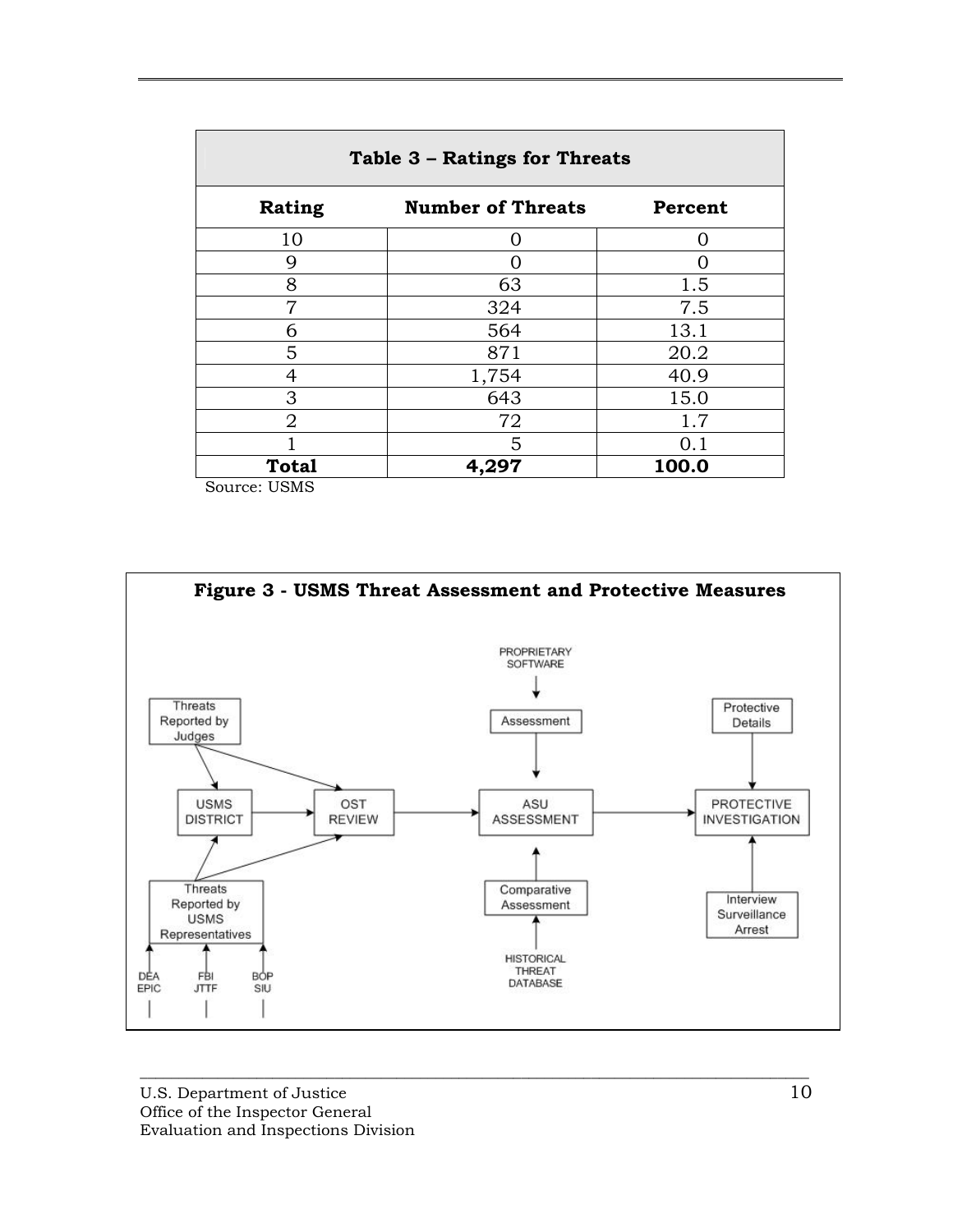| Table 3 - Ratings for Threats |                          |         |  |  |
|-------------------------------|--------------------------|---------|--|--|
| Rating                        | <b>Number of Threats</b> | Percent |  |  |
| 10                            | $\Omega$                 | O       |  |  |
| 9                             |                          | 0       |  |  |
| 8                             | 63                       | 1.5     |  |  |
| 7                             | 324                      | 7.5     |  |  |
| 6                             | 564                      | 13.1    |  |  |
| 5                             | 871                      | 20.2    |  |  |
| 4                             | 1,754                    | 40.9    |  |  |
| 3                             | 643                      | 15.0    |  |  |
| $\overline{2}$                | 72                       | 1.7     |  |  |
|                               | 5                        | 0.1     |  |  |
| <b>Total</b>                  | 4,297                    | 100.0   |  |  |

Source: USMS

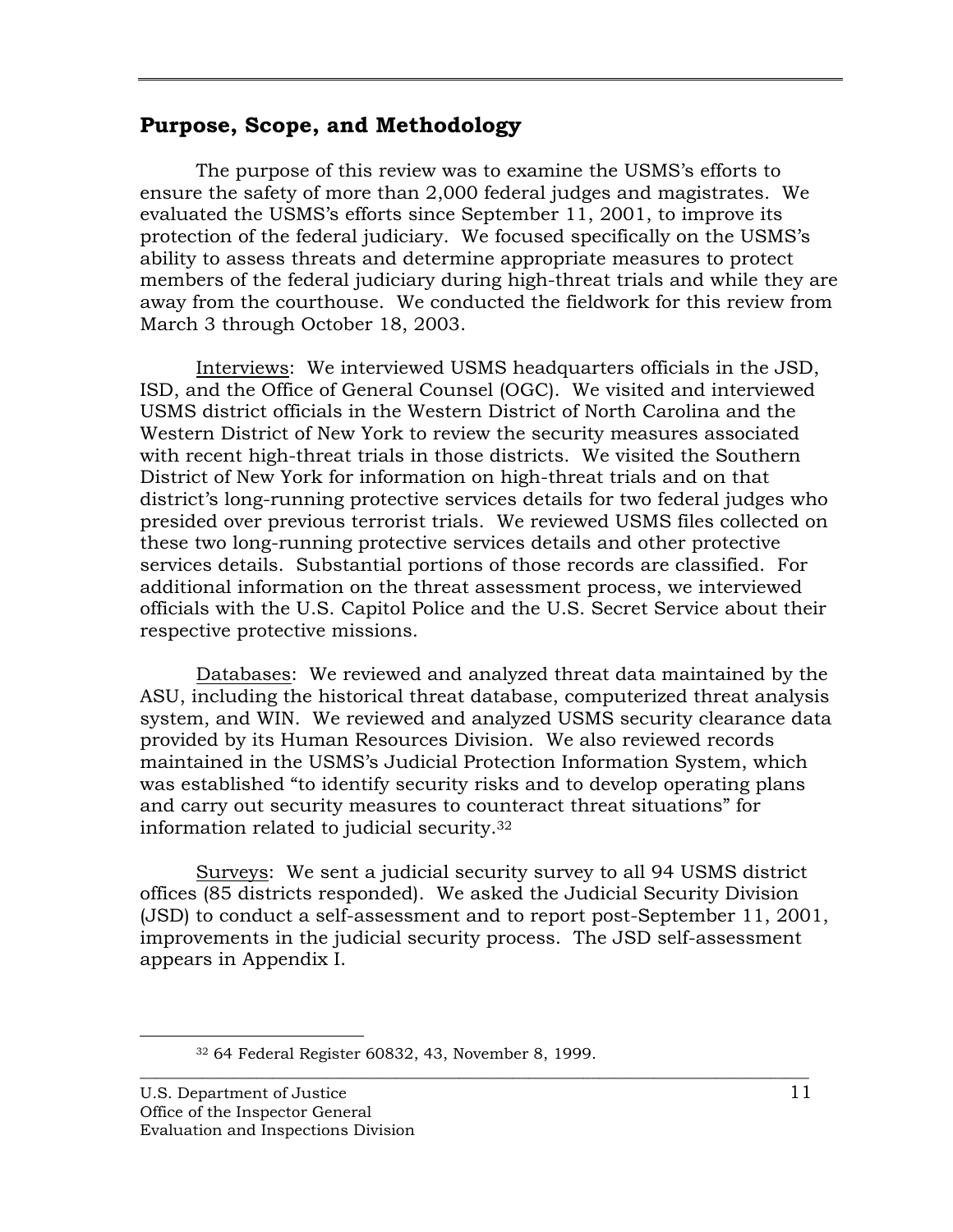# **Purpose, Scope, and Methodology**

The purpose of this review was to examine the USMS's efforts to ensure the safety of more than 2,000 federal judges and magistrates. We evaluated the USMS's efforts since September 11, 2001, to improve its protection of the federal judiciary. We focused specifically on the USMS's ability to assess threats and determine appropriate measures to protect members of the federal judiciary during high-threat trials and while they are away from the courthouse. We conducted the fieldwork for this review from March 3 through October 18, 2003.

Interviews: We interviewed USMS headquarters officials in the JSD, ISD, and the Office of General Counsel (OGC). We visited and interviewed USMS district officials in the Western District of North Carolina and the Western District of New York to review the security measures associated with recent high-threat trials in those districts. We visited the Southern District of New York for information on high-threat trials and on that district's long-running protective services details for two federal judges who presided over previous terrorist trials. We reviewed USMS files collected on these two long-running protective services details and other protective services details. Substantial portions of those records are classified. For additional information on the threat assessment process, we interviewed officials with the U.S. Capitol Police and the U.S. Secret Service about their respective protective missions.

Databases: We reviewed and analyzed threat data maintained by the ASU, including the historical threat database, computerized threat analysis system, and WIN. We reviewed and analyzed USMS security clearance data provided by its Human Resources Division. We also reviewed records maintained in the USMS's Judicial Protection Information System, which was established "to identify security risks and to develop operating plans and carry out security measures to counteract threat situations" for information related to judicial security.32

Surveys: We sent a judicial security survey to all 94 USMS district offices (85 districts responded). We asked the Judicial Security Division (JSD) to conduct a self-assessment and to report post-September 11, 2001, improvements in the judicial security process. The JSD self-assessment appears in Appendix I.

 <sup>32 64</sup> Federal Register 60832, 43, November 8, 1999.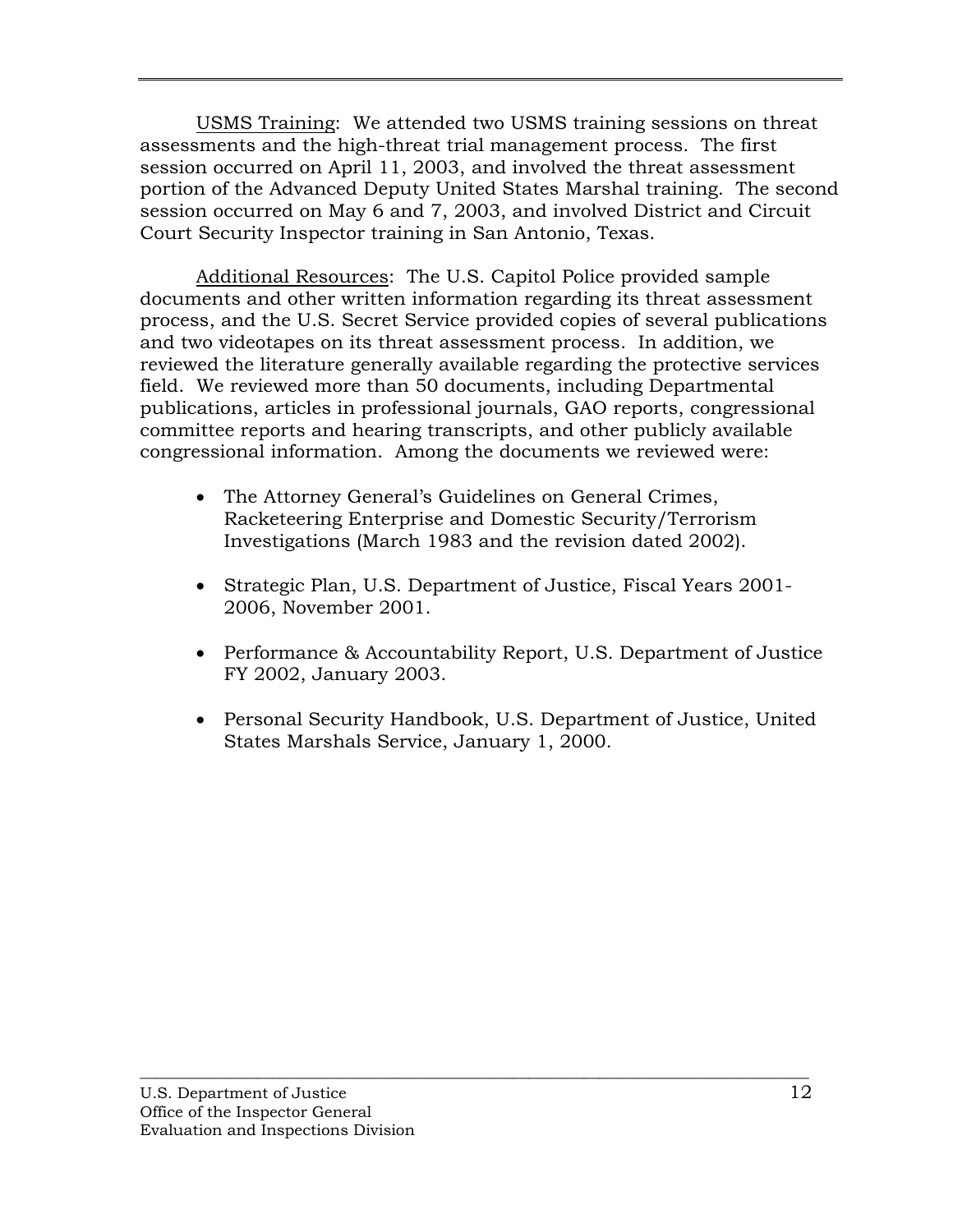USMS Training: We attended two USMS training sessions on threat assessments and the high-threat trial management process. The first session occurred on April 11, 2003, and involved the threat assessment portion of the Advanced Deputy United States Marshal training. The second session occurred on May 6 and 7, 2003, and involved District and Circuit Court Security Inspector training in San Antonio, Texas.

Additional Resources: The U.S. Capitol Police provided sample documents and other written information regarding its threat assessment process, and the U.S. Secret Service provided copies of several publications and two videotapes on its threat assessment process. In addition, we reviewed the literature generally available regarding the protective services field. We reviewed more than 50 documents, including Departmental publications, articles in professional journals, GAO reports, congressional committee reports and hearing transcripts, and other publicly available congressional information. Among the documents we reviewed were:

- The Attorney General's Guidelines on General Crimes, Racketeering Enterprise and Domestic Security/Terrorism Investigations (March 1983 and the revision dated 2002).
- Strategic Plan, U.S. Department of Justice, Fiscal Years 2001- 2006, November 2001.
- Performance & Accountability Report, U.S. Department of Justice FY 2002, January 2003.
- Personal Security Handbook, U.S. Department of Justice, United States Marshals Service, January 1, 2000.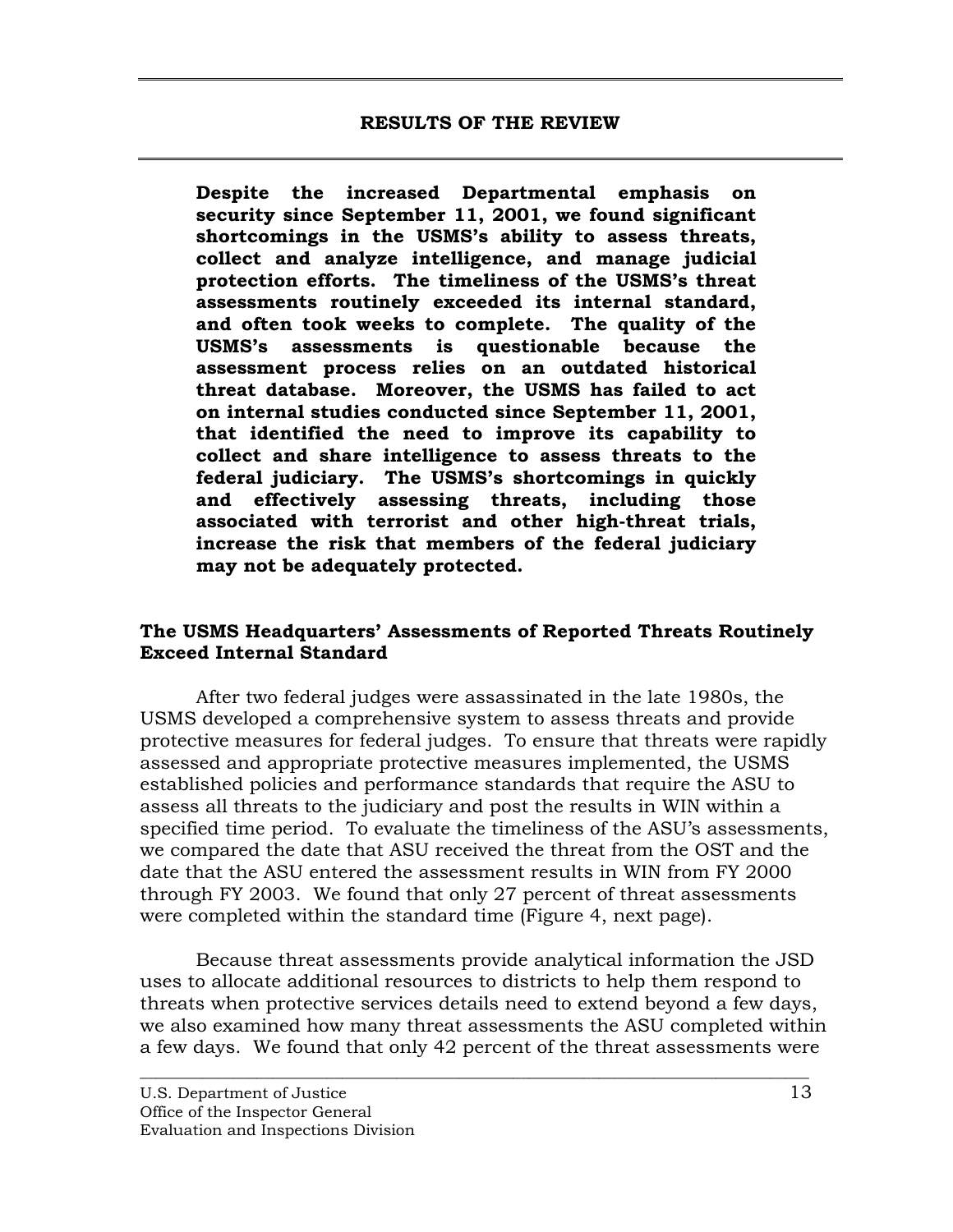<span id="page-21-0"></span>**Despite the increased Departmental emphasis on security since September 11, 2001, we found significant shortcomings in the USMS's ability to assess threats, collect and analyze intelligence, and manage judicial protection efforts. The timeliness of the USMS's threat assessments routinely exceeded its internal standard, and often took weeks to complete. The quality of the USMS's assessments is questionable because the assessment process relies on an outdated historical threat database. Moreover, the USMS has failed to act on internal studies conducted since September 11, 2001, that identified the need to improve its capability to collect and share intelligence to assess threats to the federal judiciary. The USMS's shortcomings in quickly and effectively assessing threats, including those associated with terrorist and other high-threat trials, increase the risk that members of the federal judiciary may not be adequately protected.** 

## **The USMS Headquarters' Assessments of Reported Threats Routinely Exceed Internal Standard**

After two federal judges were assassinated in the late 1980s, the USMS developed a comprehensive system to assess threats and provide protective measures for federal judges. To ensure that threats were rapidly assessed and appropriate protective measures implemented, the USMS established policies and performance standards that require the ASU to assess all threats to the judiciary and post the results in WIN within a specified time period. To evaluate the timeliness of the ASU's assessments, we compared the date that ASU received the threat from the OST and the date that the ASU entered the assessment results in WIN from FY 2000 through FY 2003. We found that only 27 percent of threat assessments were completed within the standard time (Figure 4, next page).

Because threat assessments provide analytical information the JSD uses to allocate additional resources to districts to help them respond to threats when protective services details need to extend beyond a few days, we also examined how many threat assessments the ASU completed within a few days. We found that only 42 percent of the threat assessments were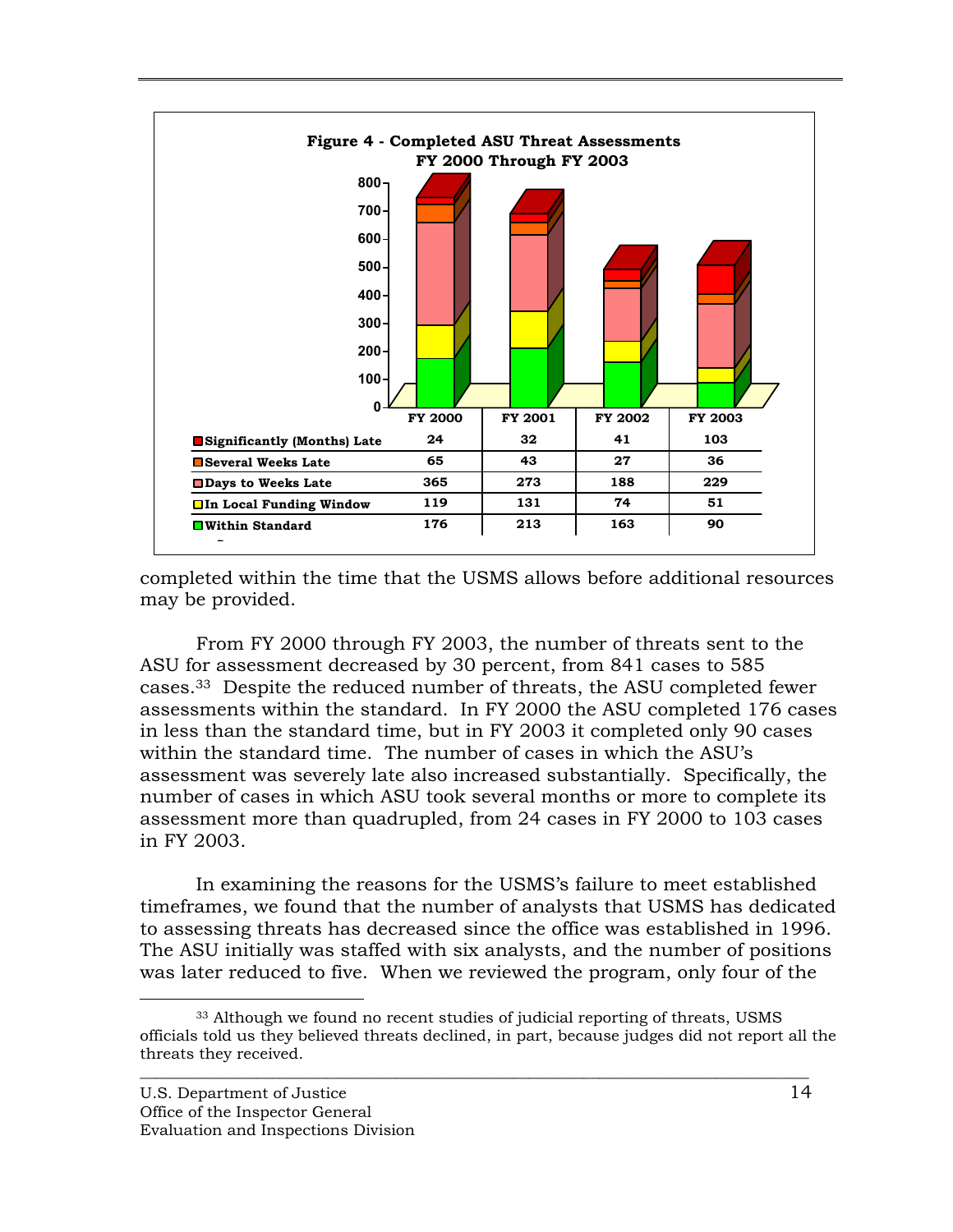

completed within the time that the USMS allows before additional resources may be provided.

From FY 2000 through FY 2003, the number of threats sent to the ASU for assessment decreased by 30 percent, from 841 cases to 585 cases.33 Despite the reduced number of threats, the ASU completed fewer assessments within the standard. In FY 2000 the ASU completed 176 cases in less than the standard time, but in FY 2003 it completed only 90 cases within the standard time. The number of cases in which the ASU's assessment was severely late also increased substantially. Specifically, the number of cases in which ASU took several months or more to complete its assessment more than quadrupled, from 24 cases in FY 2000 to 103 cases in FY 2003.

In examining the reasons for the USMS's failure to meet established timeframes, we found that the number of analysts that USMS has dedicated to assessing threats has decreased since the office was established in 1996. The ASU initially was staffed with six analysts, and the number of positions was later reduced to five. When we reviewed the program, only four of the

<sup>&</sup>lt;sup>33</sup> Although we found no recent studies of judicial reporting of threats, USMS officials told us they believed threats declined, in part, because judges did not report all the threats they received.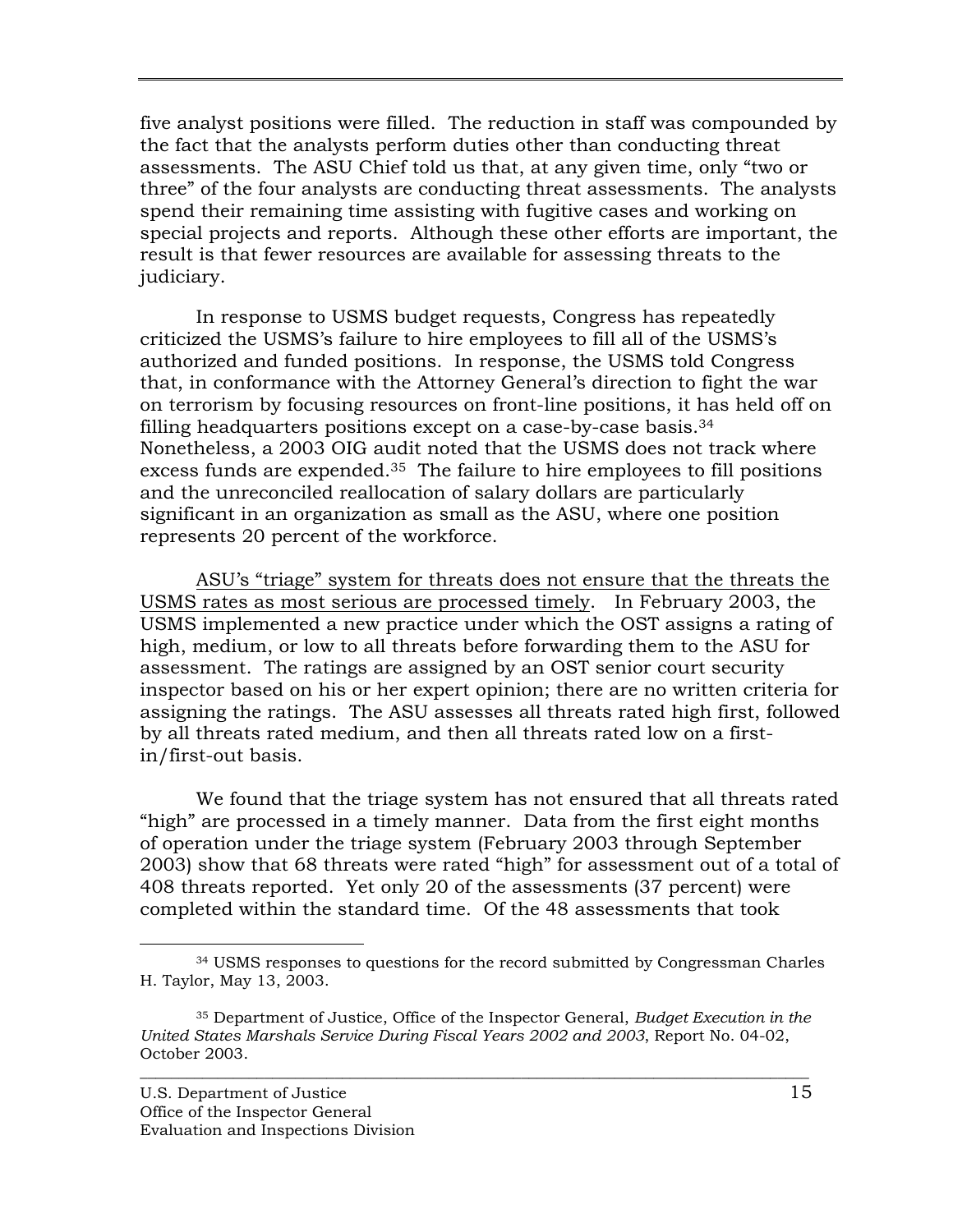five analyst positions were filled. The reduction in staff was compounded by the fact that the analysts perform duties other than conducting threat assessments. The ASU Chief told us that, at any given time, only "two or three" of the four analysts are conducting threat assessments. The analysts spend their remaining time assisting with fugitive cases and working on special projects and reports. Although these other efforts are important, the result is that fewer resources are available for assessing threats to the judiciary.

In response to USMS budget requests, Congress has repeatedly criticized the USMS's failure to hire employees to fill all of the USMS's authorized and funded positions. In response, the USMS told Congress that, in conformance with the Attorney General's direction to fight the war on terrorism by focusing resources on front-line positions, it has held off on filling headquarters positions except on a case-by-case basis.34 Nonetheless, a 2003 OIG audit noted that the USMS does not track where excess funds are expended.<sup>35</sup> The failure to hire employees to fill positions and the unreconciled reallocation of salary dollars are particularly significant in an organization as small as the ASU, where one position represents 20 percent of the workforce.

ASU's "triage" system for threats does not ensure that the threats the USMS rates as most serious are processed timely.In February 2003, the USMS implemented a new practice under which the OST assigns a rating of high, medium, or low to all threats before forwarding them to the ASU for assessment. The ratings are assigned by an OST senior court security inspector based on his or her expert opinion; there are no written criteria for assigning the ratings. The ASU assesses all threats rated high first, followed by all threats rated medium, and then all threats rated low on a firstin/first-out basis.

We found that the triage system has not ensured that all threats rated "high" are processed in a timely manner. Data from the first eight months of operation under the triage system (February 2003 through September 2003) show that 68 threats were rated "high" for assessment out of a total of 408 threats reported. Yet only 20 of the assessments (37 percent) were completed within the standard time. Of the 48 assessments that took

 <sup>34</sup> USMS responses to questions for the record submitted by Congressman Charles H. Taylor, May 13, 2003.

<sup>35</sup> Department of Justice, Office of the Inspector General, *Budget Execution in the United States Marshals Service During Fiscal Years 2002 and 2003*, Report No. 04-02, October 2003.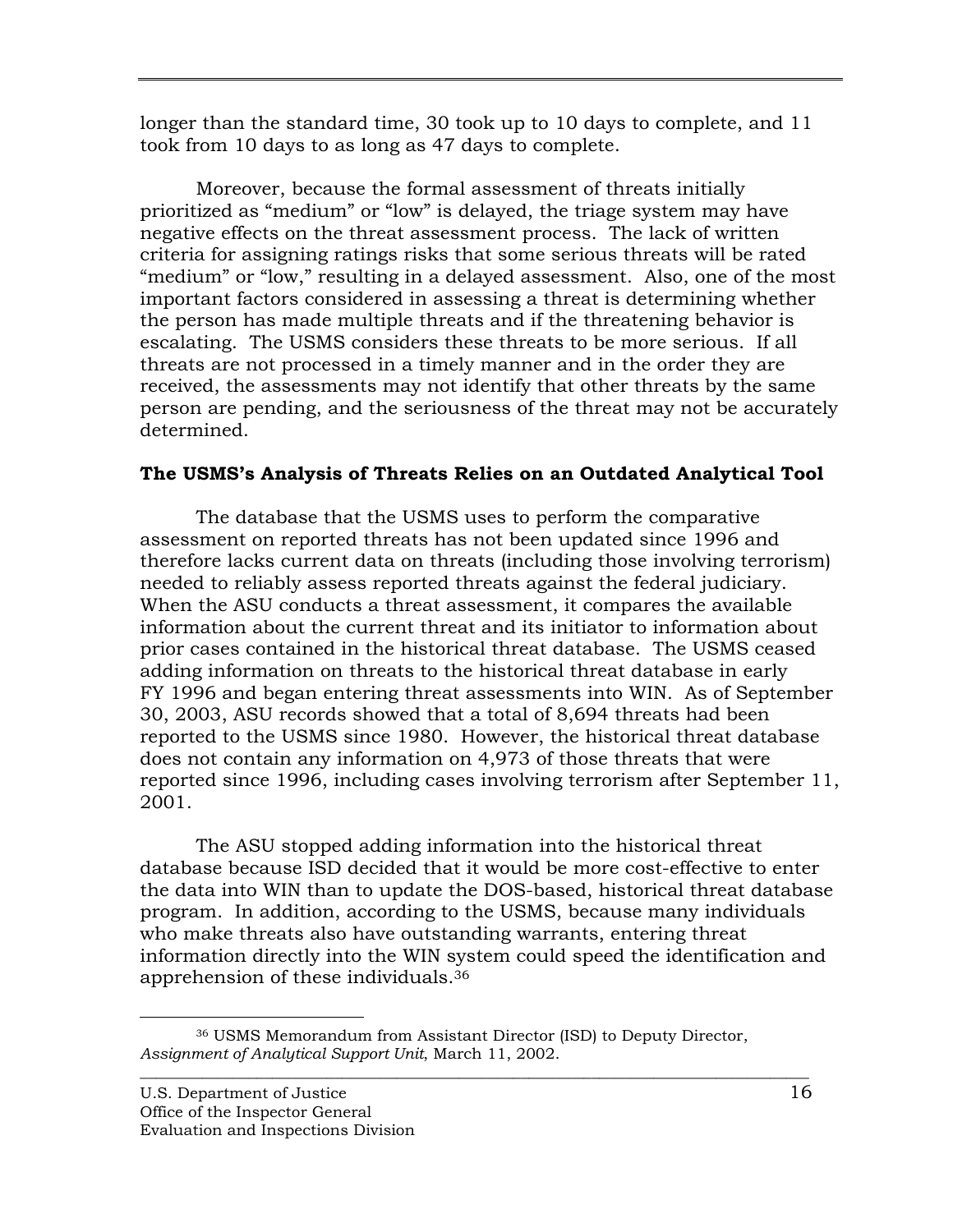longer than the standard time, 30 took up to 10 days to complete, and 11 took from 10 days to as long as 47 days to complete.

Moreover, because the formal assessment of threats initially prioritized as "medium" or "low" is delayed, the triage system may have negative effects on the threat assessment process. The lack of written criteria for assigning ratings risks that some serious threats will be rated "medium" or "low," resulting in a delayed assessment. Also, one of the most important factors considered in assessing a threat is determining whether the person has made multiple threats and if the threatening behavior is escalating. The USMS considers these threats to be more serious. If all threats are not processed in a timely manner and in the order they are received, the assessments may not identify that other threats by the same person are pending, and the seriousness of the threat may not be accurately determined.

## **The USMS's Analysis of Threats Relies on an Outdated Analytical Tool**

The database that the USMS uses to perform the comparative assessment on reported threats has not been updated since 1996 and therefore lacks current data on threats (including those involving terrorism) needed to reliably assess reported threats against the federal judiciary. When the ASU conducts a threat assessment, it compares the available information about the current threat and its initiator to information about prior cases contained in the historical threat database. The USMS ceased adding information on threats to the historical threat database in early FY 1996 and began entering threat assessments into WIN. As of September 30, 2003, ASU records showed that a total of 8,694 threats had been reported to the USMS since 1980. However, the historical threat database does not contain any information on 4,973 of those threats that were reported since 1996, including cases involving terrorism after September 11, 2001.

The ASU stopped adding information into the historical threat database because ISD decided that it would be more cost-effective to enter the data into WIN than to update the DOS-based, historical threat database program. In addition, according to the USMS, because many individuals who make threats also have outstanding warrants, entering threat information directly into the WIN system could speed the identification and apprehension of these individuals.36

 <sup>36</sup> USMS Memorandum from Assistant Director (ISD) to Deputy Director, *Assignment of Analytical Support Unit*, March 11, 2002.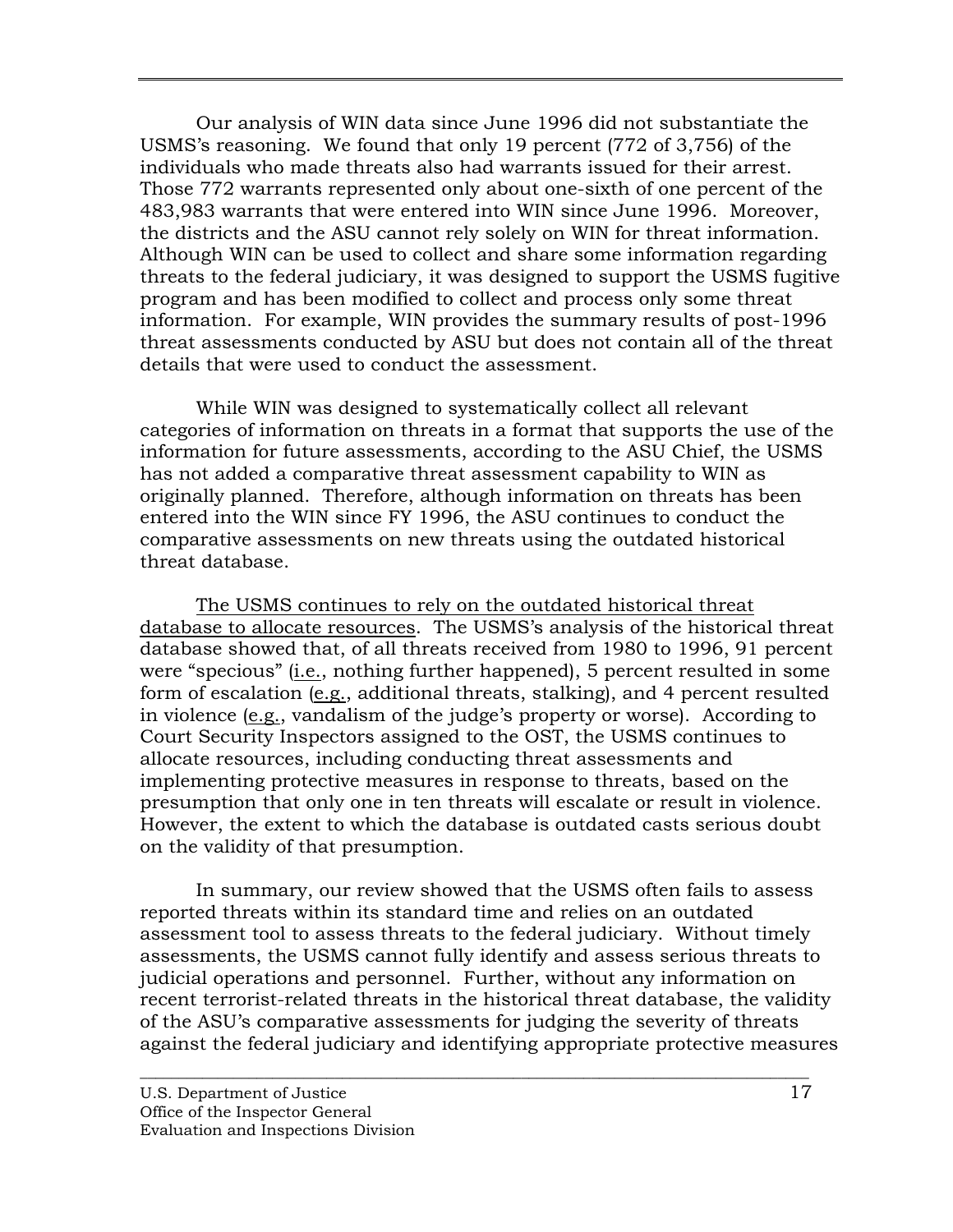Our analysis of WIN data since June 1996 did not substantiate the USMS's reasoning. We found that only 19 percent (772 of 3,756) of the individuals who made threats also had warrants issued for their arrest. Those 772 warrants represented only about one-sixth of one percent of the 483,983 warrants that were entered into WIN since June 1996. Moreover, the districts and the ASU cannot rely solely on WIN for threat information. Although WIN can be used to collect and share some information regarding threats to the federal judiciary, it was designed to support the USMS fugitive program and has been modified to collect and process only some threat information. For example, WIN provides the summary results of post-1996 threat assessments conducted by ASU but does not contain all of the threat details that were used to conduct the assessment.

While WIN was designed to systematically collect all relevant categories of information on threats in a format that supports the use of the information for future assessments, according to the ASU Chief, the USMS has not added a comparative threat assessment capability to WIN as originally planned. Therefore, although information on threats has been entered into the WIN since FY 1996, the ASU continues to conduct the comparative assessments on new threats using the outdated historical threat database.

The USMS continues to rely on the outdated historical threat database to allocate resources. The USMS's analysis of the historical threat database showed that, of all threats received from 1980 to 1996, 91 percent were "specious" (i.e., nothing further happened), 5 percent resulted in some form of escalation (e.g., additional threats, stalking), and 4 percent resulted in violence (e.g., vandalism of the judge's property or worse). According to Court Security Inspectors assigned to the OST, the USMS continues to allocate resources, including conducting threat assessments and implementing protective measures in response to threats, based on the presumption that only one in ten threats will escalate or result in violence. However, the extent to which the database is outdated casts serious doubt on the validity of that presumption.

In summary, our review showed that the USMS often fails to assess reported threats within its standard time and relies on an outdated assessment tool to assess threats to the federal judiciary. Without timely assessments, the USMS cannot fully identify and assess serious threats to judicial operations and personnel. Further, without any information on recent terrorist-related threats in the historical threat database, the validity of the ASU's comparative assessments for judging the severity of threats against the federal judiciary and identifying appropriate protective measures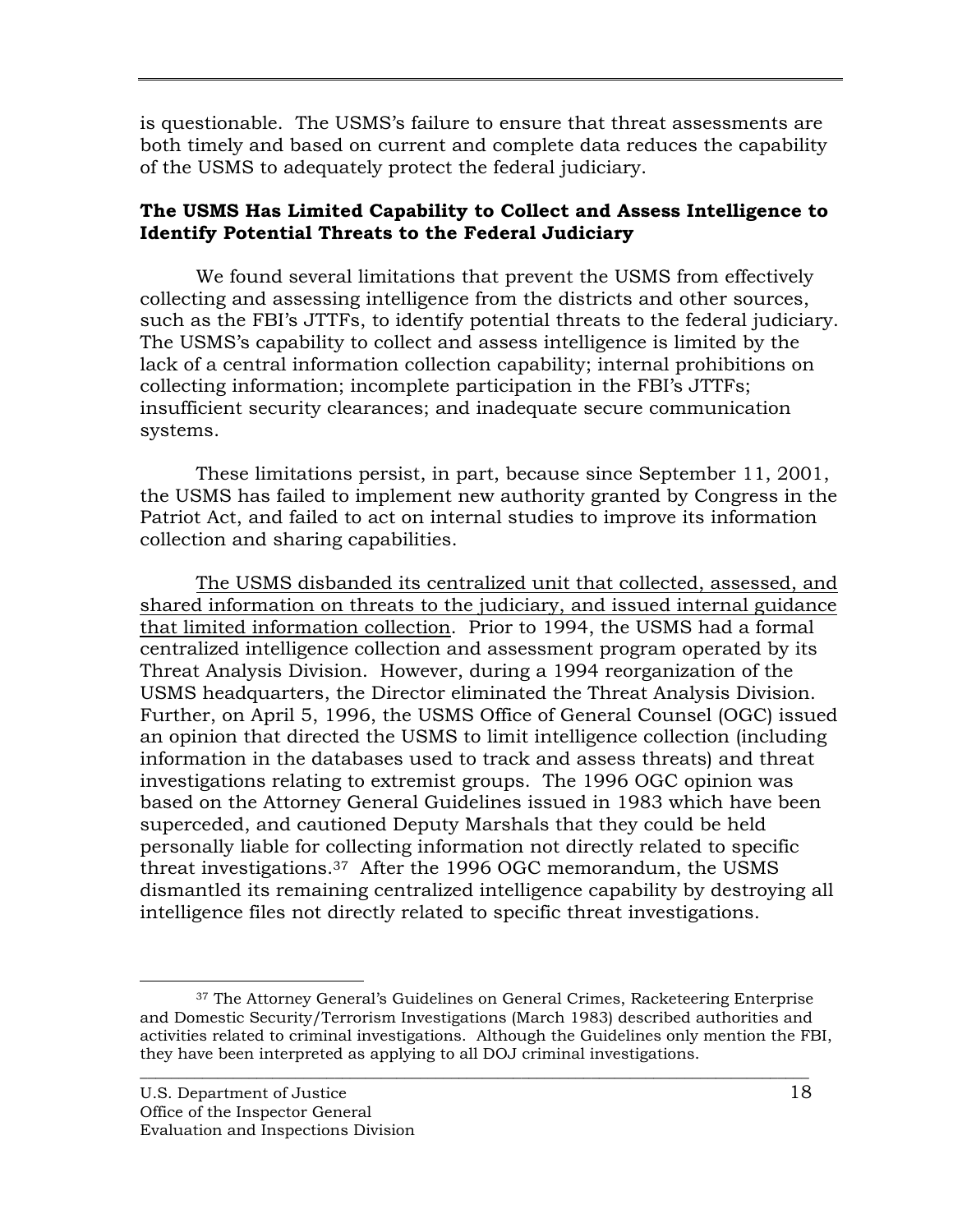<span id="page-26-0"></span>is questionable. The USMS's failure to ensure that threat assessments are both timely and based on current and complete data reduces the capability of the USMS to adequately protect the federal judiciary.

## **The USMS Has Limited Capability to Collect and Assess Intelligence to Identify Potential Threats to the Federal Judiciary**

We found several limitations that prevent the USMS from effectively collecting and assessing intelligence from the districts and other sources, such as the FBI's JTTFs, to identify potential threats to the federal judiciary. The USMS's capability to collect and assess intelligence is limited by the lack of a central information collection capability; internal prohibitions on collecting information; incomplete participation in the FBI's JTTFs; insufficient security clearances; and inadequate secure communication systems.

These limitations persist, in part, because since September 11, 2001, the USMS has failed to implement new authority granted by Congress in the Patriot Act, and failed to act on internal studies to improve its information collection and sharing capabilities.

The USMS disbanded its centralized unit that collected, assessed, and shared information on threats to the judiciary, and issued internal guidance that limited information collection. Prior to 1994, the USMS had a formal centralized intelligence collection and assessment program operated by its Threat Analysis Division. However, during a 1994 reorganization of the USMS headquarters, the Director eliminated the Threat Analysis Division. Further, on April 5, 1996, the USMS Office of General Counsel (OGC) issued an opinion that directed the USMS to limit intelligence collection (including information in the databases used to track and assess threats) and threat investigations relating to extremist groups. The 1996 OGC opinion was based on the Attorney General Guidelines issued in 1983 which have been superceded, and cautioned Deputy Marshals that they could be held personally liable for collecting information not directly related to specific threat investigations.37 After the 1996 OGC memorandum, the USMS dismantled its remaining centralized intelligence capability by destroying all intelligence files not directly related to specific threat investigations.

<sup>&</sup>lt;sup>37</sup> The Attorney General's Guidelines on General Crimes, Racketeering Enterprise and Domestic Security/Terrorism Investigations (March 1983) described authorities and activities related to criminal investigations. Although the Guidelines only mention the FBI, they have been interpreted as applying to all DOJ criminal investigations.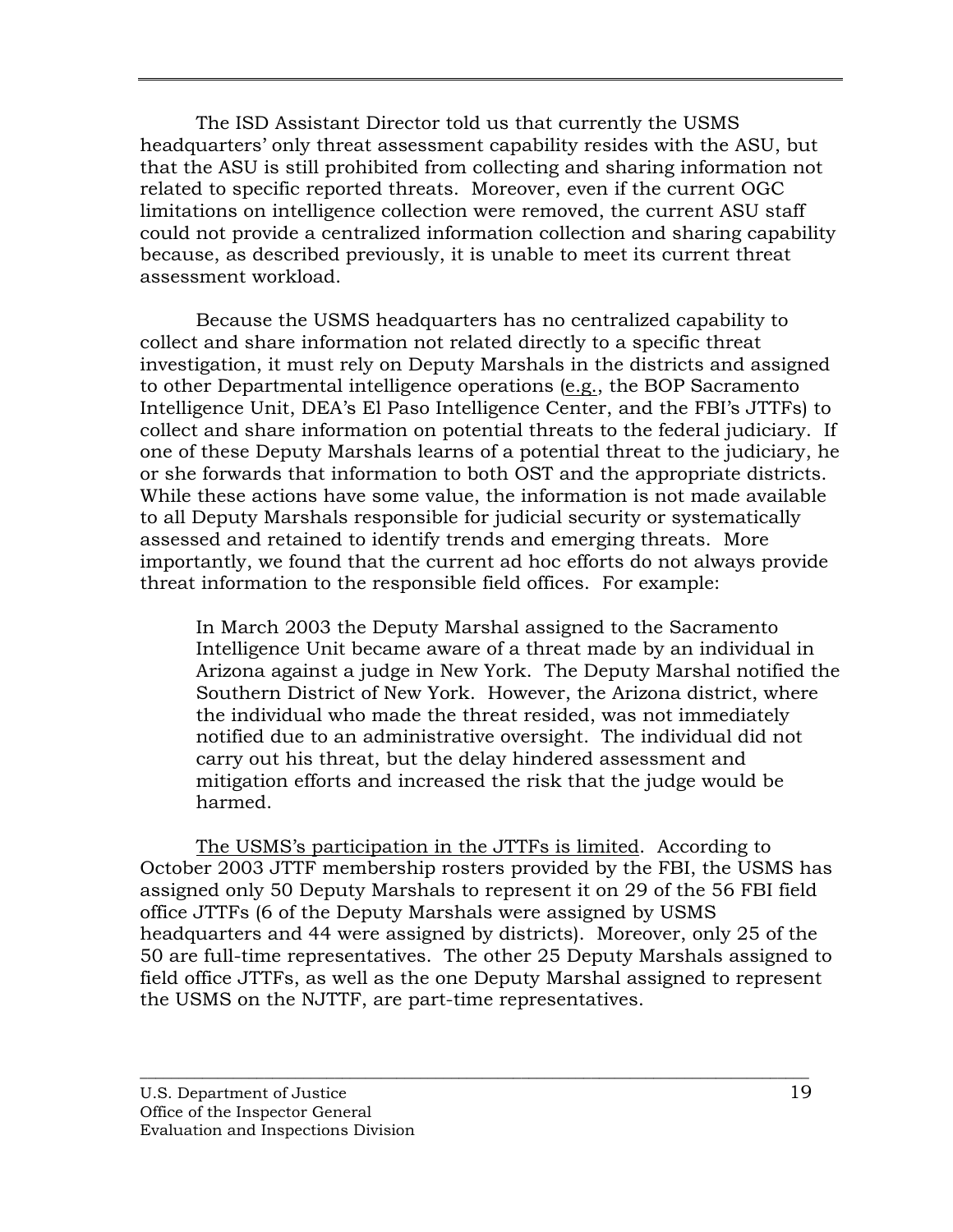The ISD Assistant Director told us that currently the USMS headquarters' only threat assessment capability resides with the ASU, but that the ASU is still prohibited from collecting and sharing information not related to specific reported threats. Moreover, even if the current OGC limitations on intelligence collection were removed, the current ASU staff could not provide a centralized information collection and sharing capability because, as described previously, it is unable to meet its current threat assessment workload.

Because the USMS headquarters has no centralized capability to collect and share information not related directly to a specific threat investigation, it must rely on Deputy Marshals in the districts and assigned to other Departmental intelligence operations (e.g., the BOP Sacramento Intelligence Unit, DEA's El Paso Intelligence Center, and the FBI's JTTFs) to collect and share information on potential threats to the federal judiciary. If one of these Deputy Marshals learns of a potential threat to the judiciary, he or she forwards that information to both OST and the appropriate districts. While these actions have some value, the information is not made available to all Deputy Marshals responsible for judicial security or systematically assessed and retained to identify trends and emerging threats. More importantly, we found that the current ad hoc efforts do not always provide threat information to the responsible field offices. For example:

In March 2003 the Deputy Marshal assigned to the Sacramento Intelligence Unit became aware of a threat made by an individual in Arizona against a judge in New York. The Deputy Marshal notified the Southern District of New York. However, the Arizona district, where the individual who made the threat resided, was not immediately notified due to an administrative oversight. The individual did not carry out his threat, but the delay hindered assessment and mitigation efforts and increased the risk that the judge would be harmed.

The USMS's participation in the JTTFs is limited. According to October 2003 JTTF membership rosters provided by the FBI, the USMS has assigned only 50 Deputy Marshals to represent it on 29 of the 56 FBI field office JTTFs (6 of the Deputy Marshals were assigned by USMS headquarters and 44 were assigned by districts). Moreover, only 25 of the 50 are full-time representatives. The other 25 Deputy Marshals assigned to field office JTTFs, as well as the one Deputy Marshal assigned to represent the USMS on the NJTTF, are part-time representatives.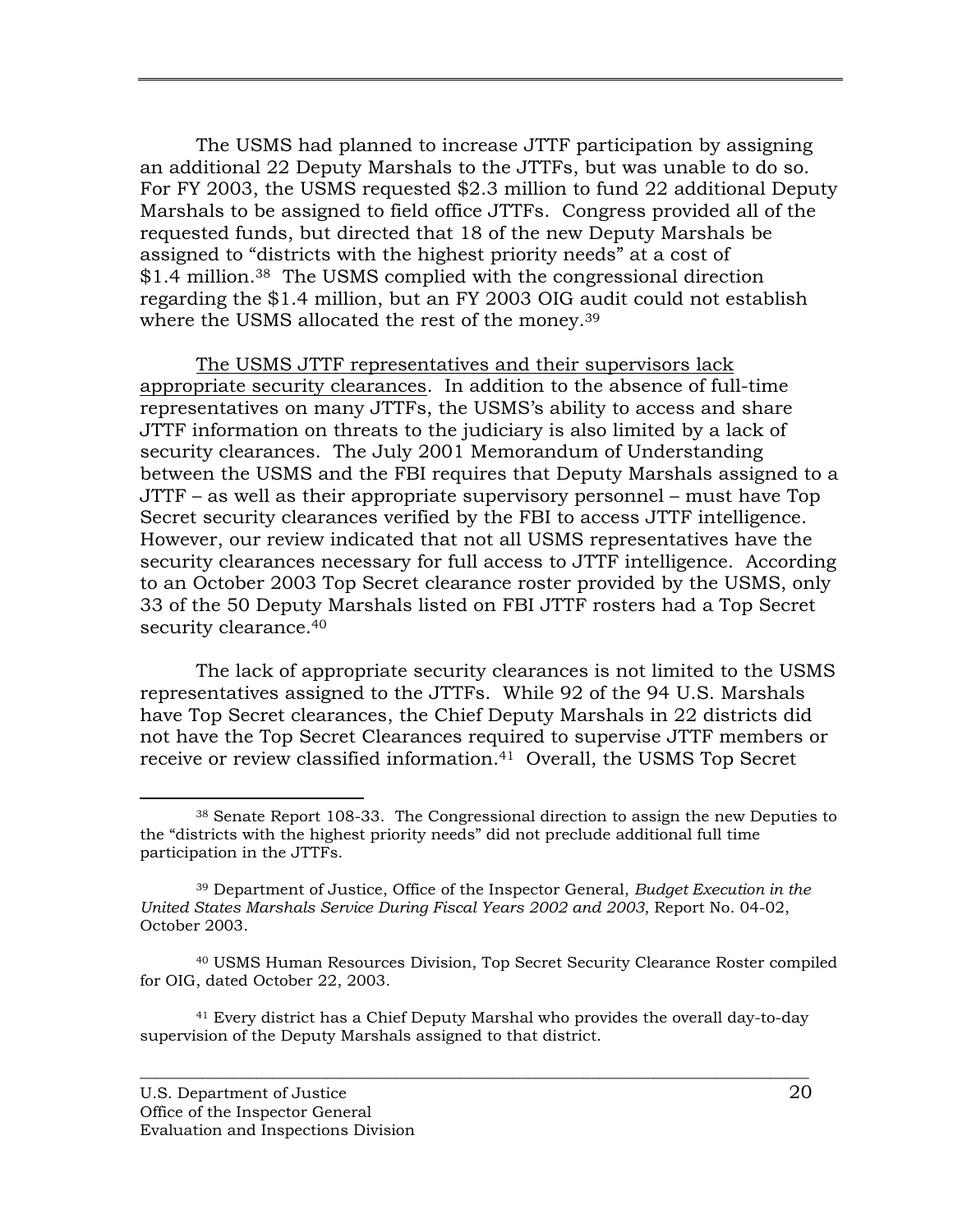<span id="page-28-0"></span>The USMS had planned to increase JTTF participation by assigning an additional 22 Deputy Marshals to the JTTFs, but was unable to do so. For FY 2003, the USMS requested \$2.3 million to fund 22 additional Deputy Marshals to be assigned to field office JTTFs. Congress provided all of the requested funds, but directed that 18 of the new Deputy Marshals be assigned to "districts with the highest priority needs" at a cost of \$1.4 million.<sup>38</sup> The USMS complied with the congressional direction regarding the \$1.4 million, but an FY 2003 OIG audit could not establish where the USMS allocated the rest of the money.<sup>39</sup>

The USMS JTTF representatives and their supervisors lack appropriate security clearances. In addition to the absence of full-time representatives on many JTTFs, the USMS's ability to access and share JTTF information on threats to the judiciary is also limited by a lack of security clearances. The July 2001 Memorandum of Understanding between the USMS and the FBI requires that Deputy Marshals assigned to a JTTF – as well as their appropriate supervisory personnel – must have Top Secret security clearances verified by the FBI to access JTTF intelligence. However, our review indicated that not all USMS representatives have the security clearances necessary for full access to JTTF intelligence. According to an October 2003 Top Secret clearance roster provided by the USMS, only 33 of the 50 Deputy Marshals listed on FBI JTTF rosters had a Top Secret security clearance.<sup>40</sup>

The lack of appropriate security clearances is not limited to the USMS representatives assigned to the JTTFs. While 92 of the 94 U.S. Marshals have Top Secret clearances, the Chief Deputy Marshals in 22 districts did not have the Top Secret Clearances required to supervise JTTF members or receive or review classified information.41 Overall, the USMS Top Secret

41 Every district has a Chief Deputy Marshal who provides the overall day-to-day supervision of the Deputy Marshals assigned to that district.

 <sup>38</sup> Senate Report 108-33. The Congressional direction to assign the new Deputies to the "districts with the highest priority needs" did not preclude additional full time participation in the JTTFs.

<sup>39</sup> Department of Justice, Office of the Inspector General, *Budget Execution in the United States Marshals Service During Fiscal Years 2002 and 2003*, Report No. 04-02, October 2003.

<sup>40</sup> USMS Human Resources Division, Top Secret Security Clearance Roster compiled for OIG, dated October 22, 2003.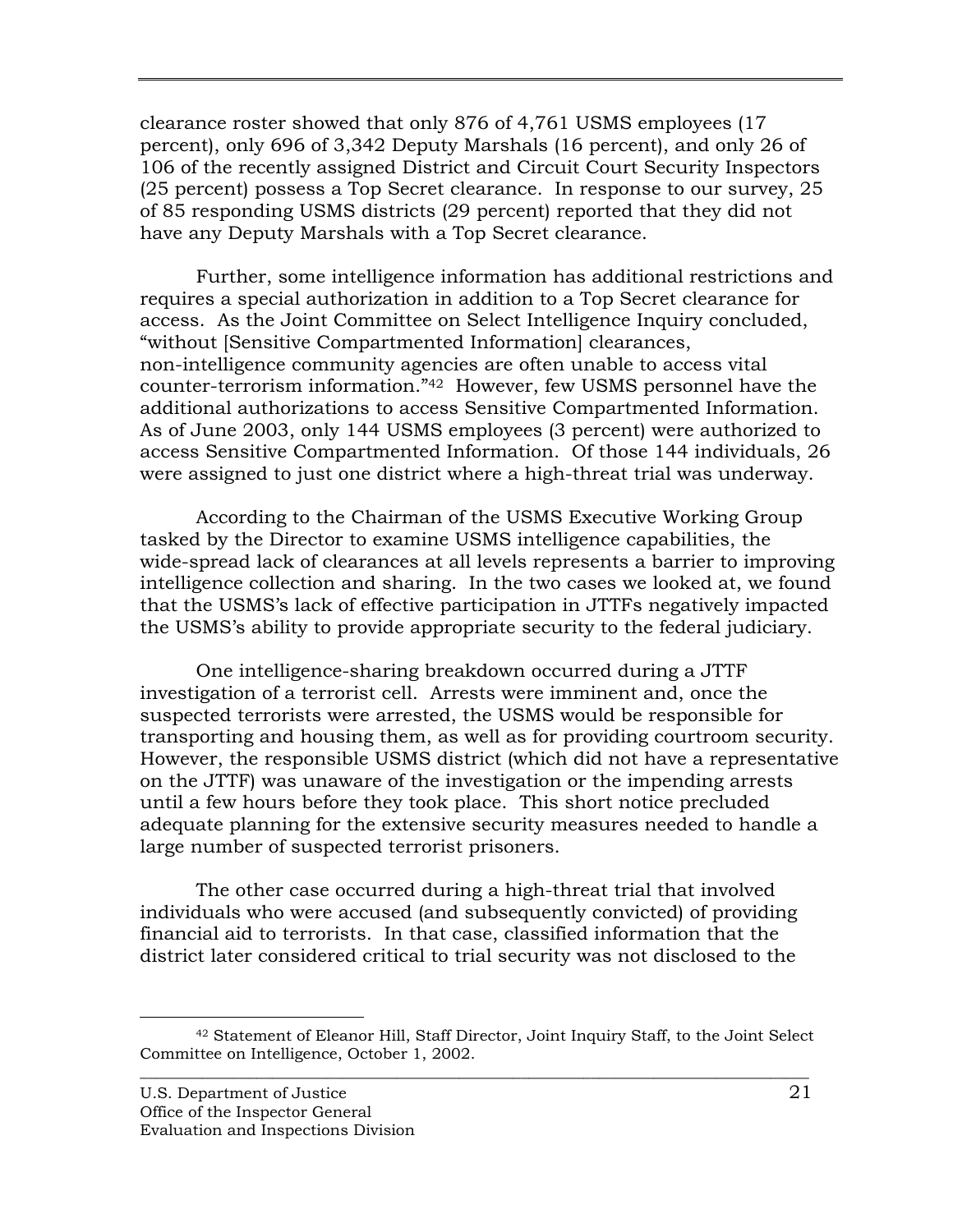clearance roster showed that only 876 of 4,761 USMS employees (17 percent), only 696 of 3,342 Deputy Marshals (16 percent), and only 26 of 106 of the recently assigned District and Circuit Court Security Inspectors (25 percent) possess a Top Secret clearance. In response to our survey, 25 of 85 responding USMS districts (29 percent) reported that they did not have any Deputy Marshals with a Top Secret clearance.

Further, some intelligence information has additional restrictions and requires a special authorization in addition to a Top Secret clearance for access. As the Joint Committee on Select Intelligence Inquiry concluded, "without [Sensitive Compartmented Information] clearances, non-intelligence community agencies are often unable to access vital counter-terrorism information."42 However, few USMS personnel have the additional authorizations to access Sensitive Compartmented Information. As of June 2003, only 144 USMS employees (3 percent) were authorized to access Sensitive Compartmented Information. Of those 144 individuals, 26 were assigned to just one district where a high-threat trial was underway.

According to the Chairman of the USMS Executive Working Group tasked by the Director to examine USMS intelligence capabilities, the wide-spread lack of clearances at all levels represents a barrier to improving intelligence collection and sharing. In the two cases we looked at, we found that the USMS's lack of effective participation in JTTFs negatively impacted the USMS's ability to provide appropriate security to the federal judiciary.

One intelligence-sharing breakdown occurred during a JTTF investigation of a terrorist cell. Arrests were imminent and, once the suspected terrorists were arrested, the USMS would be responsible for transporting and housing them, as well as for providing courtroom security. However, the responsible USMS district (which did not have a representative on the JTTF) was unaware of the investigation or the impending arrests until a few hours before they took place. This short notice precluded adequate planning for the extensive security measures needed to handle a large number of suspected terrorist prisoners.

The other case occurred during a high-threat trial that involved individuals who were accused (and subsequently convicted) of providing financial aid to terrorists. In that case, classified information that the district later considered critical to trial security was not disclosed to the

 $\overline{\phantom{a}}$  ,  $\overline{\phantom{a}}$  ,  $\overline{\phantom{a}}$  ,  $\overline{\phantom{a}}$  ,  $\overline{\phantom{a}}$  ,  $\overline{\phantom{a}}$  ,  $\overline{\phantom{a}}$  ,  $\overline{\phantom{a}}$  ,  $\overline{\phantom{a}}$  ,  $\overline{\phantom{a}}$  ,  $\overline{\phantom{a}}$  ,  $\overline{\phantom{a}}$  ,  $\overline{\phantom{a}}$  ,  $\overline{\phantom{a}}$  ,  $\overline{\phantom{a}}$  ,  $\overline{\phantom{a}}$  42 Statement of Eleanor Hill, Staff Director, Joint Inquiry Staff, to the Joint Select Committee on Intelligence, October 1, 2002.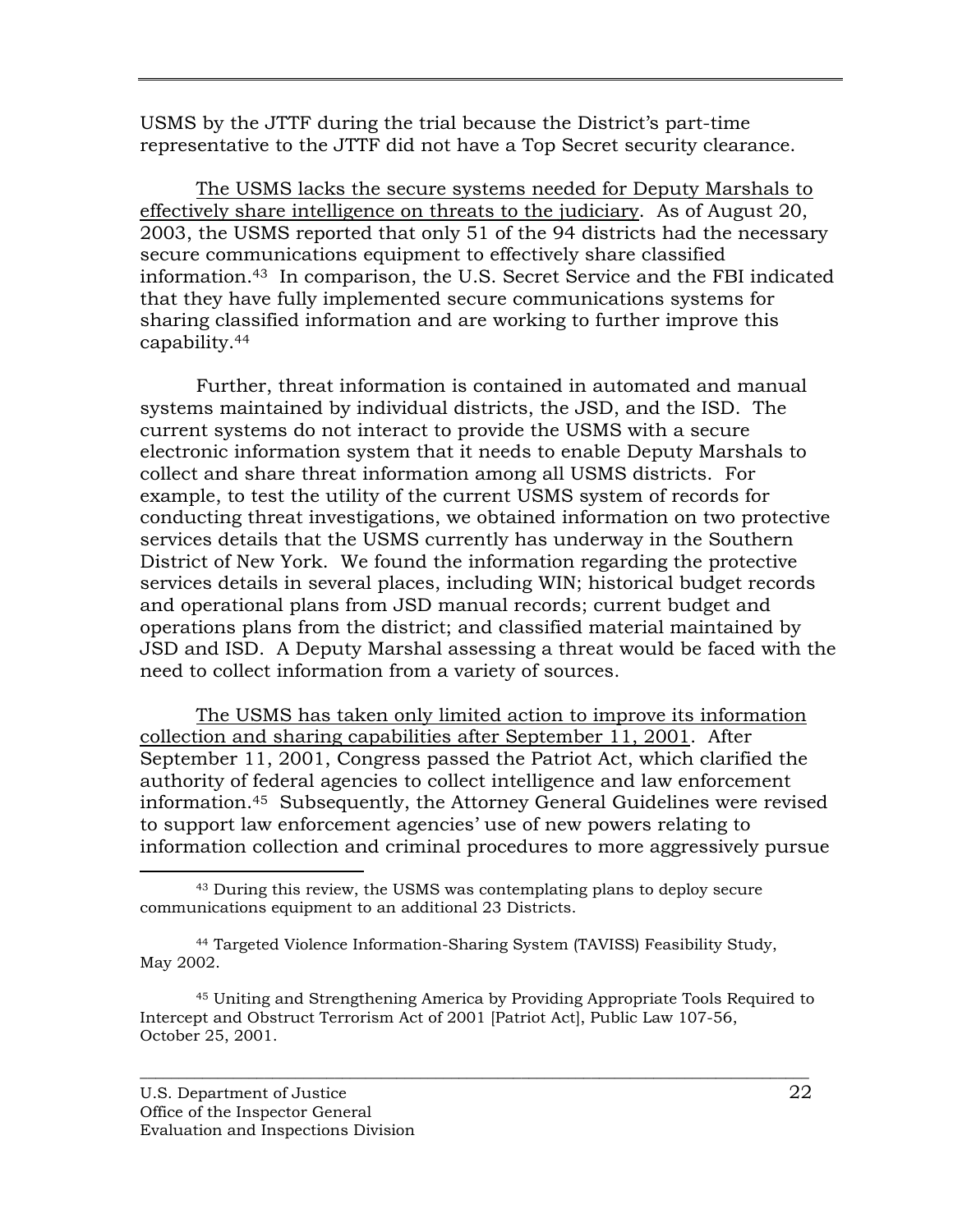USMS by the JTTF during the trial because the District's part-time representative to the JTTF did not have a Top Secret security clearance.

The USMS lacks the secure systems needed for Deputy Marshals to effectively share intelligence on threats to the judiciary. As of August 20, 2003, the USMS reported that only 51 of the 94 districts had the necessary secure communications equipment to effectively share classified information.43 In comparison, the U.S. Secret Service and the FBI indicated that they have fully implemented secure communications systems for sharing classified information and are working to further improve this capability.44

Further, threat information is contained in automated and manual systems maintained by individual districts, the JSD, and the ISD. The current systems do not interact to provide the USMS with a secure electronic information system that it needs to enable Deputy Marshals to collect and share threat information among all USMS districts. For example, to test the utility of the current USMS system of records for conducting threat investigations, we obtained information on two protective services details that the USMS currently has underway in the Southern District of New York. We found the information regarding the protective services details in several places, including WIN; historical budget records and operational plans from JSD manual records; current budget and operations plans from the district; and classified material maintained by JSD and ISD. A Deputy Marshal assessing a threat would be faced with the need to collect information from a variety of sources.

The USMS has taken only limited action to improve its information collection and sharing capabilities after September 11, 2001. After September 11, 2001, Congress passed the Patriot Act, which clarified the authority of federal agencies to collect intelligence and law enforcement information.45 Subsequently, the Attorney General Guidelines were revised to support law enforcement agencies' use of new powers relating to information collection and criminal procedures to more aggressively pursue

 <sup>43</sup> During this review, the USMS was contemplating plans to deploy secure communications equipment to an additional 23 Districts.

<sup>44</sup> Targeted Violence Information-Sharing System (TAVISS) Feasibility Study, May 2002.

<sup>45</sup> Uniting and Strengthening America by Providing Appropriate Tools Required to Intercept and Obstruct Terrorism Act of 2001 [Patriot Act], Public Law 107-56, October 25, 2001.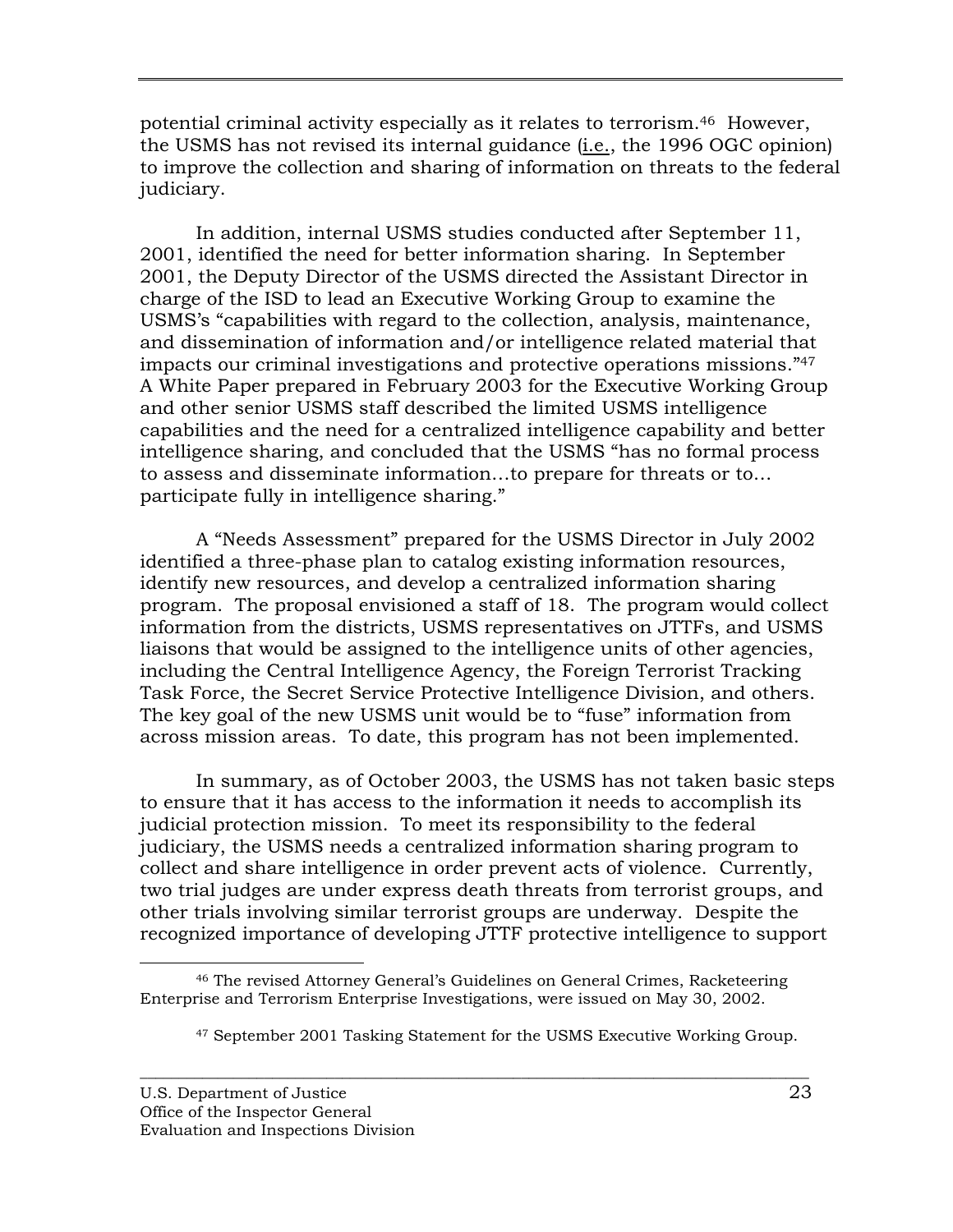potential criminal activity especially as it relates to terrorism.46 However, the USMS has not revised its internal guidance (i.e., the 1996 OGC opinion) to improve the collection and sharing of information on threats to the federal judiciary.

In addition, internal USMS studies conducted after September 11, 2001, identified the need for better information sharing. In September 2001, the Deputy Director of the USMS directed the Assistant Director in charge of the ISD to lead an Executive Working Group to examine the USMS's "capabilities with regard to the collection, analysis, maintenance, and dissemination of information and/or intelligence related material that impacts our criminal investigations and protective operations missions."47 A White Paper prepared in February 2003 for the Executive Working Group and other senior USMS staff described the limited USMS intelligence capabilities and the need for a centralized intelligence capability and better intelligence sharing, and concluded that the USMS "has no formal process to assess and disseminate information…to prepare for threats or to… participate fully in intelligence sharing."

A "Needs Assessment" prepared for the USMS Director in July 2002 identified a three-phase plan to catalog existing information resources, identify new resources, and develop a centralized information sharing program. The proposal envisioned a staff of 18. The program would collect information from the districts, USMS representatives on JTTFs, and USMS liaisons that would be assigned to the intelligence units of other agencies, including the Central Intelligence Agency, the Foreign Terrorist Tracking Task Force, the Secret Service Protective Intelligence Division, and others. The key goal of the new USMS unit would be to "fuse" information from across mission areas. To date, this program has not been implemented.

In summary, as of October 2003, the USMS has not taken basic steps to ensure that it has access to the information it needs to accomplish its judicial protection mission. To meet its responsibility to the federal judiciary, the USMS needs a centralized information sharing program to collect and share intelligence in order prevent acts of violence. Currently, two trial judges are under express death threats from terrorist groups, and other trials involving similar terrorist groups are underway. Despite the recognized importance of developing JTTF protective intelligence to support

 <sup>46</sup> The revised Attorney General's Guidelines on General Crimes, Racketeering Enterprise and Terrorism Enterprise Investigations, were issued on May 30, 2002.

<sup>47</sup> September 2001 Tasking Statement for the USMS Executive Working Group.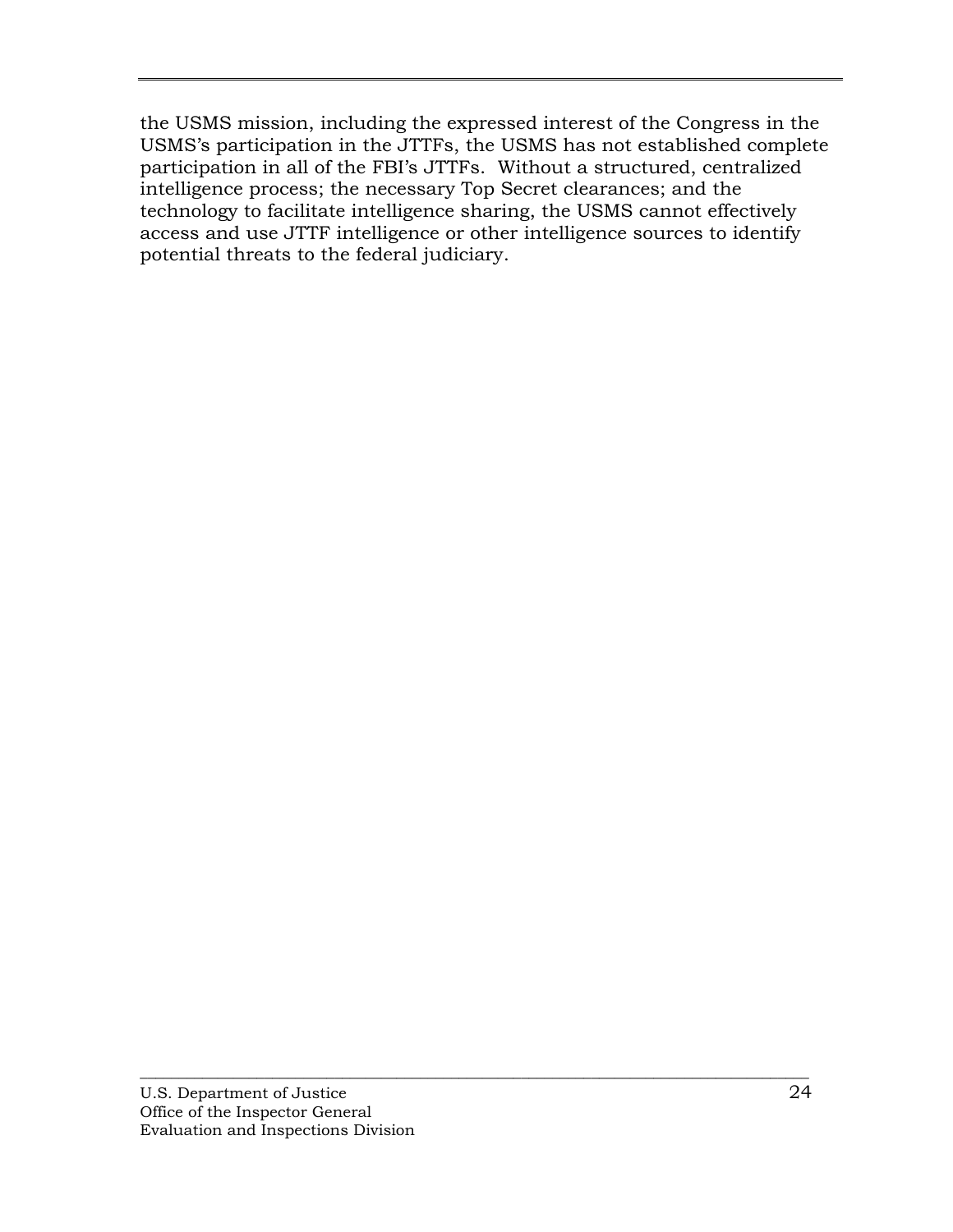the USMS mission, including the expressed interest of the Congress in the USMS's participation in the JTTFs, the USMS has not established complete participation in all of the FBI's JTTFs. Without a structured, centralized intelligence process; the necessary Top Secret clearances; and the technology to facilitate intelligence sharing, the USMS cannot effectively access and use JTTF intelligence or other intelligence sources to identify potential threats to the federal judiciary.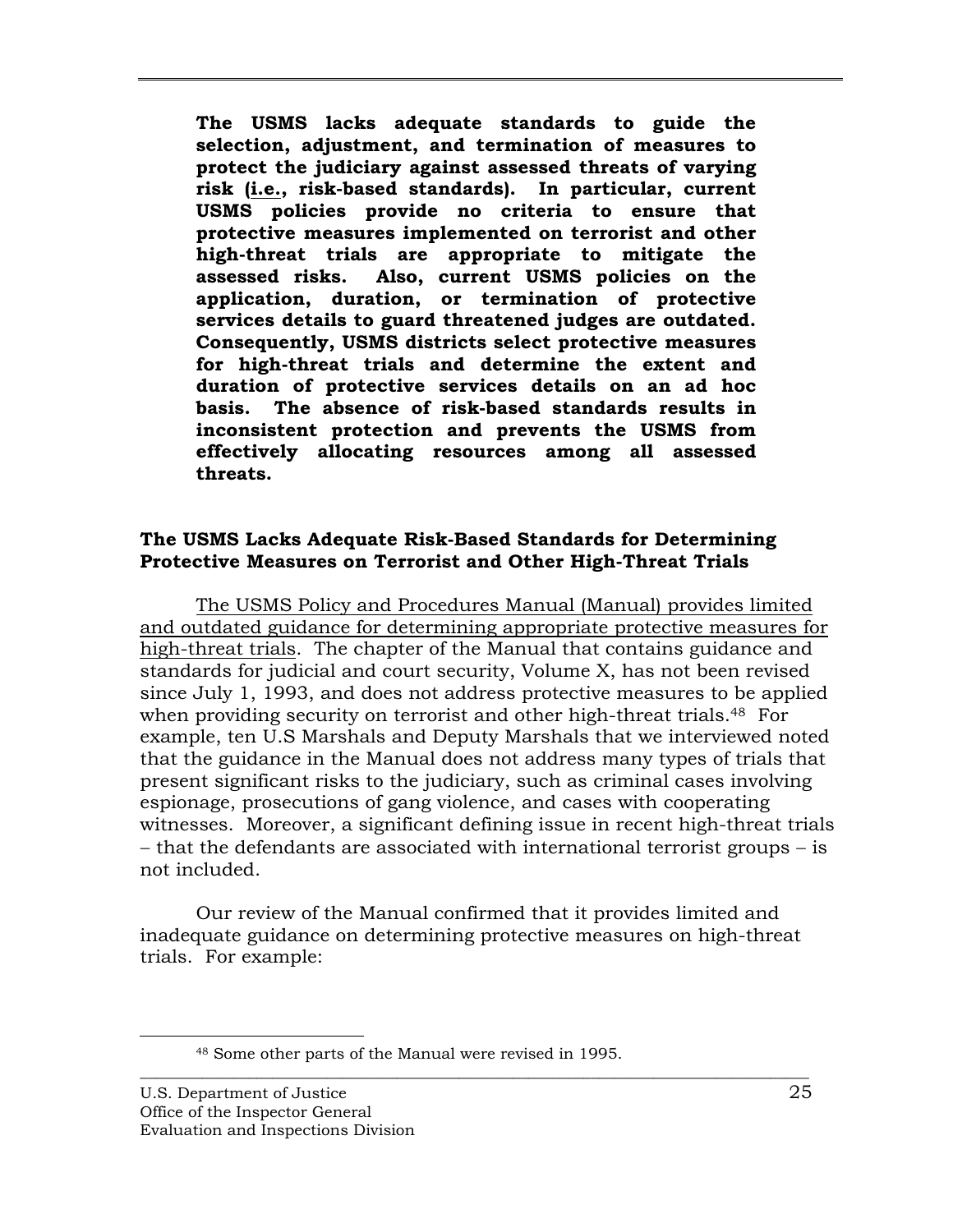<span id="page-33-0"></span>**The USMS lacks adequate standards to guide the selection, adjustment, and termination of measures to protect the judiciary against assessed threats of varying risk (i.e., risk-based standards). In particular, current USMS policies provide no criteria to ensure that protective measures implemented on terrorist and other high-threat trials are appropriate to mitigate the assessed risks. Also, current USMS policies on the application, duration, or termination of protective services details to guard threatened judges are outdated. Consequently, USMS districts select protective measures for high-threat trials and determine the extent and duration of protective services details on an ad hoc basis. The absence of risk-based standards results in inconsistent protection and prevents the USMS from effectively allocating resources among all assessed threats.** 

## **The USMS Lacks Adequate Risk-Based Standards for Determining Protective Measures on Terrorist and Other High-Threat Trials**

The USMS Policy and Procedures Manual (Manual) provides limited and outdated guidance for determining appropriate protective measures for high-threat trials. The chapter of the Manual that contains guidance and standards for judicial and court security, Volume X, has not been revised since July 1, 1993, and does not address protective measures to be applied when providing security on terrorist and other high-threat trials.<sup>48</sup> For example, ten U.S Marshals and Deputy Marshals that we interviewed noted that the guidance in the Manual does not address many types of trials that present significant risks to the judiciary, such as criminal cases involving espionage, prosecutions of gang violence, and cases with cooperating witnesses. Moreover, a significant defining issue in recent high-threat trials − that the defendants are associated with international terrorist groups − is not included.

Our review of the Manual confirmed that it provides limited and inadequate guidance on determining protective measures on high-threat trials. For example:

 <sup>48</sup> Some other parts of the Manual were revised in 1995.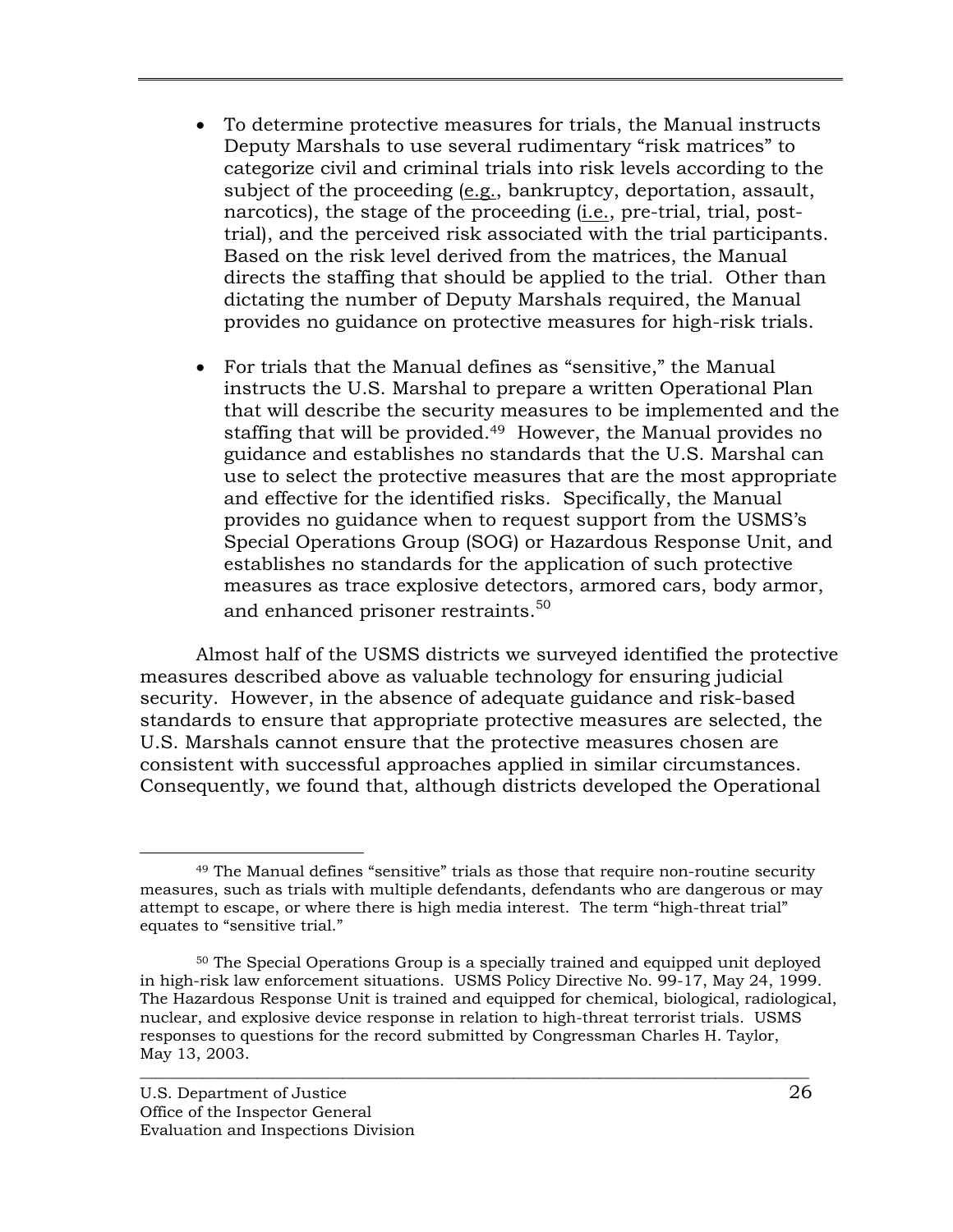- To determine protective measures for trials, the Manual instructs Deputy Marshals to use several rudimentary "risk matrices" to categorize civil and criminal trials into risk levels according to the subject of the proceeding (e.g., bankruptcy, deportation, assault, narcotics), the stage of the proceeding (i.e., pre-trial, trial, posttrial), and the perceived risk associated with the trial participants. Based on the risk level derived from the matrices, the Manual directs the staffing that should be applied to the trial. Other than dictating the number of Deputy Marshals required, the Manual provides no guidance on protective measures for high-risk trials.
- For trials that the Manual defines as "sensitive," the Manual instructs the U.S. Marshal to prepare a written Operational Plan that will describe the security measures to be implemented and the staffing that will be provided.<sup>49</sup> However, the Manual provides no guidance and establishes no standards that the U.S. Marshal can use to select the protective measures that are the most appropriate and effective for the identified risks. Specifically, the Manual provides no guidance when to request support from the USMS's Special Operations Group (SOG) or Hazardous Response Unit, and establishes no standards for the application of such protective measures as trace explosive detectors, armored cars, body armor, and enhanced prisoner restraints.<sup>50</sup>

Almost half of the USMS districts we surveyed identified the protective measures described above as valuable technology for ensuring judicial security. However, in the absence of adequate guidance and risk-based standards to ensure that appropriate protective measures are selected, the U.S. Marshals cannot ensure that the protective measures chosen are consistent with successful approaches applied in similar circumstances. Consequently, we found that, although districts developed the Operational

 <sup>49</sup> The Manual defines "sensitive" trials as those that require non-routine security measures, such as trials with multiple defendants, defendants who are dangerous or may attempt to escape, or where there is high media interest. The term "high-threat trial" equates to "sensitive trial."

<sup>50</sup> The Special Operations Group is a specially trained and equipped unit deployed in high-risk law enforcement situations. USMS Policy Directive No. 99-17, May 24, 1999. The Hazardous Response Unit is trained and equipped for chemical, biological, radiological, nuclear, and explosive device response in relation to high-threat terrorist trials. USMS responses to questions for the record submitted by Congressman Charles H. Taylor, May 13, 2003.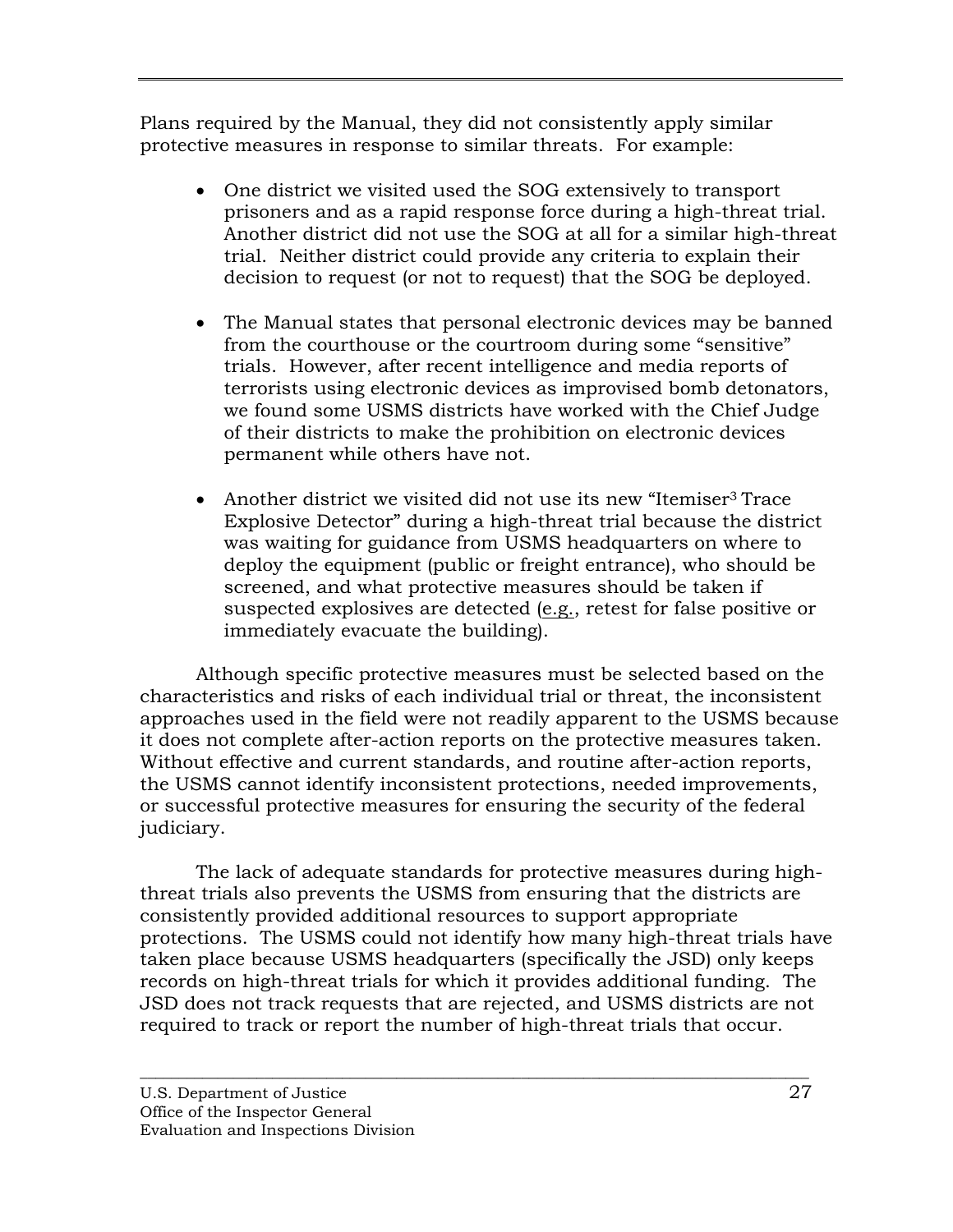Plans required by the Manual, they did not consistently apply similar protective measures in response to similar threats. For example:

- One district we visited used the SOG extensively to transport prisoners and as a rapid response force during a high-threat trial. Another district did not use the SOG at all for a similar high-threat trial. Neither district could provide any criteria to explain their decision to request (or not to request) that the SOG be deployed.
- The Manual states that personal electronic devices may be banned from the courthouse or the courtroom during some "sensitive" trials. However, after recent intelligence and media reports of terrorists using electronic devices as improvised bomb detonators, we found some USMS districts have worked with the Chief Judge of their districts to make the prohibition on electronic devices permanent while others have not.
- Another district we visited did not use its new "Itemiser<sup>3</sup> Trace Explosive Detector" during a high-threat trial because the district was waiting for guidance from USMS headquarters on where to deploy the equipment (public or freight entrance), who should be screened, and what protective measures should be taken if suspected explosives are detected (e.g., retest for false positive or immediately evacuate the building).

Although specific protective measures must be selected based on the characteristics and risks of each individual trial or threat, the inconsistent approaches used in the field were not readily apparent to the USMS because it does not complete after-action reports on the protective measures taken. Without effective and current standards, and routine after-action reports, the USMS cannot identify inconsistent protections, needed improvements, or successful protective measures for ensuring the security of the federal judiciary.

The lack of adequate standards for protective measures during highthreat trials also prevents the USMS from ensuring that the districts are consistently provided additional resources to support appropriate protections. The USMS could not identify how many high-threat trials have taken place because USMS headquarters (specifically the JSD) only keeps records on high-threat trials for which it provides additional funding. The JSD does not track requests that are rejected, and USMS districts are not required to track or report the number of high-threat trials that occur.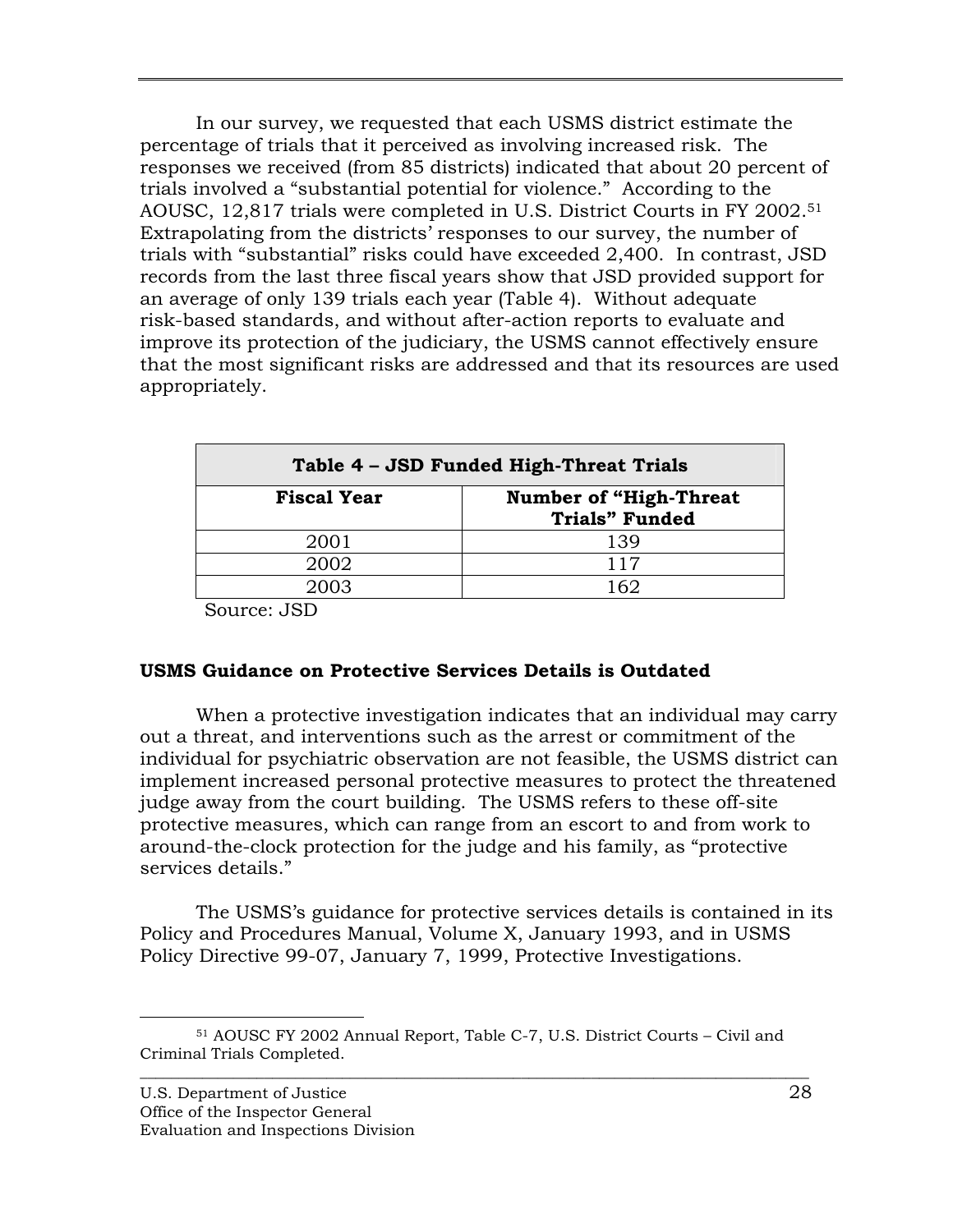<span id="page-36-0"></span>In our survey, we requested that each USMS district estimate the percentage of trials that it perceived as involving increased risk. The responses we received (from 85 districts) indicated that about 20 percent of trials involved a "substantial potential for violence." According to the AOUSC, 12,817 trials were completed in U.S. District Courts in FY 2002.51 Extrapolating from the districts' responses to our survey, the number of trials with "substantial" risks could have exceeded 2,400. In contrast, JSD records from the last three fiscal years show that JSD provided support for an average of only 139 trials each year (Table 4). Without adequate risk-based standards, and without after-action reports to evaluate and improve its protection of the judiciary, the USMS cannot effectively ensure that the most significant risks are addressed and that its resources are used appropriately.

| Table 4 - JSD Funded High-Threat Trials |                                                        |  |  |
|-----------------------------------------|--------------------------------------------------------|--|--|
| <b>Fiscal Year</b>                      | <b>Number of "High-Threat</b><br><b>Trials" Funded</b> |  |  |
| 2001                                    | 139                                                    |  |  |
| 2002                                    | 117                                                    |  |  |
| 2003                                    | 162                                                    |  |  |

Source: JSD

## **USMS Guidance on Protective Services Details is Outdated**

When a protective investigation indicates that an individual may carry out a threat, and interventions such as the arrest or commitment of the individual for psychiatric observation are not feasible, the USMS district can implement increased personal protective measures to protect the threatened judge away from the court building. The USMS refers to these off-site protective measures, which can range from an escort to and from work to around-the-clock protection for the judge and his family, as "protective services details."

The USMS's guidance for protective services details is contained in its Policy and Procedures Manual, Volume X, January 1993, and in USMS Policy Directive 99-07, January 7, 1999, Protective Investigations.

 <sup>51</sup> AOUSC FY 2002 Annual Report, Table C-7, U.S. District Courts – Civil and Criminal Trials Completed.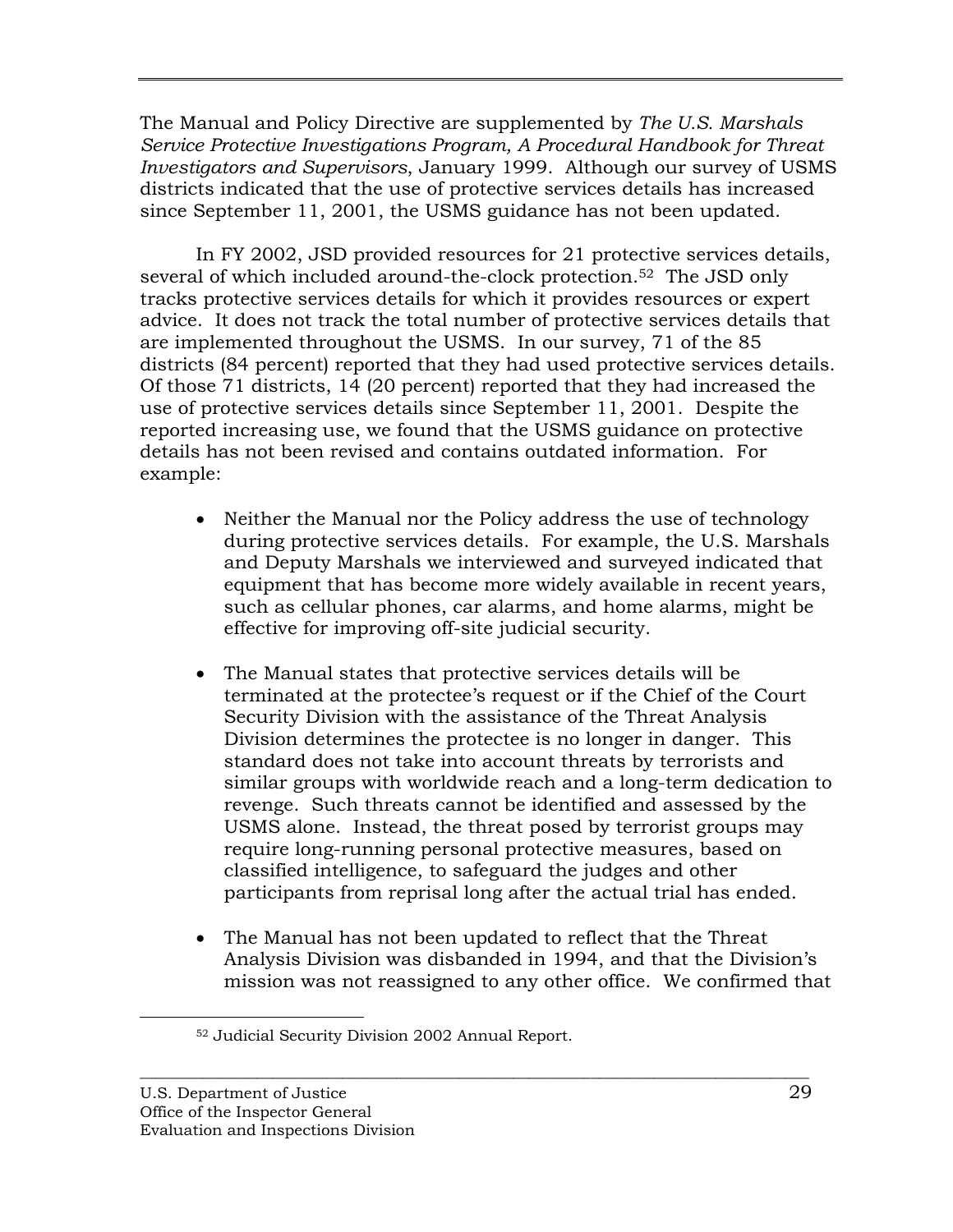The Manual and Policy Directive are supplemented by *The U.S. Marshals Service Protective Investigations Program, A Procedural Handbook for Threat Investigators and Supervisors*, January 1999. Although our survey of USMS districts indicated that the use of protective services details has increased since September 11, 2001, the USMS guidance has not been updated.

In FY 2002, JSD provided resources for 21 protective services details, several of which included around-the-clock protection.52 The JSD only tracks protective services details for which it provides resources or expert advice. It does not track the total number of protective services details that are implemented throughout the USMS. In our survey, 71 of the 85 districts (84 percent) reported that they had used protective services details. Of those 71 districts, 14 (20 percent) reported that they had increased the use of protective services details since September 11, 2001. Despite the reported increasing use, we found that the USMS guidance on protective details has not been revised and contains outdated information. For example:

- Neither the Manual nor the Policy address the use of technology during protective services details. For example, the U.S. Marshals and Deputy Marshals we interviewed and surveyed indicated that equipment that has become more widely available in recent years, such as cellular phones, car alarms, and home alarms, might be effective for improving off-site judicial security.
- The Manual states that protective services details will be terminated at the protectee's request or if the Chief of the Court Security Division with the assistance of the Threat Analysis Division determines the protectee is no longer in danger. This standard does not take into account threats by terrorists and similar groups with worldwide reach and a long-term dedication to revenge. Such threats cannot be identified and assessed by the USMS alone. Instead, the threat posed by terrorist groups may require long-running personal protective measures, based on classified intelligence, to safeguard the judges and other participants from reprisal long after the actual trial has ended.
- The Manual has not been updated to reflect that the Threat Analysis Division was disbanded in 1994, and that the Division's mission was not reassigned to any other office. We confirmed that

 <sup>52</sup> Judicial Security Division 2002 Annual Report.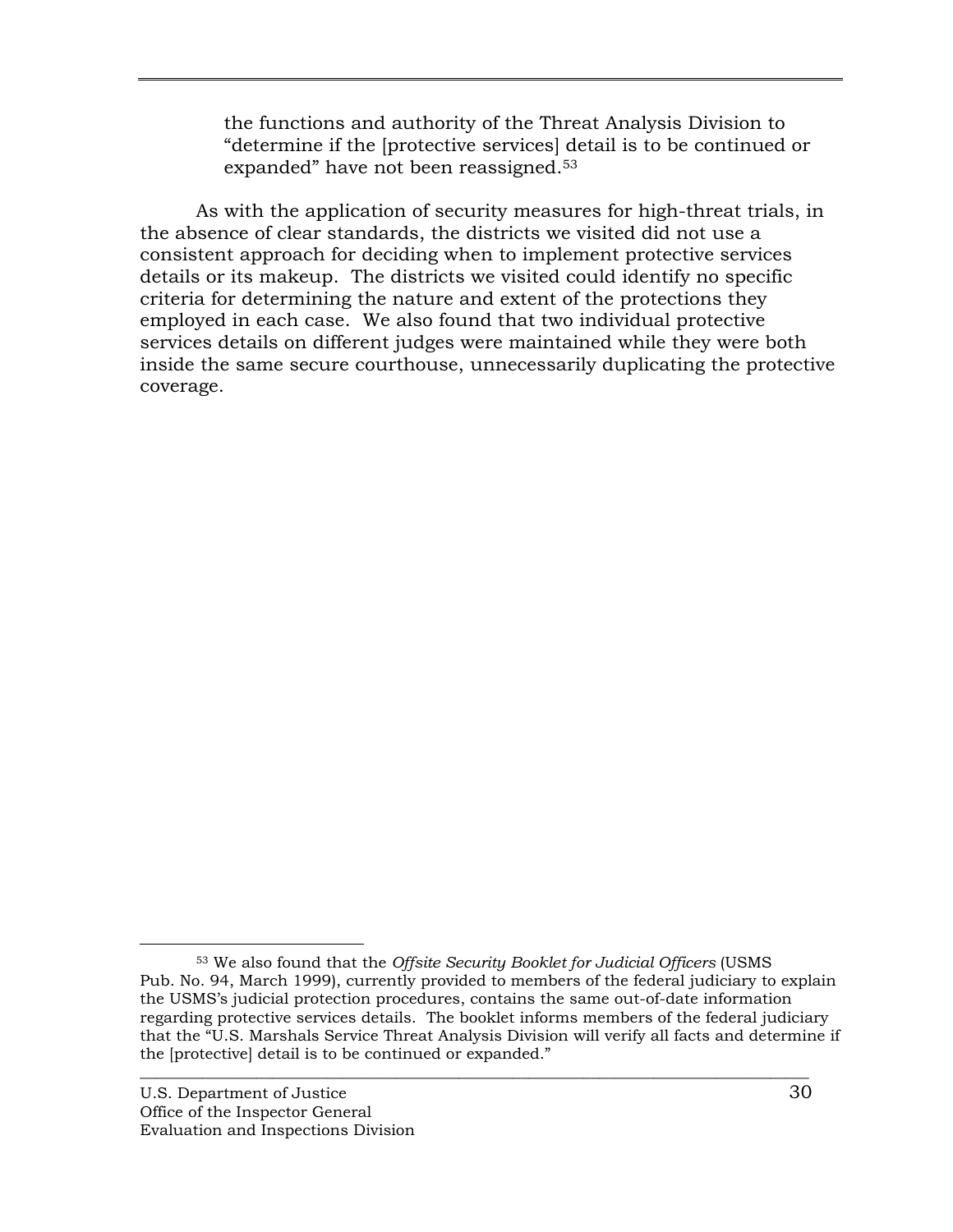the functions and authority of the Threat Analysis Division to "determine if the [protective services] detail is to be continued or expanded" have not been reassigned.53

As with the application of security measures for high-threat trials, in the absence of clear standards, the districts we visited did not use a consistent approach for deciding when to implement protective services details or its makeup. The districts we visited could identify no specific criteria for determining the nature and extent of the protections they employed in each case. We also found that two individual protective services details on different judges were maintained while they were both inside the same secure courthouse, unnecessarily duplicating the protective coverage.

 <sup>53</sup> We also found that the *Offsite Security Booklet for Judicial Officers* (USMS Pub. No. 94, March 1999), currently provided to members of the federal judiciary to explain the USMS's judicial protection procedures, contains the same out-of-date information regarding protective services details. The booklet informs members of the federal judiciary that the "U.S. Marshals Service Threat Analysis Division will verify all facts and determine if the [protective] detail is to be continued or expanded."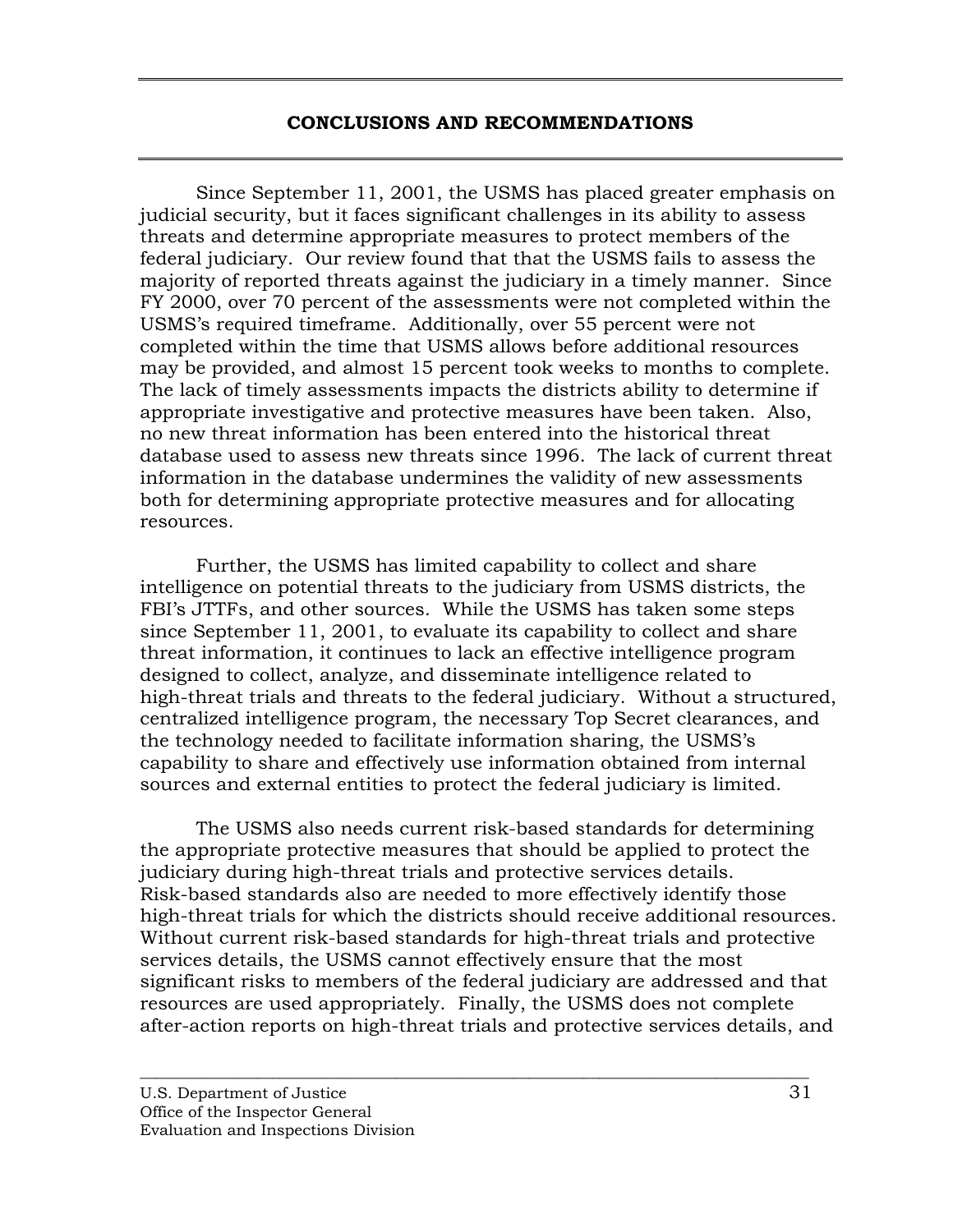## **CONCLUSIONS AND RECOMMENDATIONS**

<span id="page-39-0"></span>Since September 11, 2001, the USMS has placed greater emphasis on judicial security, but it faces significant challenges in its ability to assess threats and determine appropriate measures to protect members of the federal judiciary. Our review found that that the USMS fails to assess the majority of reported threats against the judiciary in a timely manner. Since FY 2000, over 70 percent of the assessments were not completed within the USMS's required timeframe. Additionally, over 55 percent were not completed within the time that USMS allows before additional resources may be provided, and almost 15 percent took weeks to months to complete. The lack of timely assessments impacts the districts ability to determine if appropriate investigative and protective measures have been taken. Also, no new threat information has been entered into the historical threat database used to assess new threats since 1996. The lack of current threat information in the database undermines the validity of new assessments both for determining appropriate protective measures and for allocating resources.

Further, the USMS has limited capability to collect and share intelligence on potential threats to the judiciary from USMS districts, the FBI's JTTFs, and other sources. While the USMS has taken some steps since September 11, 2001, to evaluate its capability to collect and share threat information, it continues to lack an effective intelligence program designed to collect, analyze, and disseminate intelligence related to high-threat trials and threats to the federal judiciary. Without a structured, centralized intelligence program, the necessary Top Secret clearances, and the technology needed to facilitate information sharing, the USMS's capability to share and effectively use information obtained from internal sources and external entities to protect the federal judiciary is limited.

The USMS also needs current risk-based standards for determining the appropriate protective measures that should be applied to protect the judiciary during high-threat trials and protective services details. Risk-based standards also are needed to more effectively identify those high-threat trials for which the districts should receive additional resources. Without current risk-based standards for high-threat trials and protective services details, the USMS cannot effectively ensure that the most significant risks to members of the federal judiciary are addressed and that resources are used appropriately. Finally, the USMS does not complete after-action reports on high-threat trials and protective services details, and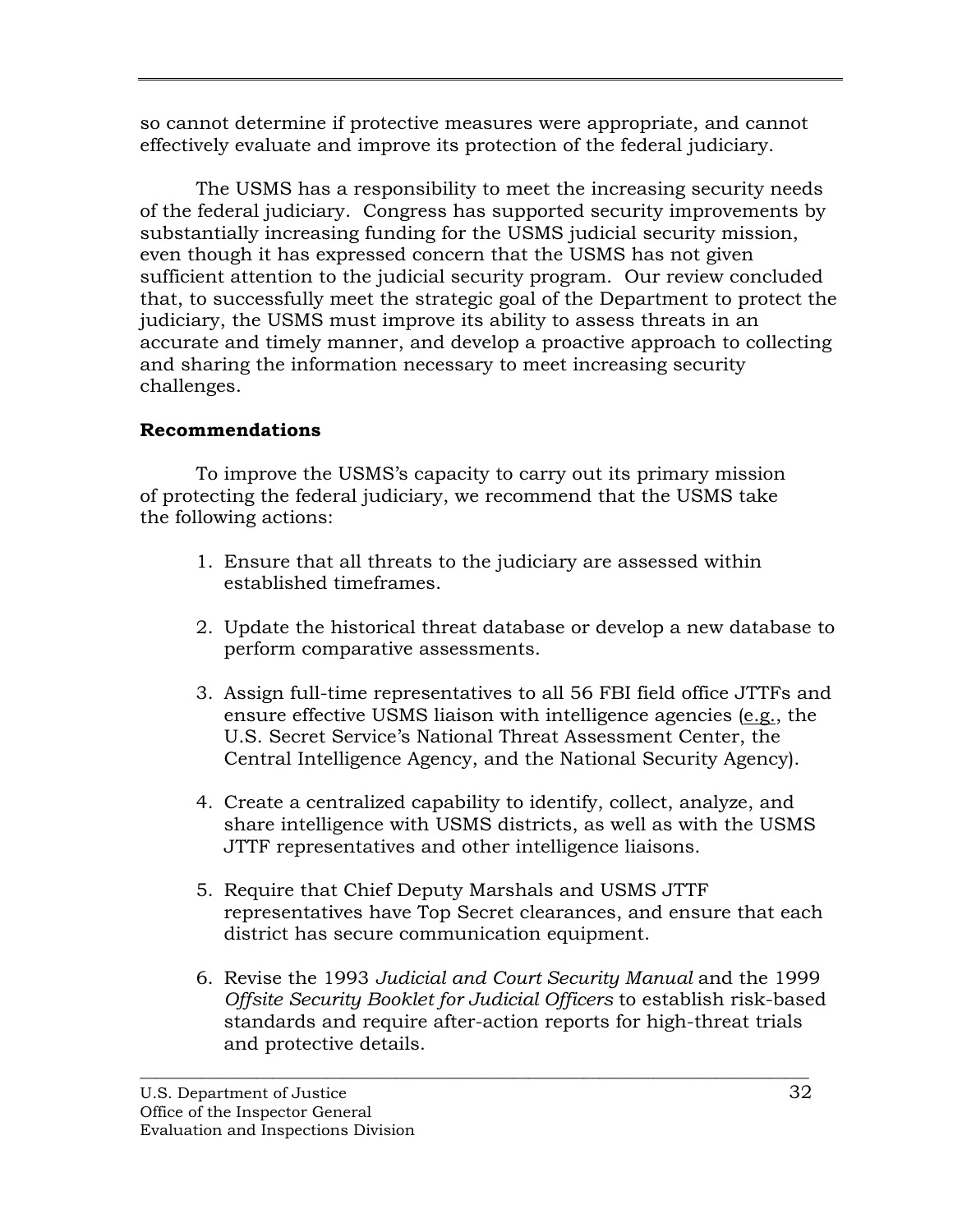so cannot determine if protective measures were appropriate, and cannot effectively evaluate and improve its protection of the federal judiciary.

The USMS has a responsibility to meet the increasing security needs of the federal judiciary. Congress has supported security improvements by substantially increasing funding for the USMS judicial security mission, even though it has expressed concern that the USMS has not given sufficient attention to the judicial security program. Our review concluded that, to successfully meet the strategic goal of the Department to protect the judiciary, the USMS must improve its ability to assess threats in an accurate and timely manner, and develop a proactive approach to collecting and sharing the information necessary to meet increasing security challenges.

# **Recommendations**

To improve the USMS's capacity to carry out its primary mission of protecting the federal judiciary, we recommend that the USMS take the following actions:

- 1. Ensure that all threats to the judiciary are assessed within established timeframes.
- 2. Update the historical threat database or develop a new database to perform comparative assessments.
- 3. Assign full-time representatives to all 56 FBI field office JTTFs and ensure effective USMS liaison with intelligence agencies (e.g., the U.S. Secret Service's National Threat Assessment Center, the Central Intelligence Agency, and the National Security Agency).
- 4. Create a centralized capability to identify, collect, analyze, and share intelligence with USMS districts, as well as with the USMS JTTF representatives and other intelligence liaisons.
- 5. Require that Chief Deputy Marshals and USMS JTTF representatives have Top Secret clearances, and ensure that each district has secure communication equipment.
- 6. Revise the 1993 *Judicial and Court Security Manual* and the 1999 *Offsite Security Booklet for Judicial Officers* to establish risk-based standards and require after-action reports for high-threat trials and protective details.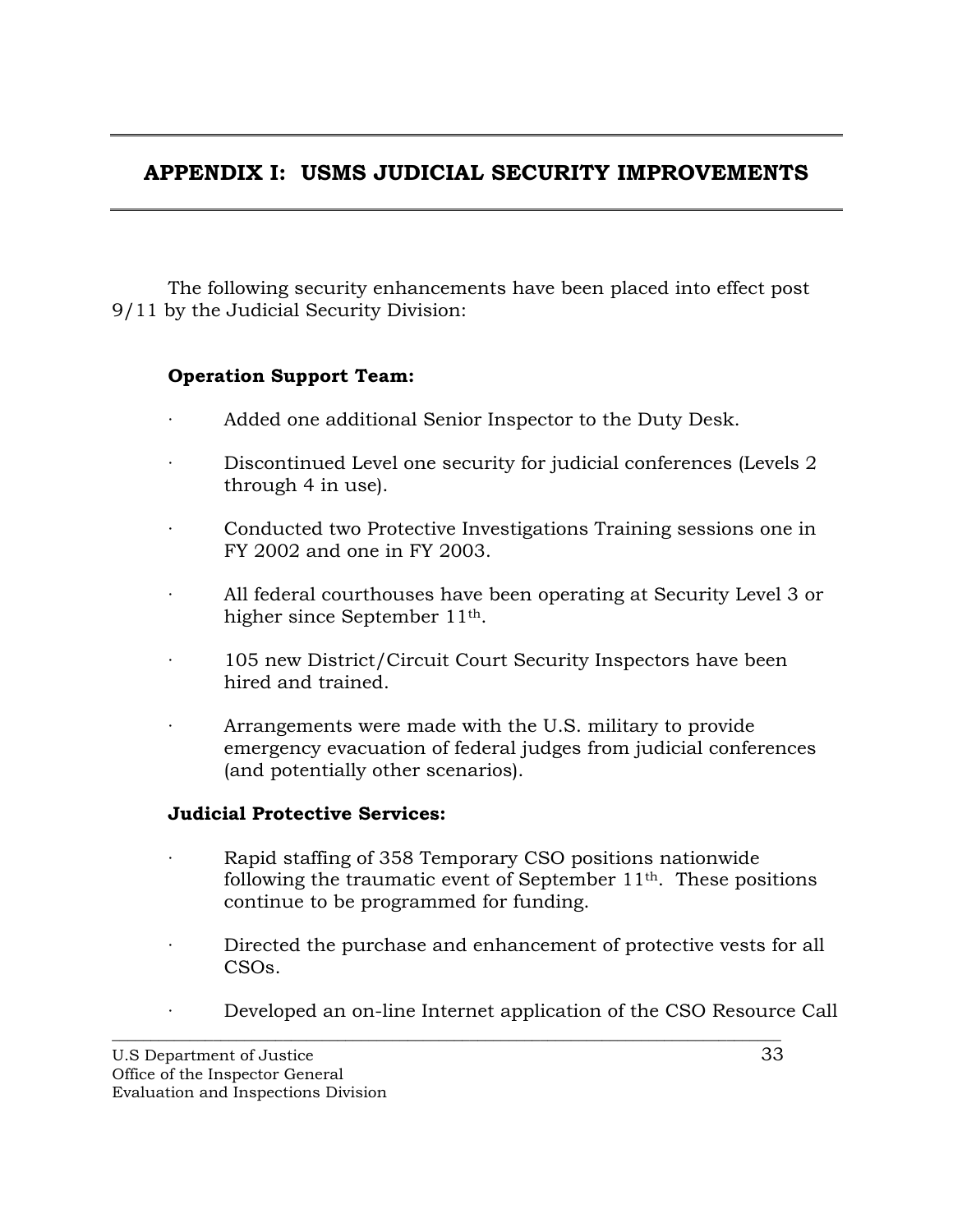# <span id="page-41-0"></span>**APPENDIX I: USMS JUDICIAL SECURITY IMPROVEMENTS**

The following security enhancements have been placed into effect post 9/11 by the Judicial Security Division:

## **Operation Support Team:**

- Added one additional Senior Inspector to the Duty Desk.
- Discontinued Level one security for judicial conferences (Levels 2) through 4 in use).
- Conducted two Protective Investigations Training sessions one in FY 2002 and one in FY 2003.
- All federal courthouses have been operating at Security Level 3 or higher since September 11th.
- 105 new District/Circuit Court Security Inspectors have been hired and trained.
- Arrangements were made with the U.S. military to provide emergency evacuation of federal judges from judicial conferences (and potentially other scenarios).

## **Judicial Protective Services:**

- · Rapid staffing of 358 Temporary CSO positions nationwide following the traumatic event of September 11th. These positions continue to be programmed for funding.
- Directed the purchase and enhancement of protective vests for all CSOs.
- Developed an on-line Internet application of the CSO Resource Call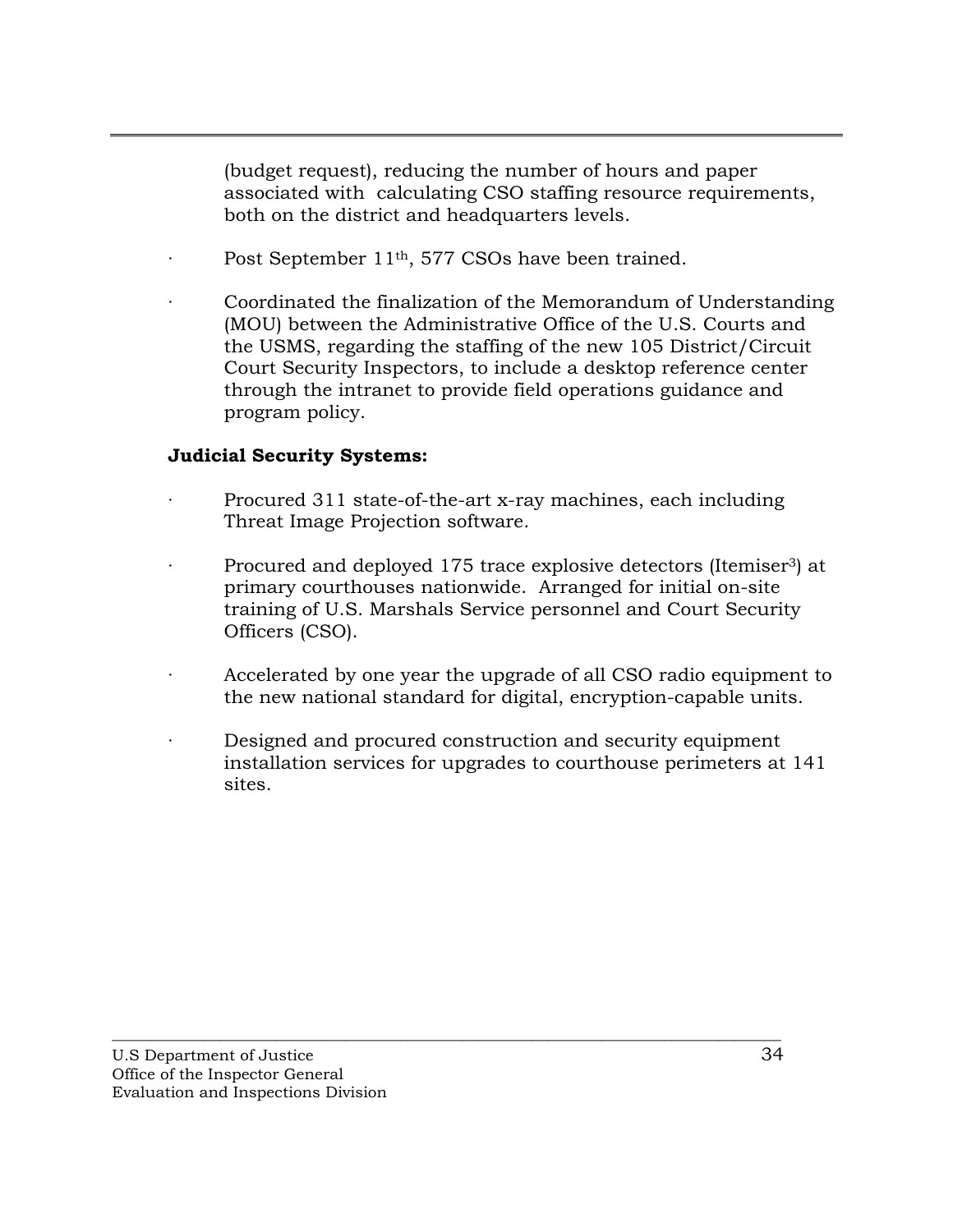(budget request), reducing the number of hours and paper associated with calculating CSO staffing resource requirements, both on the district and headquarters levels.

- Post September 11<sup>th</sup>, 577 CSOs have been trained.
- · Coordinated the finalization of the Memorandum of Understanding (MOU) between the Administrative Office of the U.S. Courts and the USMS, regarding the staffing of the new 105 District/Circuit Court Security Inspectors, to include a desktop reference center through the intranet to provide field operations guidance and program policy.

## **Judicial Security Systems:**

- Procured 311 state-of-the-art x-ray machines, each including Threat Image Projection software.
- · Procured and deployed 175 trace explosive detectors (Itemiser3) at primary courthouses nationwide. Arranged for initial on-site training of U.S. Marshals Service personnel and Court Security Officers (CSO).
- Accelerated by one year the upgrade of all CSO radio equipment to the new national standard for digital, encryption-capable units.
- Designed and procured construction and security equipment installation services for upgrades to courthouse perimeters at 141 sites.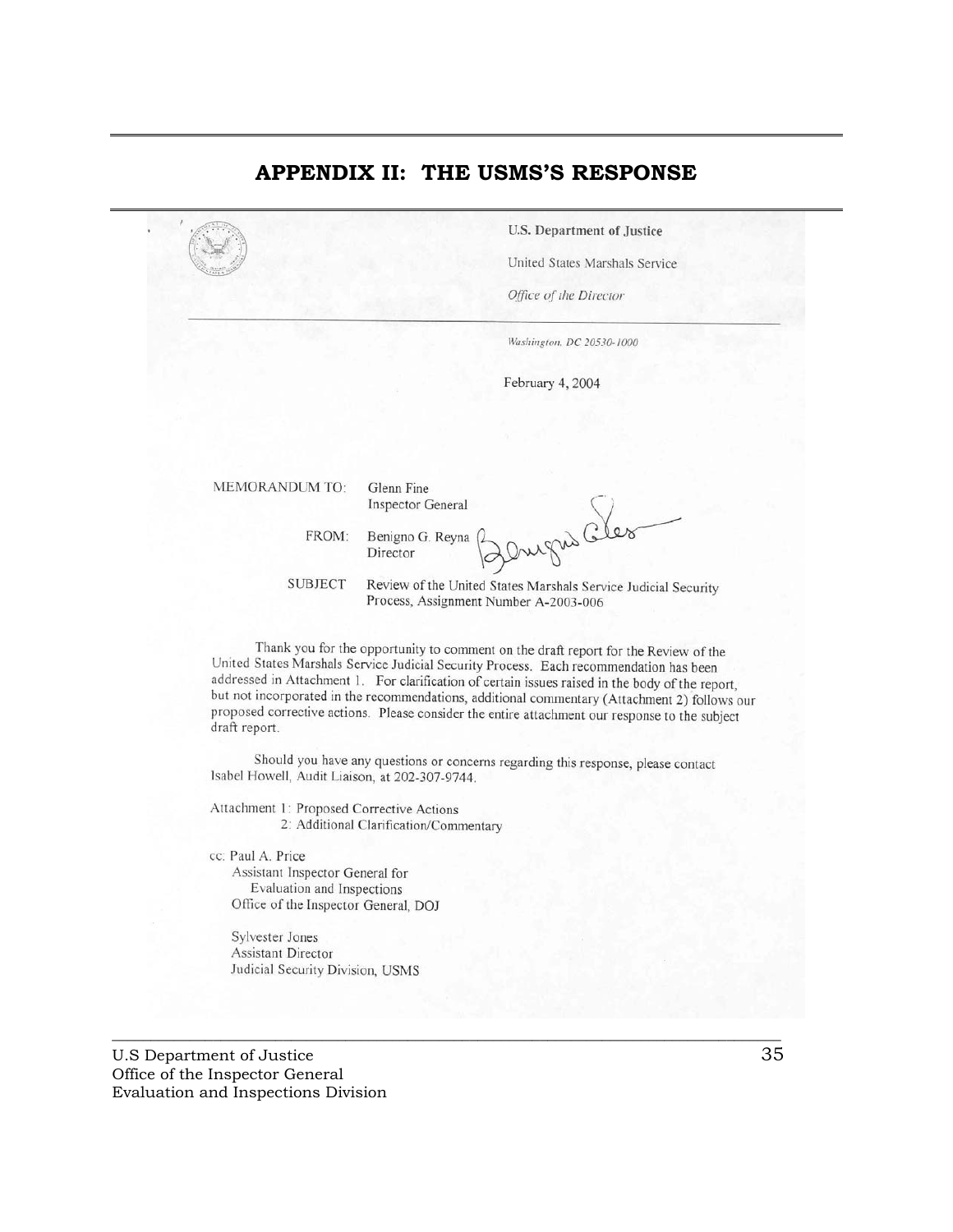## <span id="page-43-0"></span>**APPENDIX II: THE USMS'S RESPONSE**

**U.S. Department of Justice** 

United States Marshals Service

Office of the Director

Washington, DC 20530-1000

February 4, 2004

MEMORANDUM TO:

Glenn Fine **Inspector General** 

FROM: Benigno G. Reyna Director

your G  $600$ 

**SUBJECT** Review of the United States Marshals Service Judicial Security Process, Assignment Number A-2003-006

Thank you for the opportunity to comment on the draft report for the Review of the United States Marshals Service Judicial Security Process. Each recommendation has been addressed in Attachment 1. For clarification of certain issues raised in the body of the report, but not incorporated in the recommendations, additional commentary (Attachment 2) follows our proposed corrective actions. Please consider the entire attachment our response to the subject draft report.

Should you have any questions or concerns regarding this response, please contact Isabel Howell, Audit Liaison, at 202-307-9744.

 $\overline{\phantom{a}}$  ,  $\overline{\phantom{a}}$  ,  $\overline{\phantom{a}}$  ,  $\overline{\phantom{a}}$  ,  $\overline{\phantom{a}}$  ,  $\overline{\phantom{a}}$  ,  $\overline{\phantom{a}}$  ,  $\overline{\phantom{a}}$  ,  $\overline{\phantom{a}}$  ,  $\overline{\phantom{a}}$  ,  $\overline{\phantom{a}}$  ,  $\overline{\phantom{a}}$  ,  $\overline{\phantom{a}}$  ,  $\overline{\phantom{a}}$  ,  $\overline{\phantom{a}}$  ,  $\overline{\phantom{a}}$ 

Attachment 1: Proposed Corrective Actions 2: Additional Clarification/Commentary

cc: Paul A. Price

Assistant Inspector General for Evaluation and Inspections Office of the Inspector General, DOJ

Sylvester Jones Assistant Director Judicial Security Division, USMS

U.S Department of Justice 35 Office of the Inspector General Evaluation and Inspections Division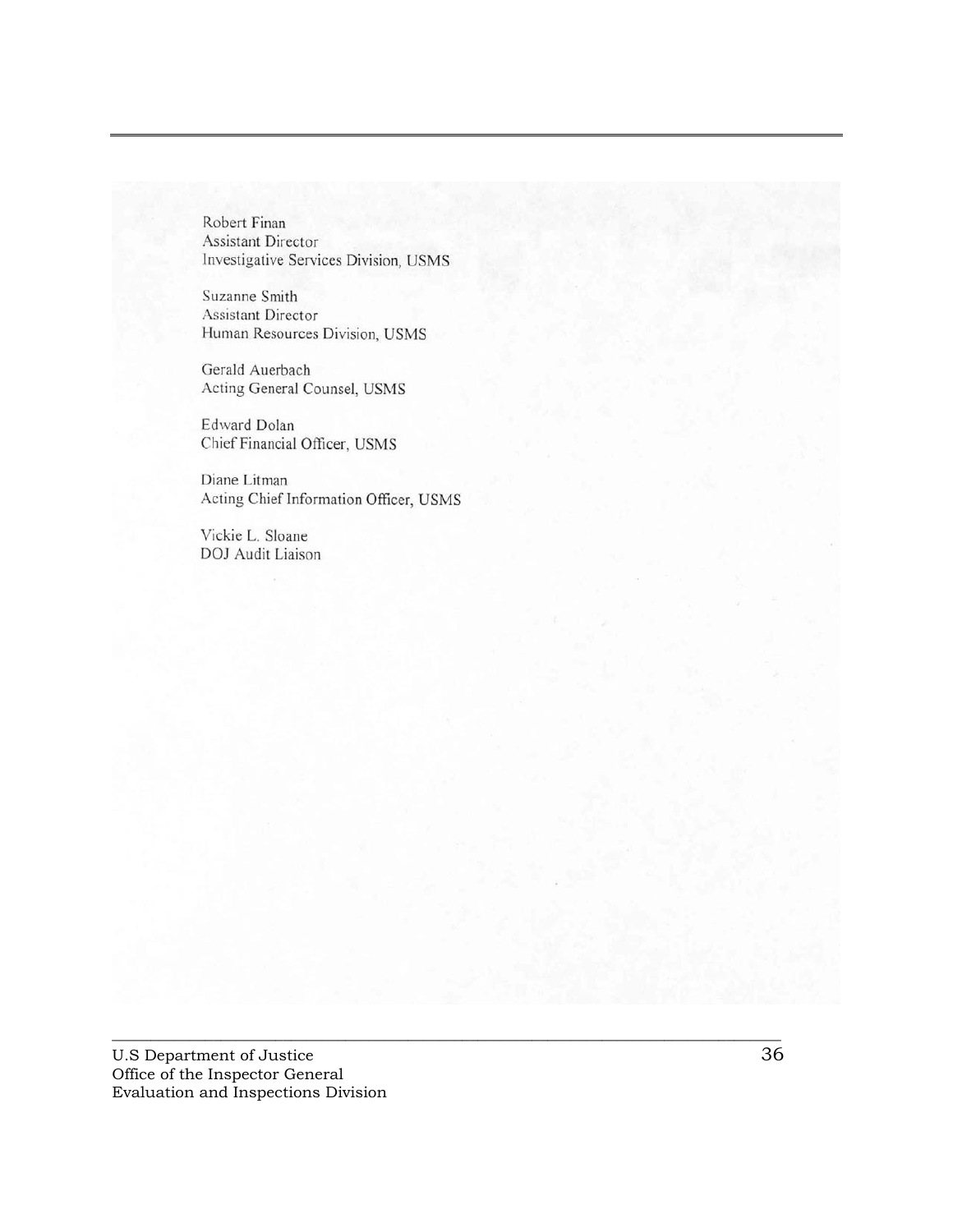Robert Finan Assistant Director Investigative Services Division, USMS

Suzanne Smith Assistant Director Human Resources Division, USMS

Gerald Auerbach Acting General Counsel, USMS

Edward Dolan Chief Financial Officer, USMS

Diane Litman Acting Chief Information Officer, USMS

Vickie L. Sloane DOJ Audit Liaison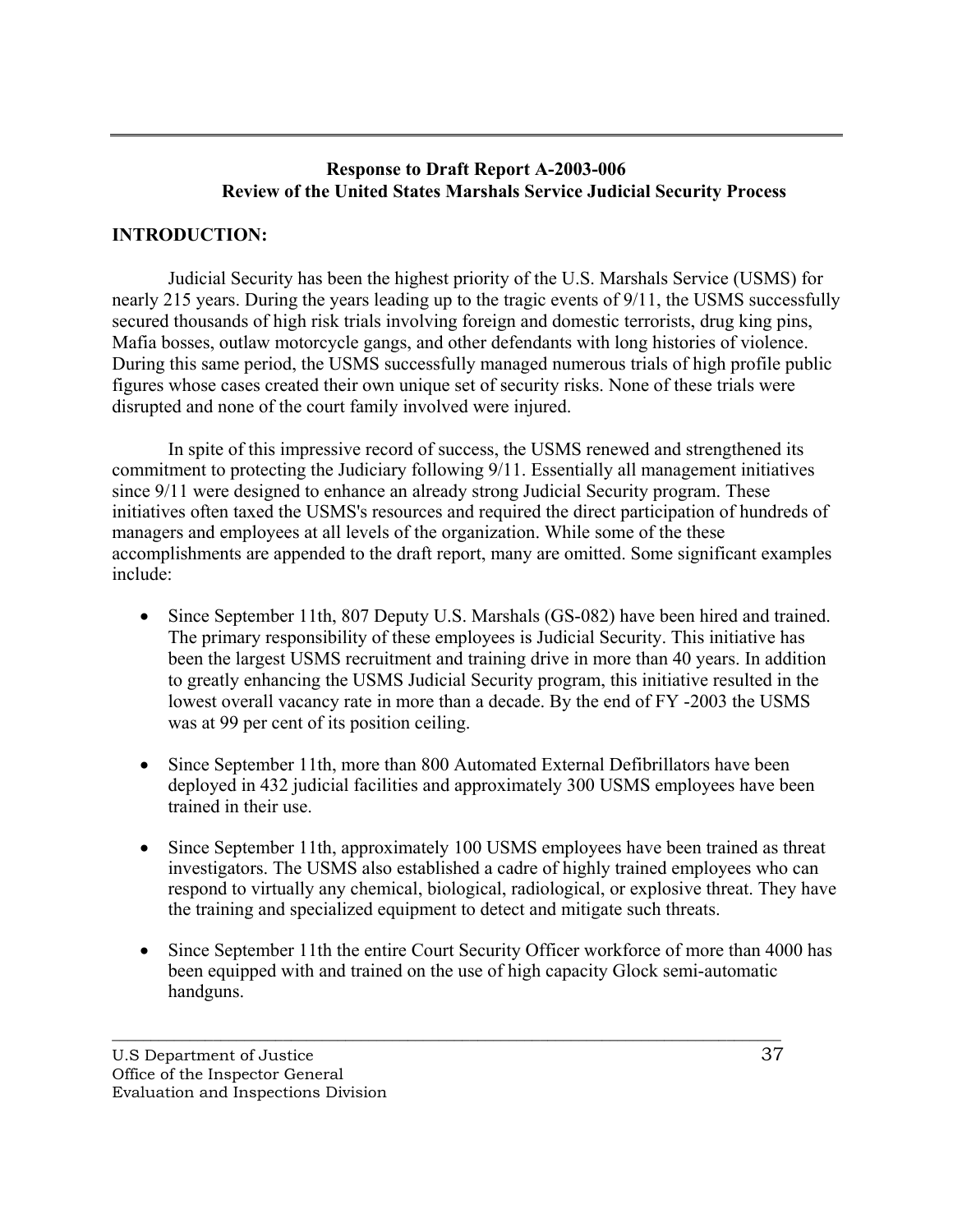## **Response to Draft Report A-2003-006 Review of the United States Marshals Service Judicial Security Process**

## **INTRODUCTION:**

Judicial Security has been the highest priority of the U.S. Marshals Service (USMS) for nearly 215 years. During the years leading up to the tragic events of 9/11, the USMS successfully secured thousands of high risk trials involving foreign and domestic terrorists, drug king pins, Mafia bosses, outlaw motorcycle gangs, and other defendants with long histories of violence. During this same period, the USMS successfully managed numerous trials of high profile public figures whose cases created their own unique set of security risks. None of these trials were disrupted and none of the court family involved were injured.

In spite of this impressive record of success, the USMS renewed and strengthened its commitment to protecting the Judiciary following 9/11. Essentially all management initiatives since 9/11 were designed to enhance an already strong Judicial Security program. These initiatives often taxed the USMS's resources and required the direct participation of hundreds of managers and employees at all levels of the organization. While some of the these accomplishments are appended to the draft report, many are omitted. Some significant examples include:

- Since September 11th, 807 Deputy U.S. Marshals (GS-082) have been hired and trained. The primary responsibility of these employees is Judicial Security. This initiative has been the largest USMS recruitment and training drive in more than 40 years. In addition to greatly enhancing the USMS Judicial Security program, this initiative resulted in the lowest overall vacancy rate in more than a decade. By the end of FY -2003 the USMS was at 99 per cent of its position ceiling.
- Since September 11th, more than 800 Automated External Defibrillators have been deployed in 432 judicial facilities and approximately 300 USMS employees have been trained in their use.
- Since September 11th, approximately 100 USMS employees have been trained as threat investigators. The USMS also established a cadre of highly trained employees who can respond to virtually any chemical, biological, radiological, or explosive threat. They have the training and specialized equipment to detect and mitigate such threats.
- Since September 11th the entire Court Security Officer workforce of more than 4000 has been equipped with and trained on the use of high capacity Glock semi-automatic handguns.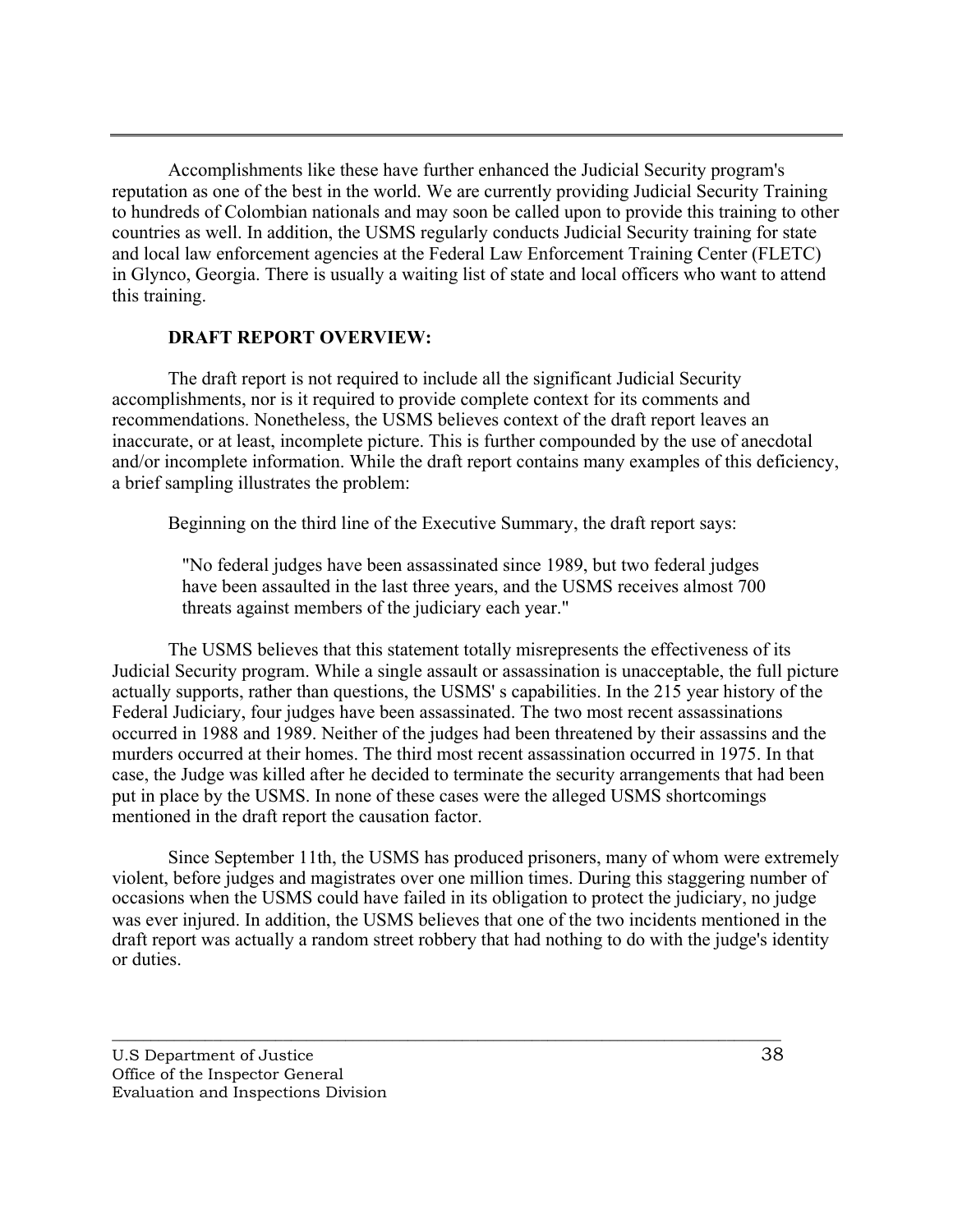Accomplishments like these have further enhanced the Judicial Security program's reputation as one of the best in the world. We are currently providing Judicial Security Training to hundreds of Colombian nationals and may soon be called upon to provide this training to other countries as well. In addition, the USMS regularly conducts Judicial Security training for state and local law enforcement agencies at the Federal Law Enforcement Training Center (FLETC) in Glynco, Georgia. There is usually a waiting list of state and local officers who want to attend this training.

#### **DRAFT REPORT OVERVIEW:**

The draft report is not required to include all the significant Judicial Security accomplishments, nor is it required to provide complete context for its comments and recommendations. Nonetheless, the USMS believes context of the draft report leaves an inaccurate, or at least, incomplete picture. This is further compounded by the use of anecdotal and/or incomplete information. While the draft report contains many examples of this deficiency, a brief sampling illustrates the problem:

Beginning on the third line of the Executive Summary, the draft report says:

"No federal judges have been assassinated since 1989, but two federal judges have been assaulted in the last three years, and the USMS receives almost 700 threats against members of the judiciary each year."

The USMS believes that this statement totally misrepresents the effectiveness of its Judicial Security program. While a single assault or assassination is unacceptable, the full picture actually supports, rather than questions, the USMS' s capabilities. In the 215 year history of the Federal Judiciary, four judges have been assassinated. The two most recent assassinations occurred in 1988 and 1989. Neither of the judges had been threatened by their assassins and the murders occurred at their homes. The third most recent assassination occurred in 1975. In that case, the Judge was killed after he decided to terminate the security arrangements that had been put in place by the USMS. In none of these cases were the alleged USMS shortcomings mentioned in the draft report the causation factor.

Since September 11th, the USMS has produced prisoners, many of whom were extremely violent, before judges and magistrates over one million times. During this staggering number of occasions when the USMS could have failed in its obligation to protect the judiciary, no judge was ever injured. In addition, the USMS believes that one of the two incidents mentioned in the draft report was actually a random street robbery that had nothing to do with the judge's identity or duties.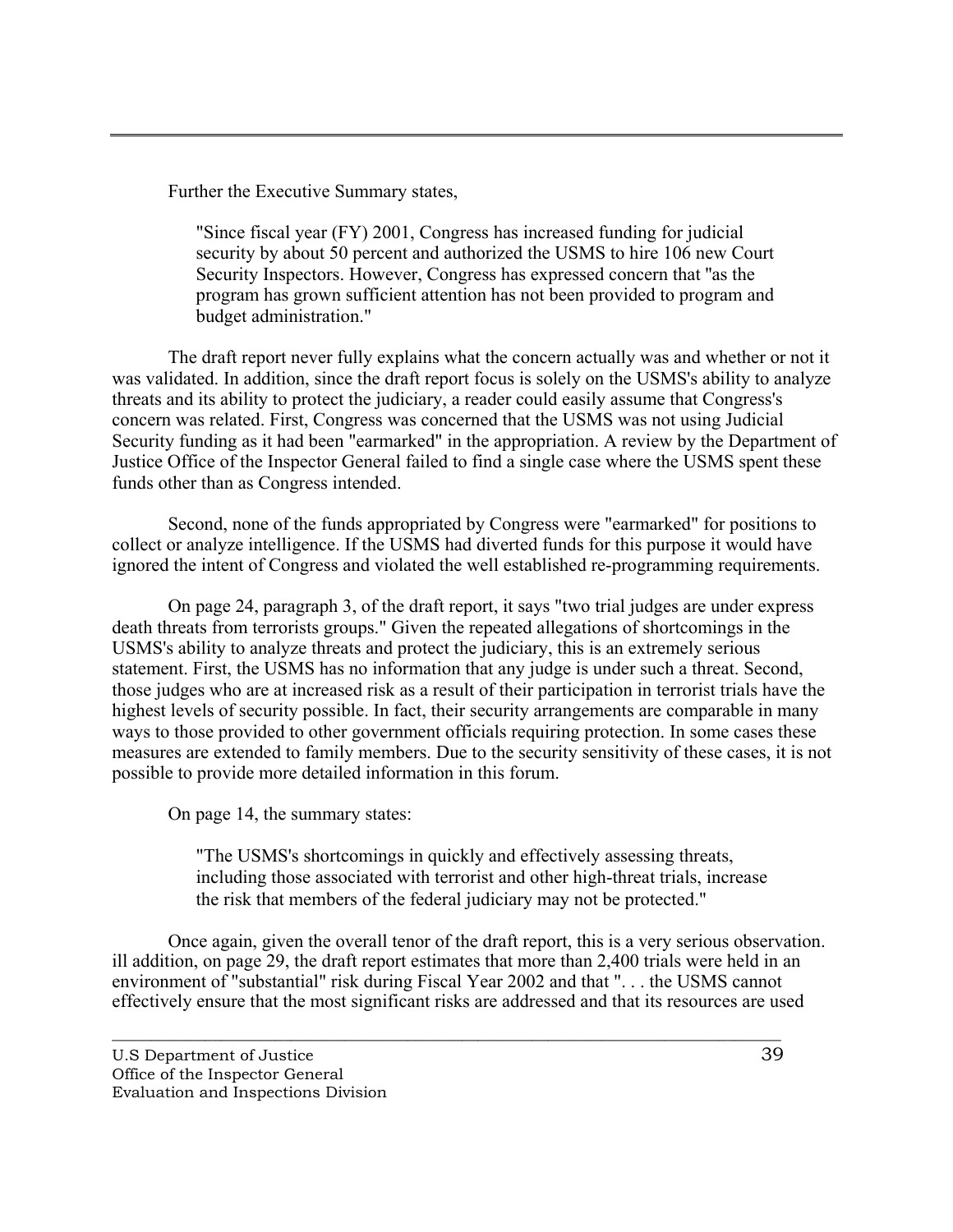Further the Executive Summary states,

"Since fiscal year (FY) 2001, Congress has increased funding for judicial security by about 50 percent and authorized the USMS to hire 106 new Court Security Inspectors. However, Congress has expressed concern that ''as the program has grown sufficient attention has not been provided to program and budget administration."

The draft report never fully explains what the concern actually was and whether or not it was validated. In addition, since the draft report focus is solely on the USMS's ability to analyze threats and its ability to protect the judiciary, a reader could easily assume that Congress's concern was related. First, Congress was concerned that the USMS was not using Judicial Security funding as it had been "earmarked" in the appropriation. A review by the Department of Justice Office of the Inspector General failed to find a single case where the USMS spent these funds other than as Congress intended.

Second, none of the funds appropriated by Congress were "earmarked" for positions to collect or analyze intelligence. If the USMS had diverted funds for this purpose it would have ignored the intent of Congress and violated the well established re-programming requirements.

On page 24, paragraph 3, of the draft report, it says "two trial judges are under express death threats from terrorists groups." Given the repeated allegations of shortcomings in the USMS's ability to analyze threats and protect the judiciary, this is an extremely serious statement. First, the USMS has no information that any judge is under such a threat. Second, those judges who are at increased risk as a result of their participation in terrorist trials have the highest levels of security possible. In fact, their security arrangements are comparable in many ways to those provided to other government officials requiring protection. In some cases these measures are extended to family members. Due to the security sensitivity of these cases, it is not possible to provide more detailed information in this forum.

On page 14, the summary states:

"The USMS's shortcomings in quickly and effectively assessing threats, including those associated with terrorist and other high-threat trials, increase the risk that members of the federal judiciary may not be protected."

Once again, given the overall tenor of the draft report, this is a very serious observation. ill addition, on page 29, the draft report estimates that more than 2,400 trials were held in an environment of "substantial" risk during Fiscal Year 2002 and that ". . . the USMS cannot effectively ensure that the most significant risks are addressed and that its resources are used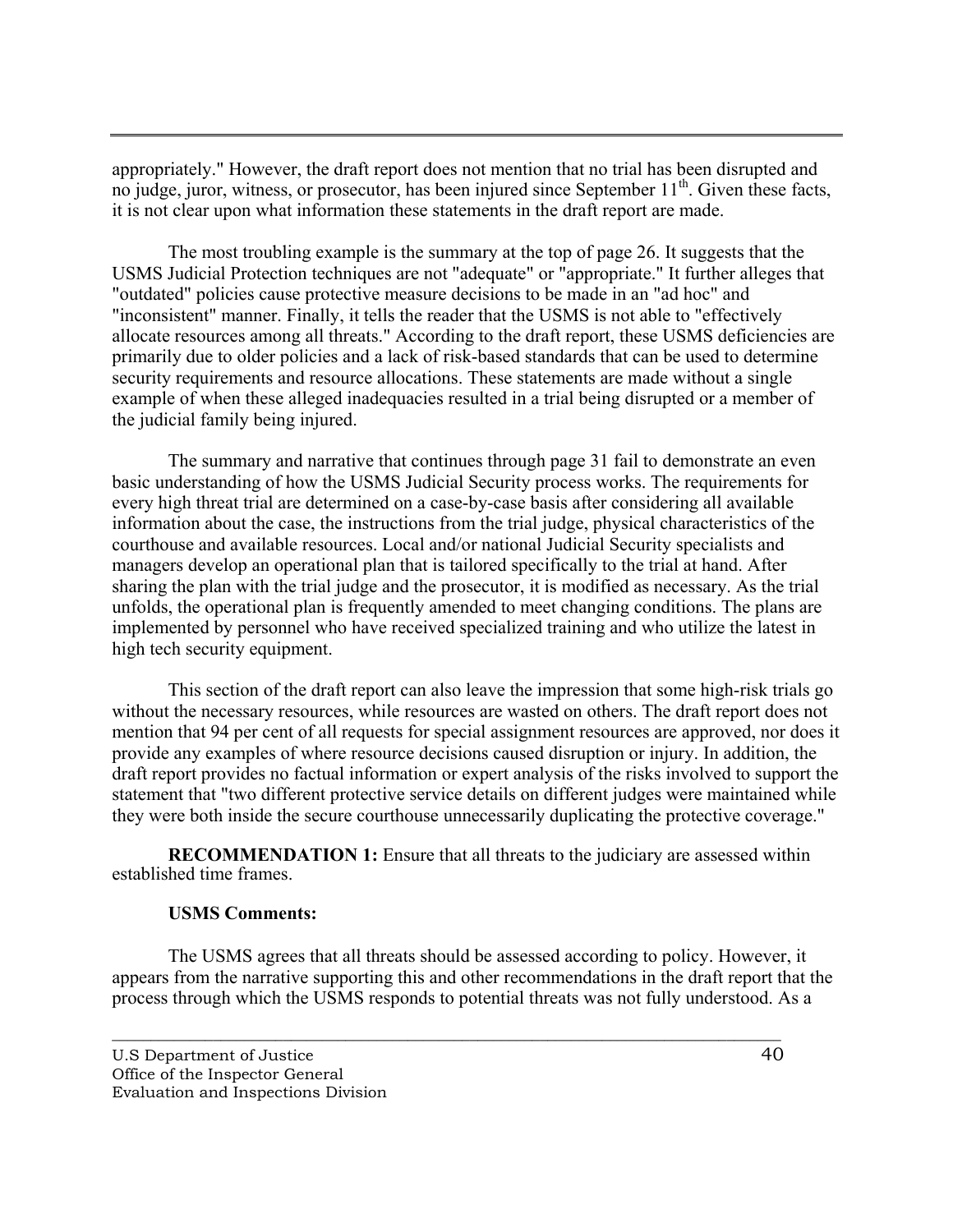appropriately." However, the draft report does not mention that no trial has been disrupted and no judge, juror, witness, or prosecutor, has been injured since September  $11<sup>th</sup>$ . Given these facts, it is not clear upon what information these statements in the draft report are made.

The most troubling example is the summary at the top of page 26. It suggests that the USMS Judicial Protection techniques are not "adequate" or "appropriate." It further alleges that "outdated" policies cause protective measure decisions to be made in an "ad hoc" and "inconsistent" manner. Finally, it tells the reader that the USMS is not able to "effectively allocate resources among all threats." According to the draft report, these USMS deficiencies are primarily due to older policies and a lack of risk-based standards that can be used to determine security requirements and resource allocations. These statements are made without a single example of when these alleged inadequacies resulted in a trial being disrupted or a member of the judicial family being injured.

The summary and narrative that continues through page 31 fail to demonstrate an even basic understanding of how the USMS Judicial Security process works. The requirements for every high threat trial are determined on a case-by-case basis after considering all available information about the case, the instructions from the trial judge, physical characteristics of the courthouse and available resources. Local and/or national Judicial Security specialists and managers develop an operational plan that is tailored specifically to the trial at hand. After sharing the plan with the trial judge and the prosecutor, it is modified as necessary. As the trial unfolds, the operational plan is frequently amended to meet changing conditions. The plans are implemented by personnel who have received specialized training and who utilize the latest in high tech security equipment.

This section of the draft report can also leave the impression that some high-risk trials go without the necessary resources, while resources are wasted on others. The draft report does not mention that 94 per cent of all requests for special assignment resources are approved, nor does it provide any examples of where resource decisions caused disruption or injury. In addition, the draft report provides no factual information or expert analysis of the risks involved to support the statement that "two different protective service details on different judges were maintained while they were both inside the secure courthouse unnecessarily duplicating the protective coverage."

**RECOMMENDATION 1:** Ensure that all threats to the judiciary are assessed within established time frames.

#### **USMS Comments:**

The USMS agrees that all threats should be assessed according to policy. However, it appears from the narrative supporting this and other recommendations in the draft report that the process through which the USMS responds to potential threats was not fully understood. As a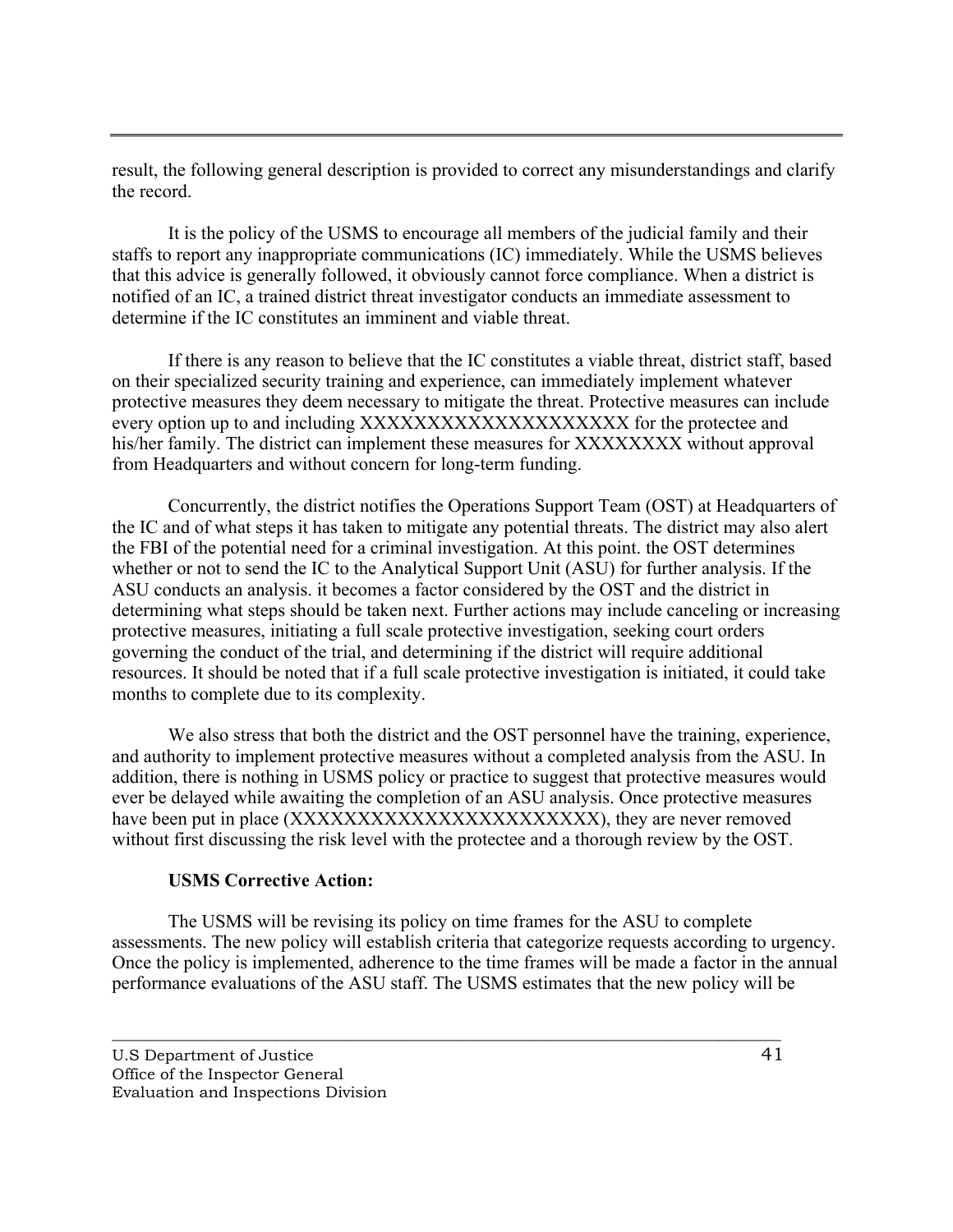result, the following general description is provided to correct any misunderstandings and clarify the record.

It is the policy of the USMS to encourage all members of the judicial family and their staffs to report any inappropriate communications (IC) immediately. While the USMS believes that this advice is generally followed, it obviously cannot force compliance. When a district is notified of an IC, a trained district threat investigator conducts an immediate assessment to determine if the IC constitutes an imminent and viable threat.

If there is any reason to believe that the IC constitutes a viable threat, district staff, based on their specialized security training and experience, can immediately implement whatever protective measures they deem necessary to mitigate the threat. Protective measures can include every option up to and including XXXXXXXXXXXXXXXXXXXX for the protectee and his/her family. The district can implement these measures for XXXXXXXX without approval from Headquarters and without concern for long-term funding.

Concurrently, the district notifies the Operations Support Team (OST) at Headquarters of the IC and of what steps it has taken to mitigate any potential threats. The district may also alert the FBI of the potential need for a criminal investigation. At this point. the OST determines whether or not to send the IC to the Analytical Support Unit (ASU) for further analysis. If the ASU conducts an analysis. it becomes a factor considered by the OST and the district in determining what steps should be taken next. Further actions may include canceling or increasing protective measures, initiating a full scale protective investigation, seeking court orders governing the conduct of the trial, and determining if the district will require additional resources. It should be noted that if a full scale protective investigation is initiated, it could take months to complete due to its complexity.

We also stress that both the district and the OST personnel have the training, experience, and authority to implement protective measures without a completed analysis from the ASU. In addition, there is nothing in USMS policy or practice to suggest that protective measures would ever be delayed while awaiting the completion of an ASU analysis. Once protective measures have been put in place (XXXXXXXXXXXXXXXXXXXXXXX), they are never removed without first discussing the risk level with the protectee and a thorough review by the OST.

## **USMS Corrective Action:**

The USMS will be revising its policy on time frames for the ASU to complete assessments. The new policy will establish criteria that categorize requests according to urgency. Once the policy is implemented, adherence to the time frames will be made a factor in the annual performance evaluations of the ASU staff. The USMS estimates that the new policy will be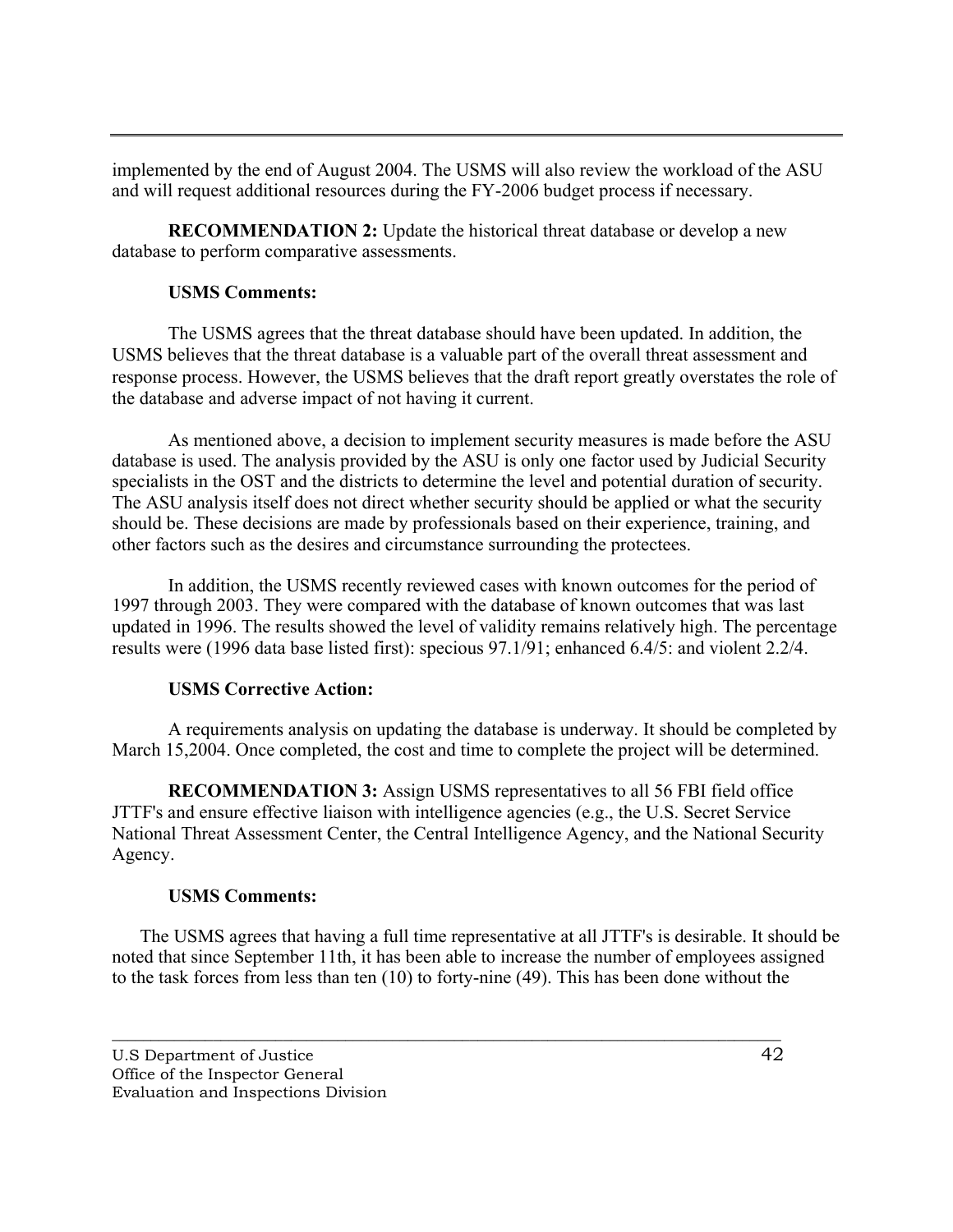implemented by the end of August 2004. The USMS will also review the workload of the ASU and will request additional resources during the FY-2006 budget process if necessary.

**RECOMMENDATION 2:** Update the historical threat database or develop a new database to perform comparative assessments.

## **USMS Comments:**

The USMS agrees that the threat database should have been updated. In addition, the USMS believes that the threat database is a valuable part of the overall threat assessment and response process. However, the USMS believes that the draft report greatly overstates the role of the database and adverse impact of not having it current.

As mentioned above, a decision to implement security measures is made before the ASU database is used. The analysis provided by the ASU is only one factor used by Judicial Security specialists in the OST and the districts to determine the level and potential duration of security. The ASU analysis itself does not direct whether security should be applied or what the security should be. These decisions are made by professionals based on their experience, training, and other factors such as the desires and circumstance surrounding the protectees.

In addition, the USMS recently reviewed cases with known outcomes for the period of 1997 through 2003. They were compared with the database of known outcomes that was last updated in 1996. The results showed the level of validity remains relatively high. The percentage results were (1996 data base listed first): specious 97.1/91; enhanced 6.4/5: and violent 2.2/4.

## **USMS Corrective Action:**

A requirements analysis on updating the database is underway. It should be completed by March 15,2004. Once completed, the cost and time to complete the project will be determined.

**RECOMMENDATION 3:** Assign USMS representatives to all 56 FBI field office JTTF's and ensure effective liaison with intelligence agencies (e.g., the U.S. Secret Service National Threat Assessment Center, the Central Intelligence Agency, and the National Security Agency.

## **USMS Comments:**

The USMS agrees that having a full time representative at all JTTF's is desirable. It should be noted that since September 11th, it has been able to increase the number of employees assigned to the task forces from less than ten (10) to forty-nine (49). This has been done without the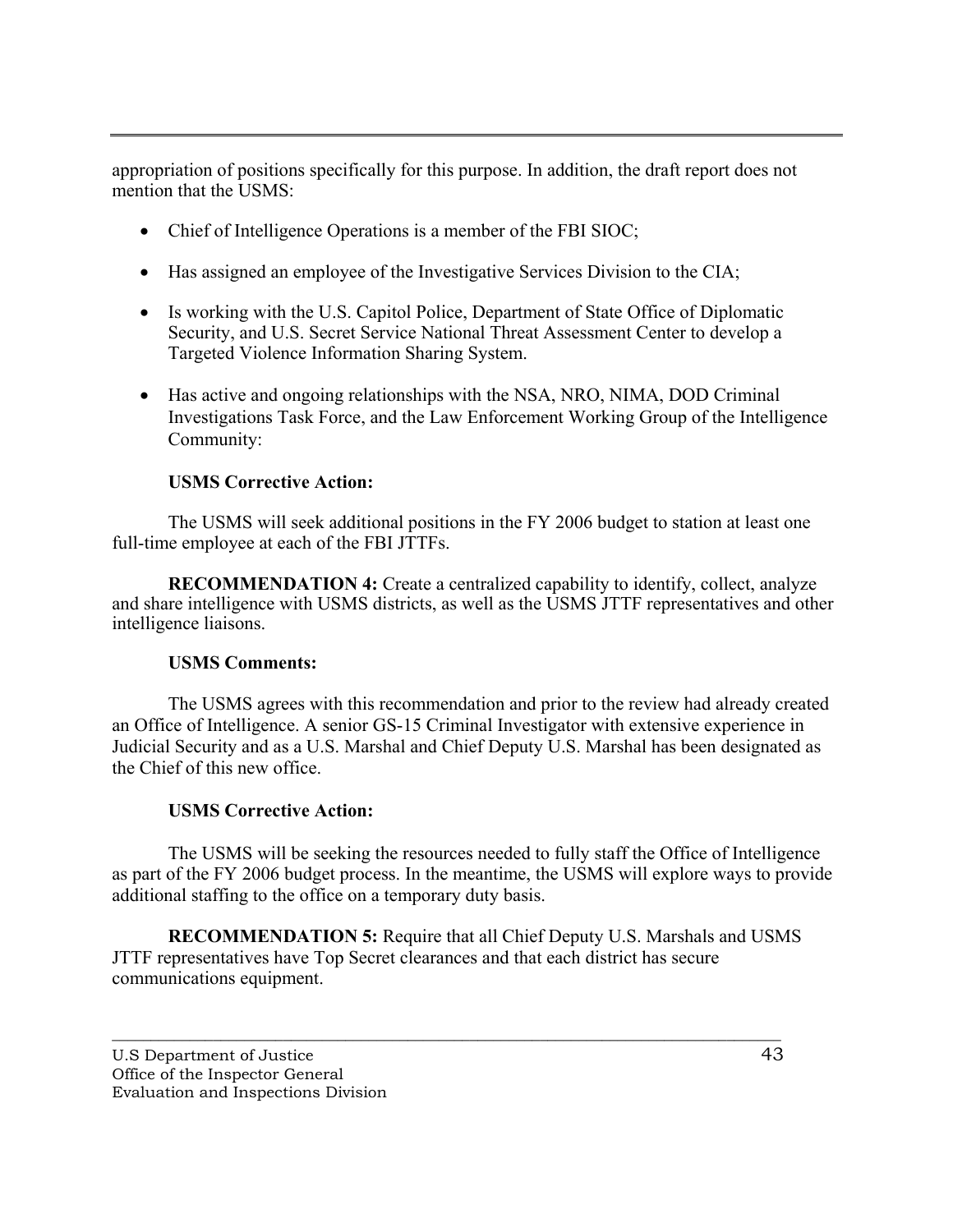appropriation of positions specifically for this purpose. In addition, the draft report does not mention that the USMS:

- Chief of Intelligence Operations is a member of the FBI SIOC;
- Has assigned an employee of the Investigative Services Division to the CIA;
- Is working with the U.S. Capitol Police, Department of State Office of Diplomatic Security, and U.S. Secret Service National Threat Assessment Center to develop a Targeted Violence Information Sharing System.
- Has active and ongoing relationships with the NSA, NRO, NIMA, DOD Criminal Investigations Task Force, and the Law Enforcement Working Group of the Intelligence Community:

#### **USMS Corrective Action:**

The USMS will seek additional positions in the FY 2006 budget to station at least one full-time employee at each of the FBI JTTFs.

**RECOMMENDATION 4:** Create a centralized capability to identify, collect, analyze and share intelligence with USMS districts, as well as the USMS JTTF representatives and other intelligence liaisons.

#### **USMS Comments:**

The USMS agrees with this recommendation and prior to the review had already created an Office of Intelligence. A senior GS-15 Criminal Investigator with extensive experience in Judicial Security and as a U.S. Marshal and Chief Deputy U.S. Marshal has been designated as the Chief of this new office.

#### **USMS Corrective Action:**

The USMS will be seeking the resources needed to fully staff the Office of Intelligence as part of the FY 2006 budget process. In the meantime, the USMS will explore ways to provide additional staffing to the office on a temporary duty basis.

**RECOMMENDATION 5:** Require that all Chief Deputy U.S. Marshals and USMS JTTF representatives have Top Secret clearances and that each district has secure communications equipment.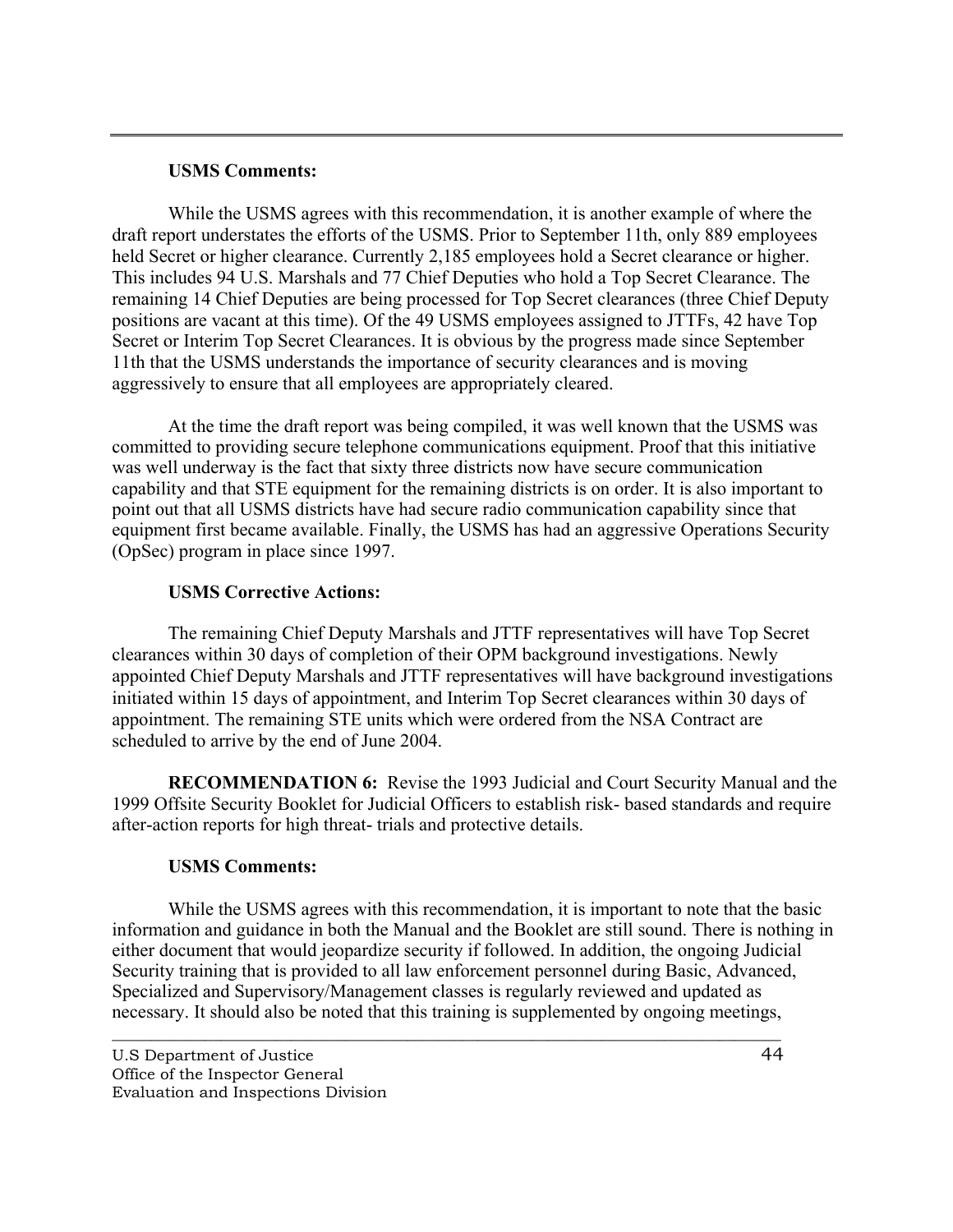#### **USMS Comments:**

While the USMS agrees with this recommendation, it is another example of where the draft report understates the efforts of the USMS. Prior to September 11th, only 889 employees held Secret or higher clearance. Currently 2,185 employees hold a Secret clearance or higher. This includes 94 U.S. Marshals and 77 Chief Deputies who hold a Top Secret Clearance. The remaining 14 Chief Deputies are being processed for Top Secret clearances (three Chief Deputy positions are vacant at this time). Of the 49 USMS employees assigned to JTTFs, 42 have Top Secret or Interim Top Secret Clearances. It is obvious by the progress made since September 11th that the USMS understands the importance of security clearances and is moving aggressively to ensure that all employees are appropriately cleared.

At the time the draft report was being compiled, it was well known that the USMS was committed to providing secure telephone communications equipment. Proof that this initiative was well underway is the fact that sixty three districts now have secure communication capability and that STE equipment for the remaining districts is on order. It is also important to point out that all USMS districts have had secure radio communication capability since that equipment first became available. Finally, the USMS has had an aggressive Operations Security (OpSec) program in place since 1997.

## **USMS Corrective Actions:**

The remaining Chief Deputy Marshals and JTTF representatives will have Top Secret clearances within 30 days of completion of their OPM background investigations. Newly appointed Chief Deputy Marshals and JTTF representatives will have background investigations initiated within 15 days of appointment, and Interim Top Secret clearances within 30 days of appointment. The remaining STE units which were ordered from the NSA Contract are scheduled to arrive by the end of June 2004.

**RECOMMENDATION 6:** Revise the 1993 Judicial and Court Security Manual and the 1999 Offsite Security Booklet for Judicial Officers to establish risk- based standards and require after-action reports for high threat- trials and protective details.

## **USMS Comments:**

While the USMS agrees with this recommendation, it is important to note that the basic information and guidance in both the Manual and the Booklet are still sound. There is nothing in either document that would jeopardize security if followed. In addition, the ongoing Judicial Security training that is provided to all law enforcement personnel during Basic, Advanced, Specialized and Supervisory/Management classes is regularly reviewed and updated as necessary. It should also be noted that this training is supplemented by ongoing meetings,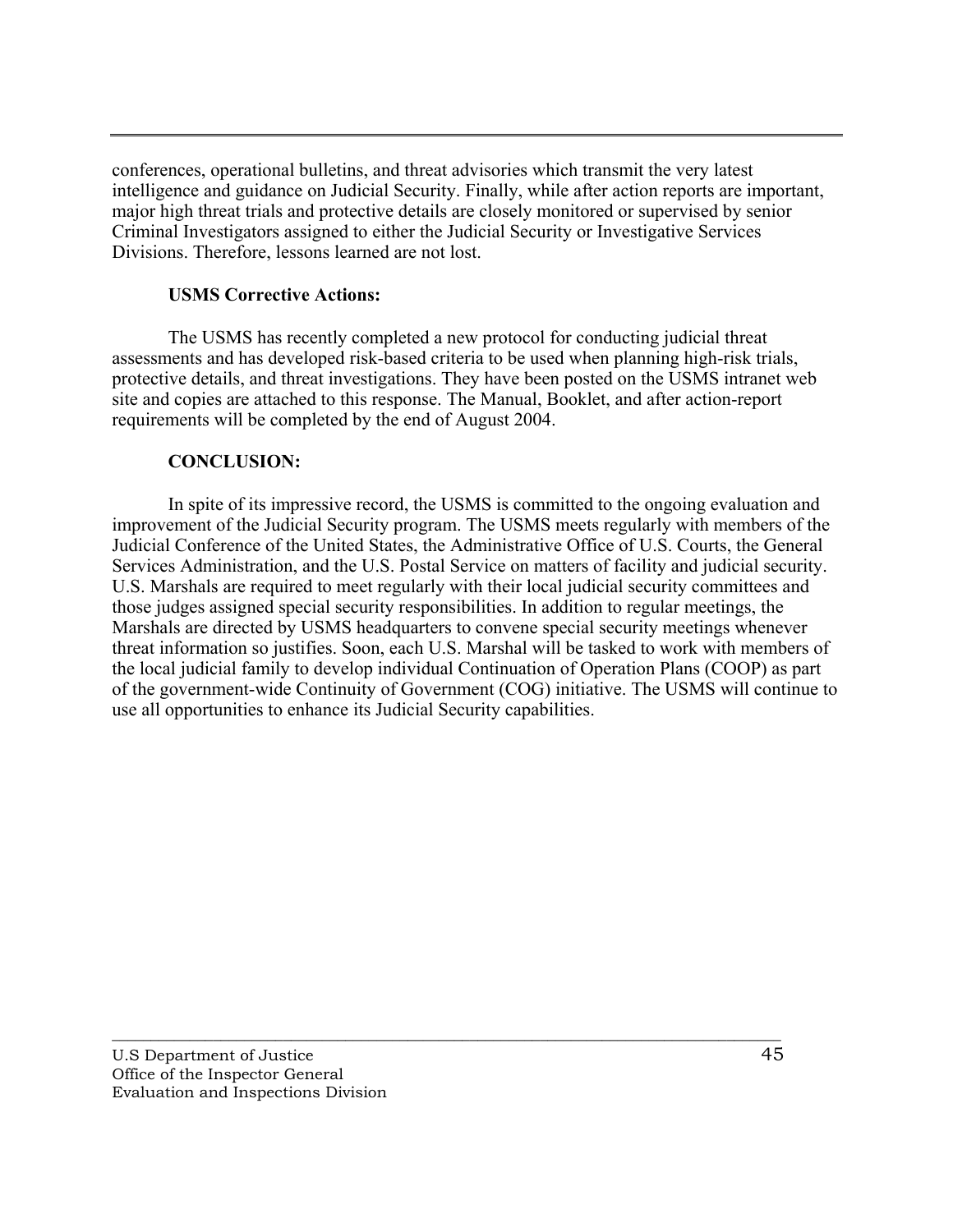conferences, operational bulletins, and threat advisories which transmit the very latest intelligence and guidance on Judicial Security. Finally, while after action reports are important, major high threat trials and protective details are closely monitored or supervised by senior Criminal Investigators assigned to either the Judicial Security or Investigative Services Divisions. Therefore, lessons learned are not lost.

#### **USMS Corrective Actions:**

The USMS has recently completed a new protocol for conducting judicial threat assessments and has developed risk-based criteria to be used when planning high-risk trials, protective details, and threat investigations. They have been posted on the USMS intranet web site and copies are attached to this response. The Manual, Booklet, and after action-report requirements will be completed by the end of August 2004.

#### **CONCLUSION:**

In spite of its impressive record, the USMS is committed to the ongoing evaluation and improvement of the Judicial Security program. The USMS meets regularly with members of the Judicial Conference of the United States, the Administrative Office of U.S. Courts, the General Services Administration, and the U.S. Postal Service on matters of facility and judicial security. U.S. Marshals are required to meet regularly with their local judicial security committees and those judges assigned special security responsibilities. In addition to regular meetings, the Marshals are directed by USMS headquarters to convene special security meetings whenever threat information so justifies. Soon, each U.S. Marshal will be tasked to work with members of the local judicial family to develop individual Continuation of Operation Plans (COOP) as part of the government-wide Continuity of Government (COG) initiative. The USMS will continue to use all opportunities to enhance its Judicial Security capabilities.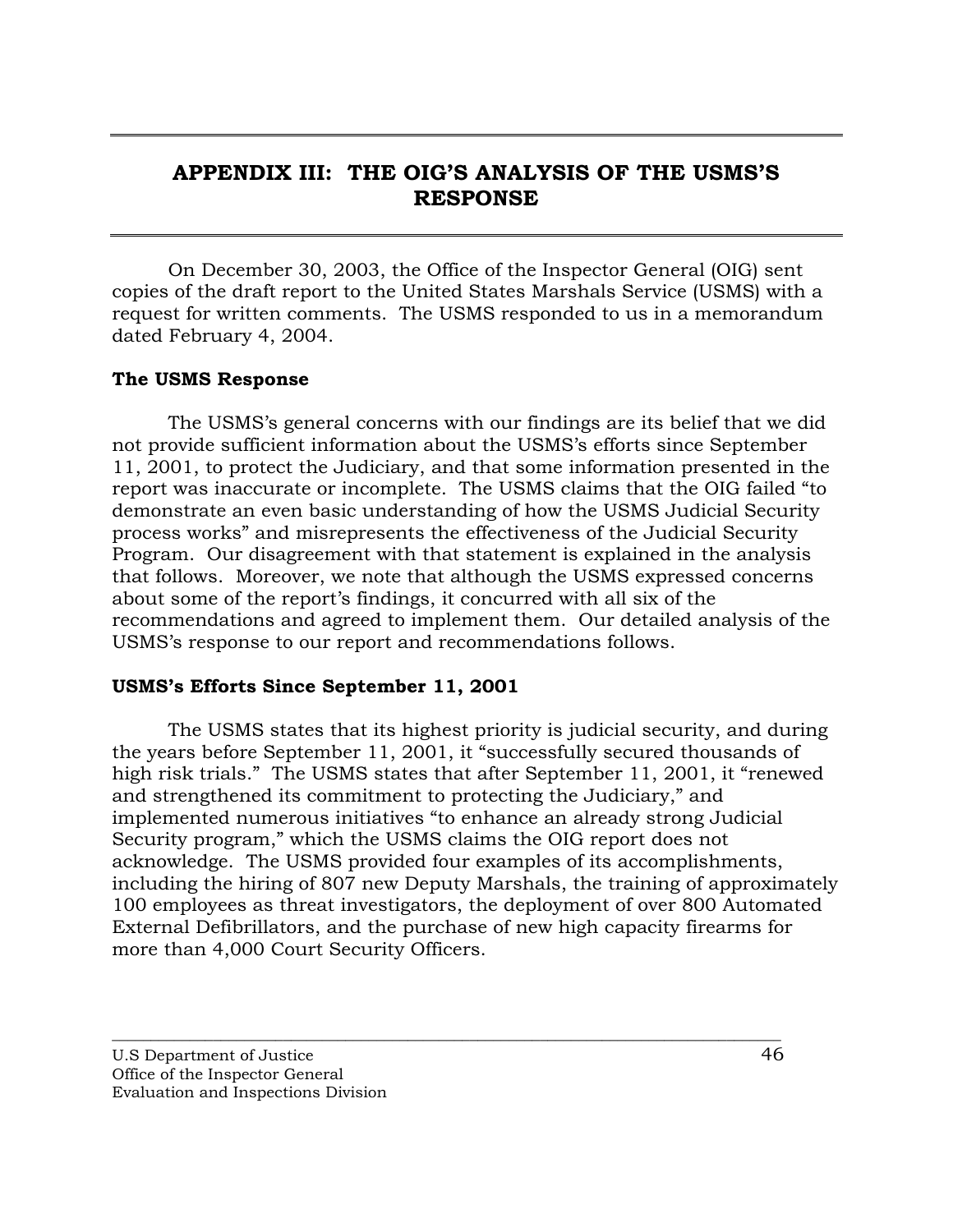# <span id="page-54-0"></span>**APPENDIX III: THE OIG'S ANALYSIS OF THE USMS'S RESPONSE**

On December 30, 2003, the Office of the Inspector General (OIG) sent copies of the draft report to the United States Marshals Service (USMS) with a request for written comments. The USMS responded to us in a memorandum dated February 4, 2004.

## **The USMS Response**

The USMS's general concerns with our findings are its belief that we did not provide sufficient information about the USMS's efforts since September 11, 2001, to protect the Judiciary, and that some information presented in the report was inaccurate or incomplete. The USMS claims that the OIG failed "to demonstrate an even basic understanding of how the USMS Judicial Security process works" and misrepresents the effectiveness of the Judicial Security Program. Our disagreement with that statement is explained in the analysis that follows. Moreover, we note that although the USMS expressed concerns about some of the report's findings, it concurred with all six of the recommendations and agreed to implement them. Our detailed analysis of the USMS's response to our report and recommendations follows.

## **USMS's Efforts Since September 11, 2001**

The USMS states that its highest priority is judicial security, and during the years before September 11, 2001, it "successfully secured thousands of high risk trials." The USMS states that after September 11, 2001, it "renewed and strengthened its commitment to protecting the Judiciary," and implemented numerous initiatives "to enhance an already strong Judicial Security program," which the USMS claims the OIG report does not acknowledge. The USMS provided four examples of its accomplishments, including the hiring of 807 new Deputy Marshals, the training of approximately 100 employees as threat investigators, the deployment of over 800 Automated External Defibrillators, and the purchase of new high capacity firearms for more than 4,000 Court Security Officers.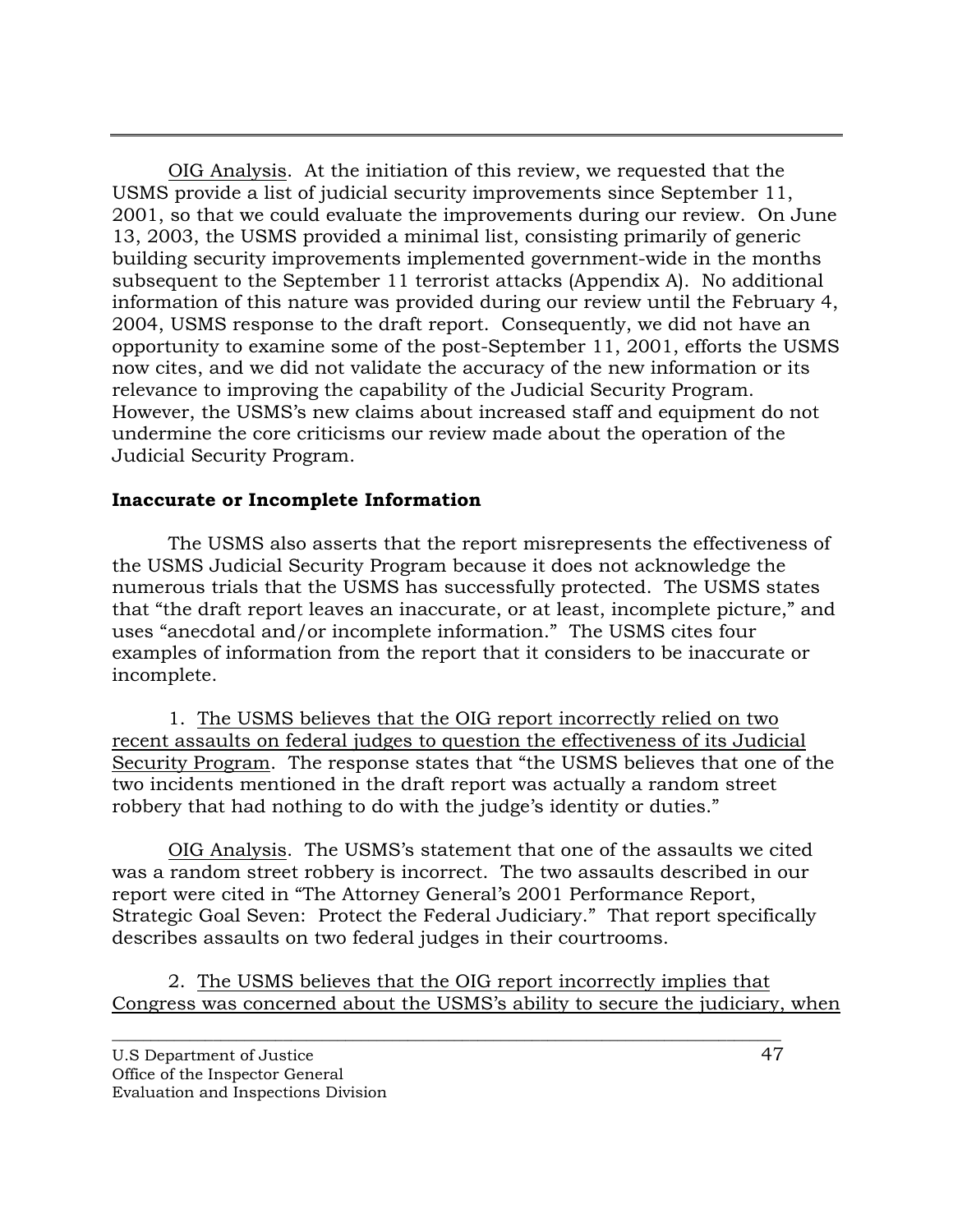OIG Analysis. At the initiation of this review, we requested that the USMS provide a list of judicial security improvements since September 11, 2001, so that we could evaluate the improvements during our review. On June 13, 2003, the USMS provided a minimal list, consisting primarily of generic building security improvements implemented government-wide in the months subsequent to the September 11 terrorist attacks (Appendix A). No additional information of this nature was provided during our review until the February 4, 2004, USMS response to the draft report. Consequently, we did not have an opportunity to examine some of the post-September 11, 2001, efforts the USMS now cites, and we did not validate the accuracy of the new information or its relevance to improving the capability of the Judicial Security Program. However, the USMS's new claims about increased staff and equipment do not undermine the core criticisms our review made about the operation of the Judicial Security Program.

## **Inaccurate or Incomplete Information**

 The USMS also asserts that the report misrepresents the effectiveness of the USMS Judicial Security Program because it does not acknowledge the numerous trials that the USMS has successfully protected. The USMS states that "the draft report leaves an inaccurate, or at least, incomplete picture," and uses "anecdotal and/or incomplete information." The USMS cites four examples of information from the report that it considers to be inaccurate or incomplete.

1. The USMS believes that the OIG report incorrectly relied on two recent assaults on federal judges to question the effectiveness of its Judicial Security Program. The response states that "the USMS believes that one of the two incidents mentioned in the draft report was actually a random street robbery that had nothing to do with the judge's identity or duties."

OIG Analysis. The USMS's statement that one of the assaults we cited was a random street robbery is incorrect. The two assaults described in our report were cited in "The Attorney General's 2001 Performance Report, Strategic Goal Seven: Protect the Federal Judiciary." That report specifically describes assaults on two federal judges in their courtrooms.

2. The USMS believes that the OIG report incorrectly implies that Congress was concerned about the USMS's ability to secure the judiciary, when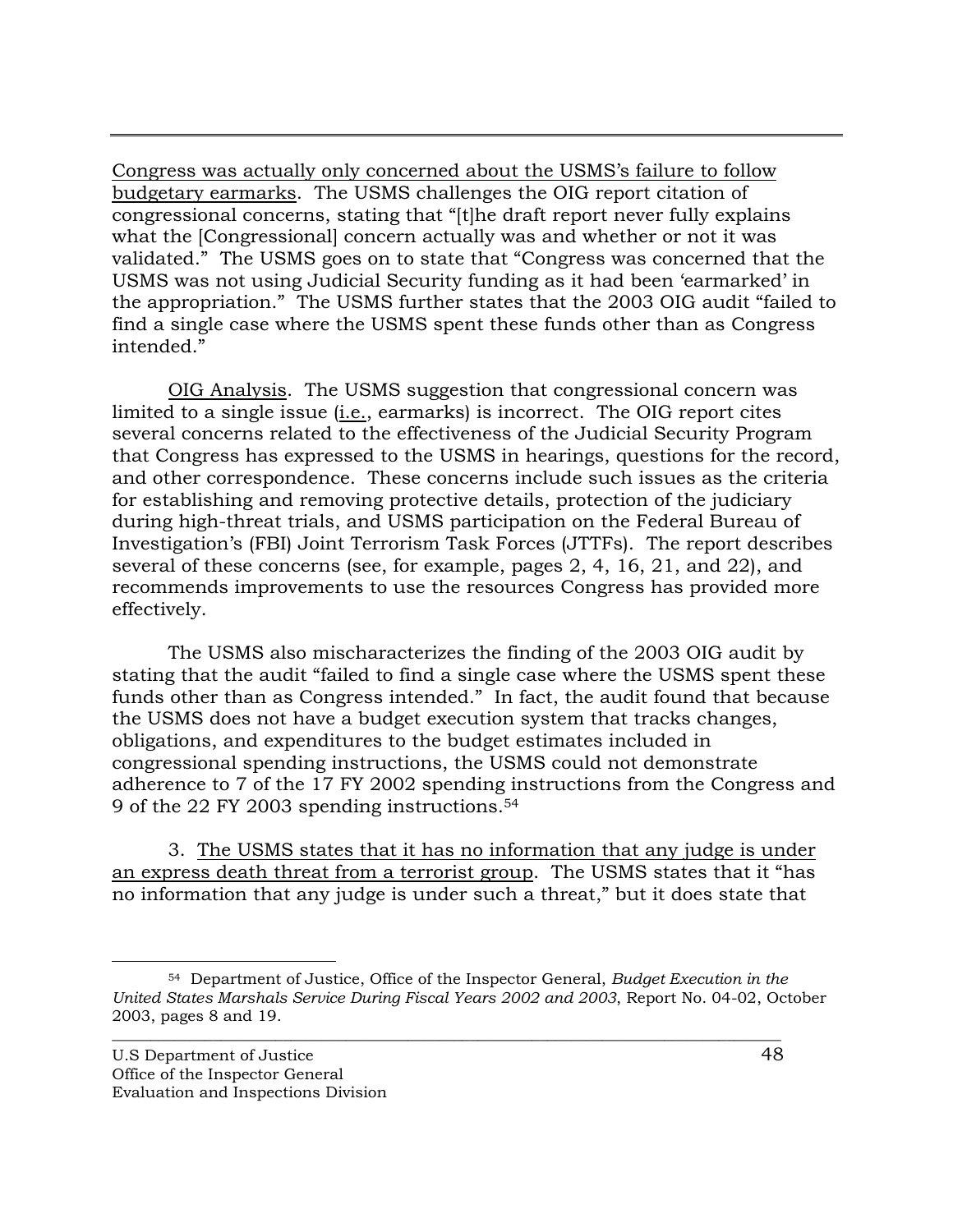Congress was actually only concerned about the USMS's failure to follow budgetary earmarks. The USMS challenges the OIG report citation of congressional concerns, stating that "[t]he draft report never fully explains what the [Congressional] concern actually was and whether or not it was validated." The USMS goes on to state that "Congress was concerned that the USMS was not using Judicial Security funding as it had been 'earmarked' in the appropriation." The USMS further states that the 2003 OIG audit "failed to find a single case where the USMS spent these funds other than as Congress intended."

OIG Analysis. The USMS suggestion that congressional concern was limited to a single issue (i.e., earmarks) is incorrect. The OIG report cites several concerns related to the effectiveness of the Judicial Security Program that Congress has expressed to the USMS in hearings, questions for the record, and other correspondence. These concerns include such issues as the criteria for establishing and removing protective details, protection of the judiciary during high-threat trials, and USMS participation on the Federal Bureau of Investigation's (FBI) Joint Terrorism Task Forces (JTTFs). The report describes several of these concerns (see, for example, pages 2, 4, 16, 21, and 22), and recommends improvements to use the resources Congress has provided more effectively.

The USMS also mischaracterizes the finding of the 2003 OIG audit by stating that the audit "failed to find a single case where the USMS spent these funds other than as Congress intended." In fact, the audit found that because the USMS does not have a budget execution system that tracks changes, obligations, and expenditures to the budget estimates included in congressional spending instructions, the USMS could not demonstrate adherence to 7 of the 17 FY 2002 spending instructions from the Congress and 9 of the 22 FY 2003 spending instructions.54

3. The USMS states that it has no information that any judge is under an express death threat from a terrorist group. The USMS states that it "has no information that any judge is under such a threat," but it does state that

 <sup>54</sup> Department of Justice, Office of the Inspector General, *Budget Execution in the United States Marshals Service During Fiscal Years 2002 and 2003*, Report No. 04-02, October 2003, pages 8 and 19.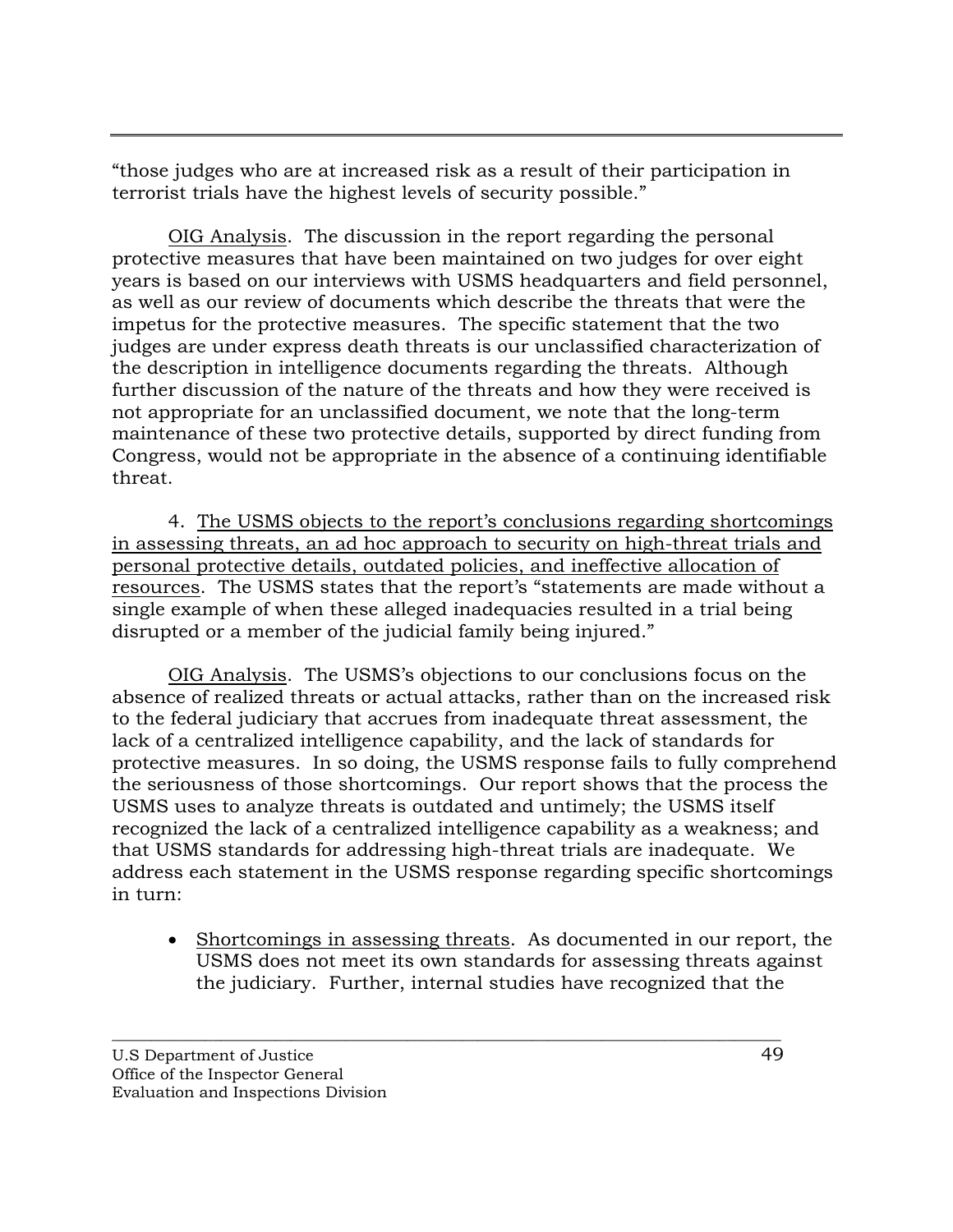"those judges who are at increased risk as a result of their participation in terrorist trials have the highest levels of security possible."

OIG Analysis. The discussion in the report regarding the personal protective measures that have been maintained on two judges for over eight years is based on our interviews with USMS headquarters and field personnel, as well as our review of documents which describe the threats that were the impetus for the protective measures. The specific statement that the two judges are under express death threats is our unclassified characterization of the description in intelligence documents regarding the threats. Although further discussion of the nature of the threats and how they were received is not appropriate for an unclassified document, we note that the long-term maintenance of these two protective details, supported by direct funding from Congress, would not be appropriate in the absence of a continuing identifiable threat.

4. The USMS objects to the report's conclusions regarding shortcomings in assessing threats, an ad hoc approach to security on high-threat trials and personal protective details, outdated policies, and ineffective allocation of resources. The USMS states that the report's "statements are made without a single example of when these alleged inadequacies resulted in a trial being disrupted or a member of the judicial family being injured."

OIG Analysis. The USMS's objections to our conclusions focus on the absence of realized threats or actual attacks, rather than on the increased risk to the federal judiciary that accrues from inadequate threat assessment, the lack of a centralized intelligence capability, and the lack of standards for protective measures. In so doing, the USMS response fails to fully comprehend the seriousness of those shortcomings. Our report shows that the process the USMS uses to analyze threats is outdated and untimely; the USMS itself recognized the lack of a centralized intelligence capability as a weakness; and that USMS standards for addressing high-threat trials are inadequate. We address each statement in the USMS response regarding specific shortcomings in turn:

• Shortcomings in assessing threats. As documented in our report, the USMS does not meet its own standards for assessing threats against the judiciary. Further, internal studies have recognized that the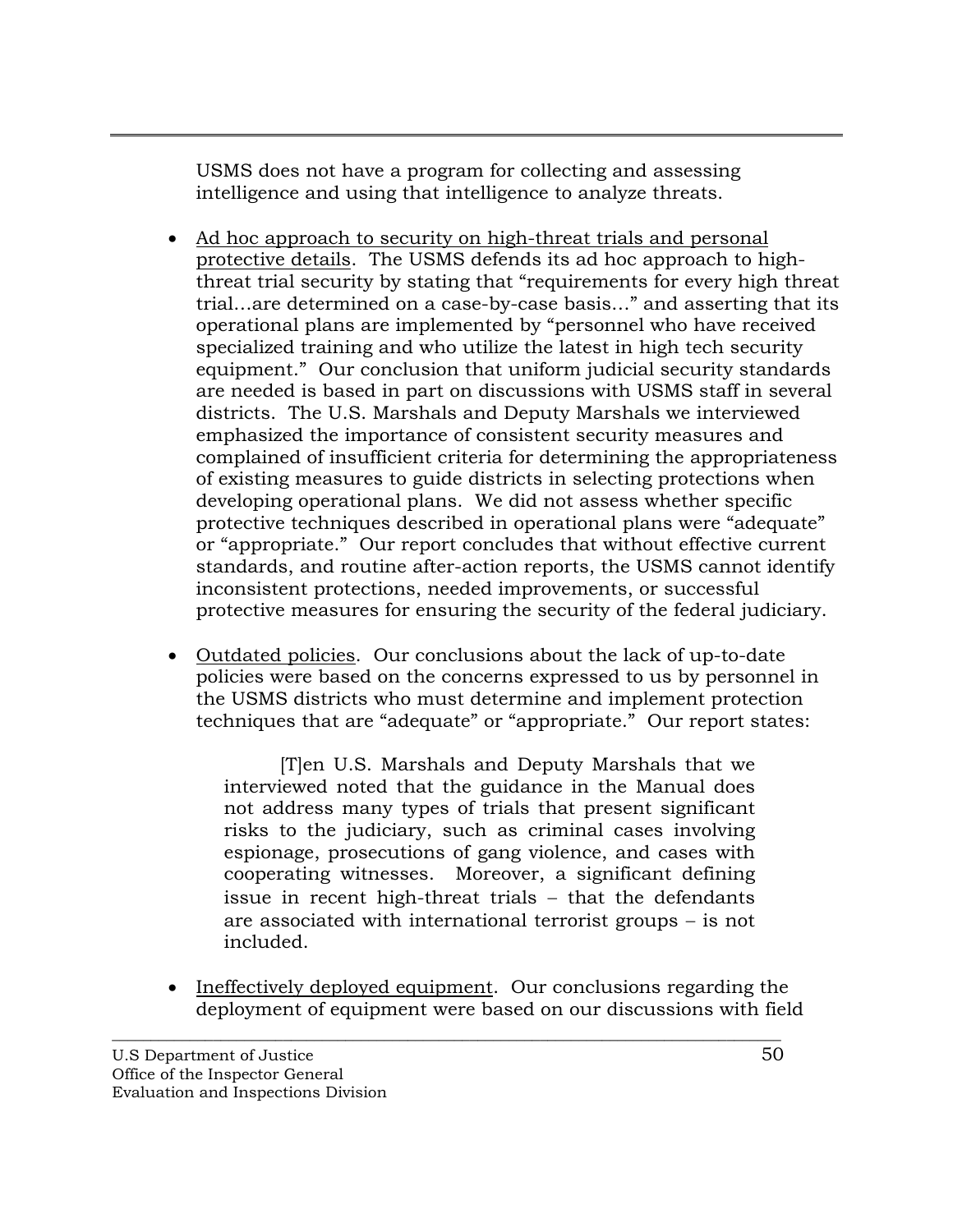USMS does not have a program for collecting and assessing intelligence and using that intelligence to analyze threats.

- Ad hoc approach to security on high-threat trials and personal protective details. The USMS defends its ad hoc approach to highthreat trial security by stating that "requirements for every high threat trial…are determined on a case-by-case basis…" and asserting that its operational plans are implemented by "personnel who have received specialized training and who utilize the latest in high tech security equipment." Our conclusion that uniform judicial security standards are needed is based in part on discussions with USMS staff in several districts. The U.S. Marshals and Deputy Marshals we interviewed emphasized the importance of consistent security measures and complained of insufficient criteria for determining the appropriateness of existing measures to guide districts in selecting protections when developing operational plans. We did not assess whether specific protective techniques described in operational plans were "adequate" or "appropriate." Our report concludes that without effective current standards, and routine after-action reports, the USMS cannot identify inconsistent protections, needed improvements, or successful protective measures for ensuring the security of the federal judiciary.
- Outdated policies. Our conclusions about the lack of up-to-date policies were based on the concerns expressed to us by personnel in the USMS districts who must determine and implement protection techniques that are "adequate" or "appropriate." Our report states:

[T]en U.S. Marshals and Deputy Marshals that we interviewed noted that the guidance in the Manual does not address many types of trials that present significant risks to the judiciary, such as criminal cases involving espionage, prosecutions of gang violence, and cases with cooperating witnesses. Moreover, a significant defining issue in recent high-threat trials − that the defendants are associated with international terrorist groups − is not included.

• Ineffectively deployed equipment. Our conclusions regarding the deployment of equipment were based on our discussions with field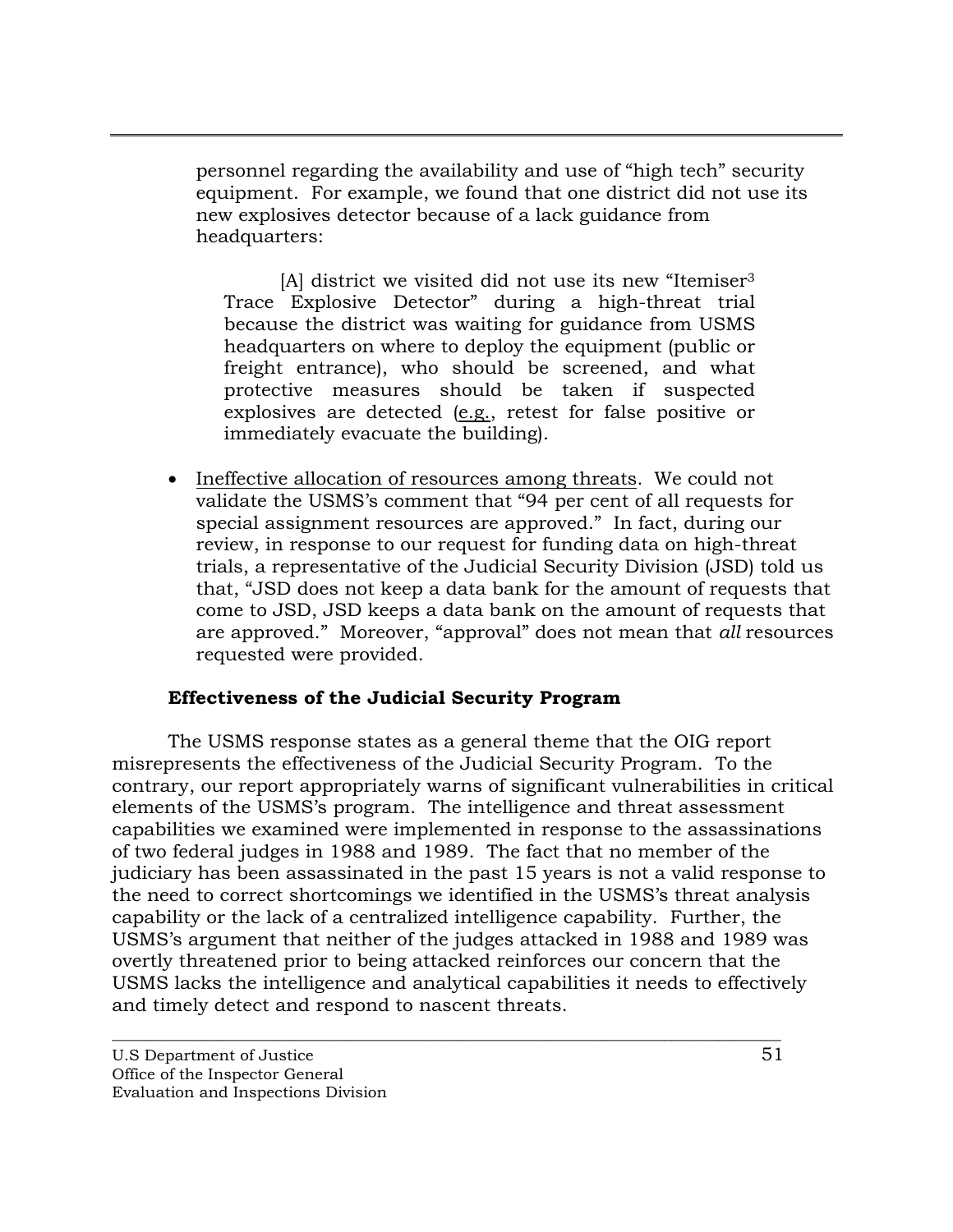personnel regarding the availability and use of "high tech" security equipment. For example, we found that one district did not use its new explosives detector because of a lack guidance from headquarters:

[A] district we visited did not use its new "Itemiser3 Trace Explosive Detector" during a high-threat trial because the district was waiting for guidance from USMS headquarters on where to deploy the equipment (public or freight entrance), who should be screened, and what protective measures should be taken if suspected explosives are detected (e.g., retest for false positive or immediately evacuate the building).

• Ineffective allocation of resources among threats. We could not validate the USMS's comment that "94 per cent of all requests for special assignment resources are approved." In fact, during our review, in response to our request for funding data on high-threat trials, a representative of the Judicial Security Division (JSD) told us that, "JSD does not keep a data bank for the amount of requests that come to JSD, JSD keeps a data bank on the amount of requests that are approved." Moreover, "approval" does not mean that *all* resources requested were provided.

## **Effectiveness of the Judicial Security Program**

The USMS response states as a general theme that the OIG report misrepresents the effectiveness of the Judicial Security Program. To the contrary, our report appropriately warns of significant vulnerabilities in critical elements of the USMS's program. The intelligence and threat assessment capabilities we examined were implemented in response to the assassinations of two federal judges in 1988 and 1989. The fact that no member of the judiciary has been assassinated in the past 15 years is not a valid response to the need to correct shortcomings we identified in the USMS's threat analysis capability or the lack of a centralized intelligence capability. Further, the USMS's argument that neither of the judges attacked in 1988 and 1989 was overtly threatened prior to being attacked reinforces our concern that the USMS lacks the intelligence and analytical capabilities it needs to effectively and timely detect and respond to nascent threats.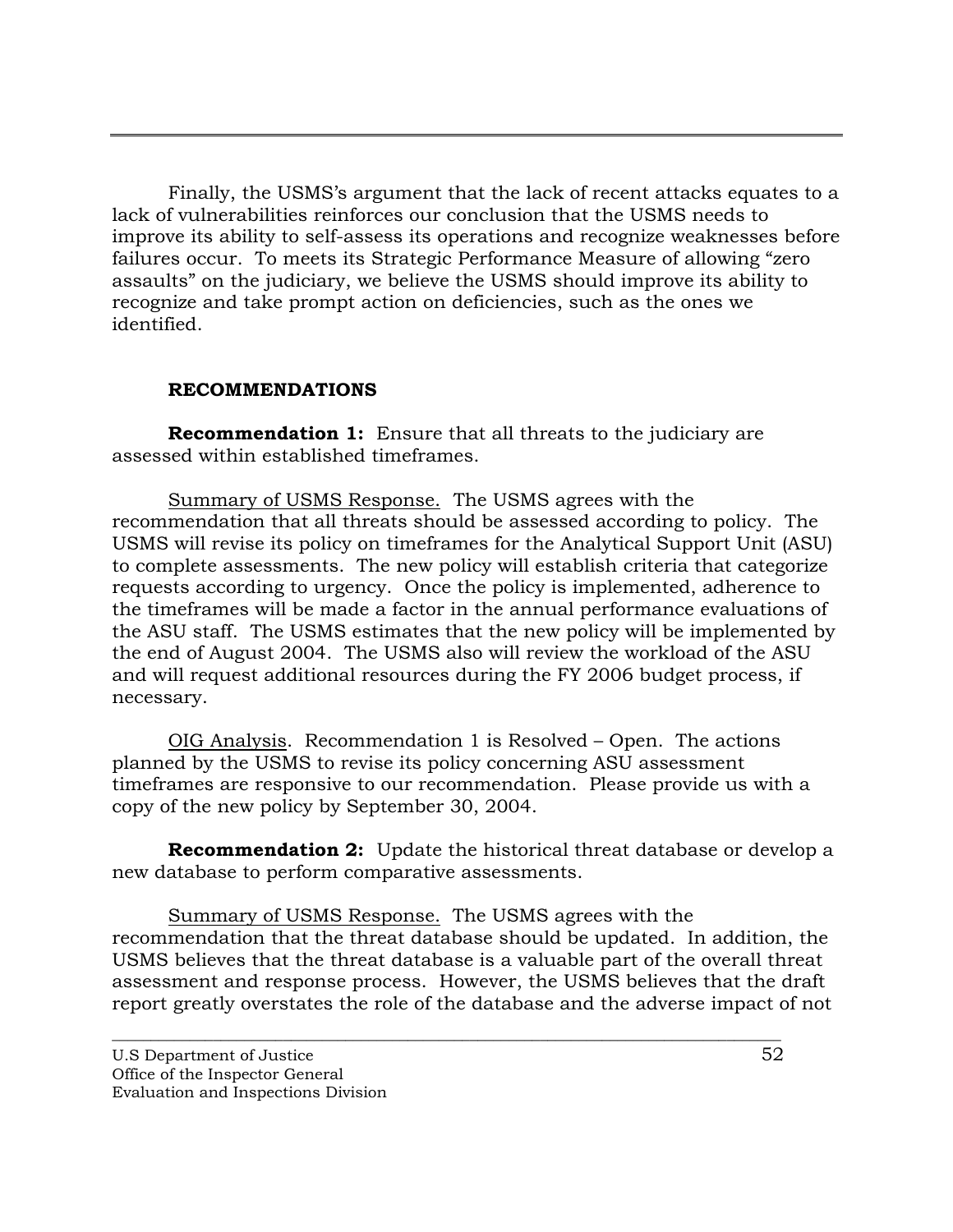Finally, the USMS's argument that the lack of recent attacks equates to a lack of vulnerabilities reinforces our conclusion that the USMS needs to improve its ability to self-assess its operations and recognize weaknesses before failures occur. To meets its Strategic Performance Measure of allowing "zero assaults" on the judiciary, we believe the USMS should improve its ability to recognize and take prompt action on deficiencies, such as the ones we identified.

## **RECOMMENDATIONS**

**Recommendation 1:** Ensure that all threats to the judiciary are assessed within established timeframes.

Summary of USMS Response.The USMS agrees with the recommendation that all threats should be assessed according to policy. The USMS will revise its policy on timeframes for the Analytical Support Unit (ASU) to complete assessments. The new policy will establish criteria that categorize requests according to urgency. Once the policy is implemented, adherence to the timeframes will be made a factor in the annual performance evaluations of the ASU staff. The USMS estimates that the new policy will be implemented by the end of August 2004. The USMS also will review the workload of the ASU and will request additional resources during the FY 2006 budget process, if necessary.

OIG Analysis. Recommendation 1 is Resolved – Open. The actions planned by the USMS to revise its policy concerning ASU assessment timeframes are responsive to our recommendation. Please provide us with a copy of the new policy by September 30, 2004.

**Recommendation 2:** Update the historical threat database or develop a new database to perform comparative assessments.

Summary of USMS Response. The USMS agrees with the recommendation that the threat database should be updated. In addition, the USMS believes that the threat database is a valuable part of the overall threat assessment and response process. However, the USMS believes that the draft report greatly overstates the role of the database and the adverse impact of not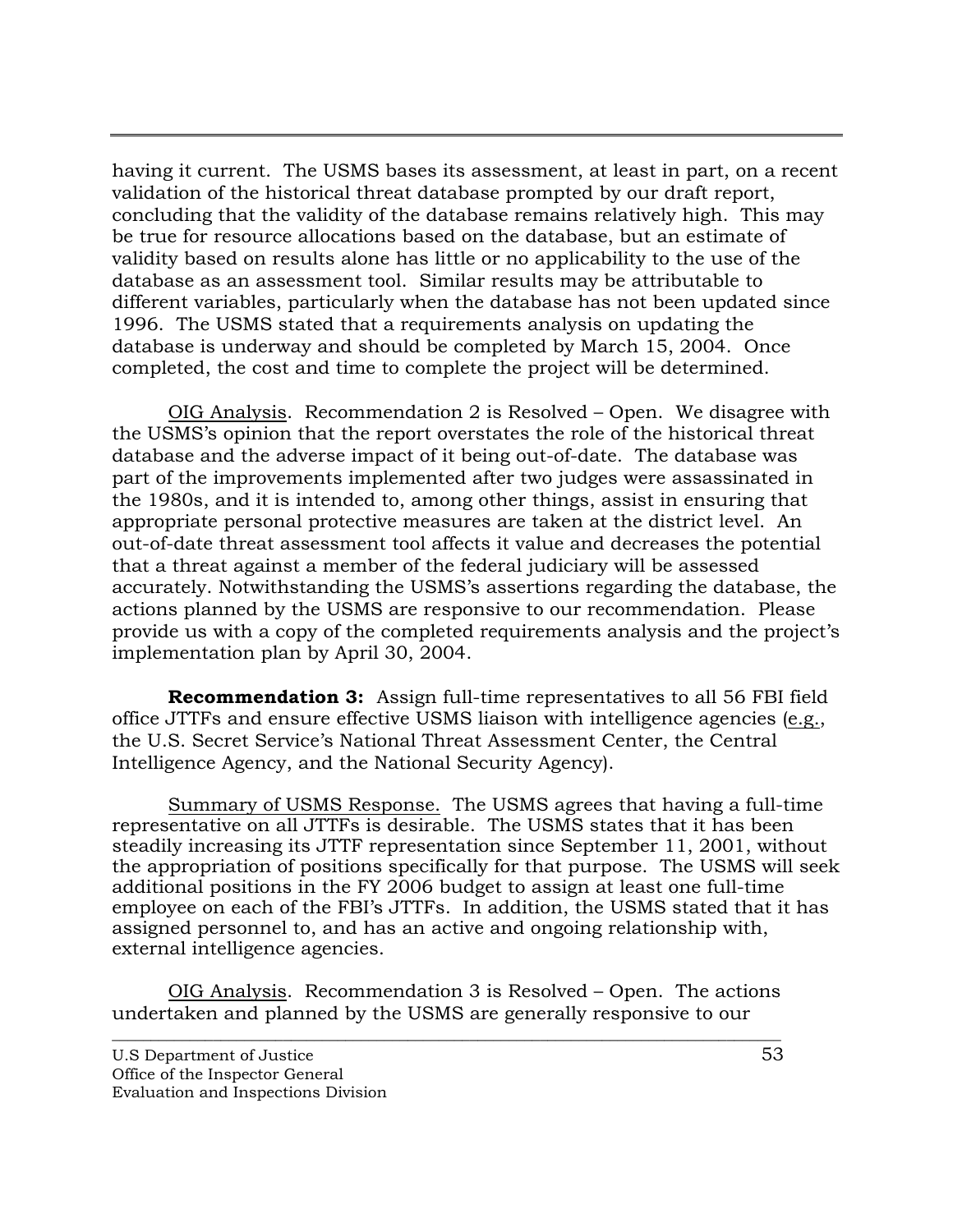having it current. The USMS bases its assessment, at least in part, on a recent validation of the historical threat database prompted by our draft report, concluding that the validity of the database remains relatively high. This may be true for resource allocations based on the database, but an estimate of validity based on results alone has little or no applicability to the use of the database as an assessment tool. Similar results may be attributable to different variables, particularly when the database has not been updated since 1996. The USMS stated that a requirements analysis on updating the database is underway and should be completed by March 15, 2004. Once completed, the cost and time to complete the project will be determined.

OIG Analysis. Recommendation 2 is Resolved – Open. We disagree with the USMS's opinion that the report overstates the role of the historical threat database and the adverse impact of it being out-of-date. The database was part of the improvements implemented after two judges were assassinated in the 1980s, and it is intended to, among other things, assist in ensuring that appropriate personal protective measures are taken at the district level. An out-of-date threat assessment tool affects it value and decreases the potential that a threat against a member of the federal judiciary will be assessed accurately. Notwithstanding the USMS's assertions regarding the database, the actions planned by the USMS are responsive to our recommendation. Please provide us with a copy of the completed requirements analysis and the project's implementation plan by April 30, 2004.

**Recommendation 3:** Assign full-time representatives to all 56 FBI field office JTTFs and ensure effective USMS liaison with intelligence agencies (e.g., the U.S. Secret Service's National Threat Assessment Center, the Central Intelligence Agency, and the National Security Agency).

Summary of USMS Response. The USMS agrees that having a full-time representative on all JTTFs is desirable. The USMS states that it has been steadily increasing its JTTF representation since September 11, 2001, without the appropriation of positions specifically for that purpose. The USMS will seek additional positions in the FY 2006 budget to assign at least one full-time employee on each of the FBI's JTTFs. In addition, the USMS stated that it has assigned personnel to, and has an active and ongoing relationship with, external intelligence agencies.

OIG Analysis. Recommendation 3 is Resolved – Open. The actions undertaken and planned by the USMS are generally responsive to our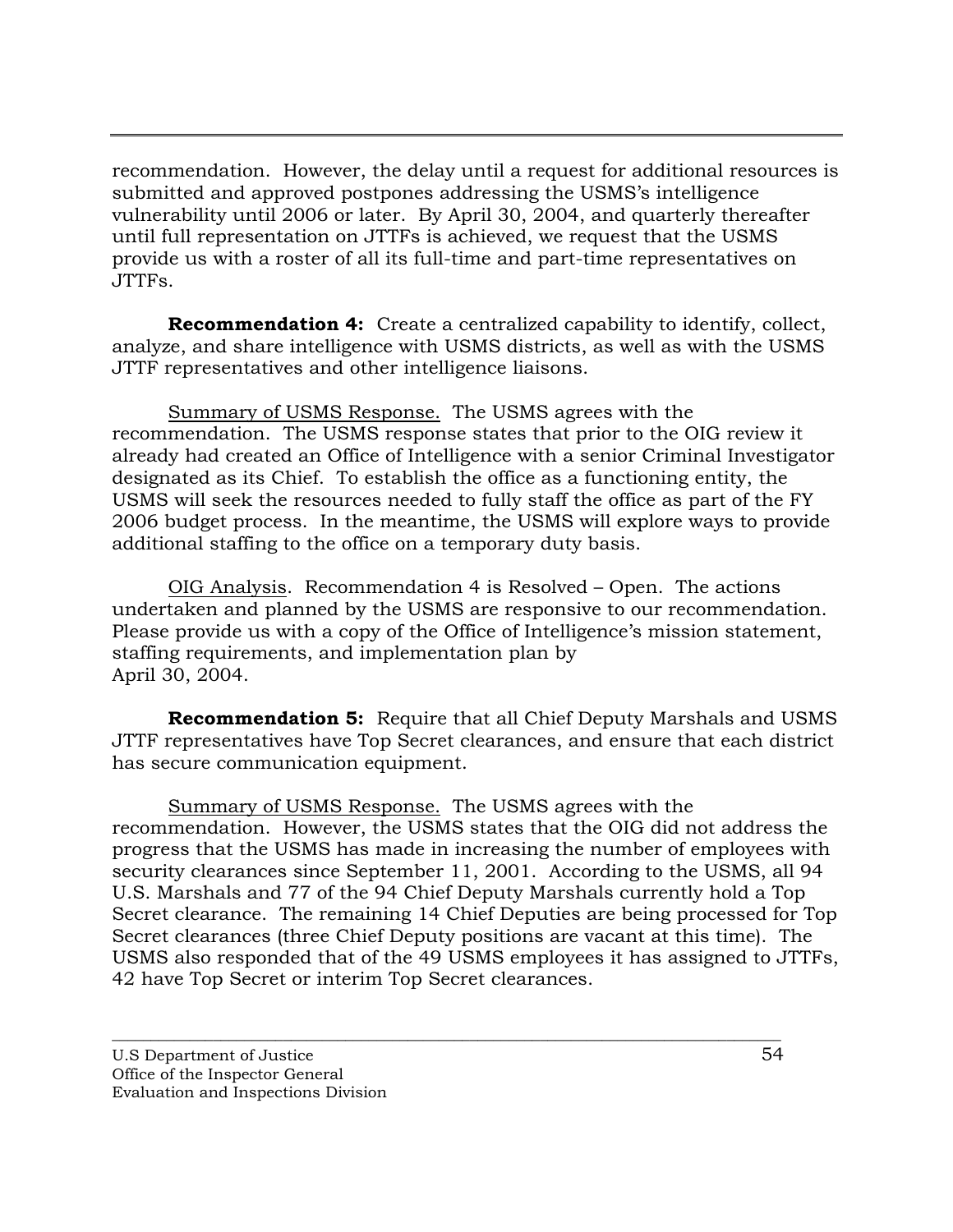recommendation. However, the delay until a request for additional resources is submitted and approved postpones addressing the USMS's intelligence vulnerability until 2006 or later. By April 30, 2004, and quarterly thereafter until full representation on JTTFs is achieved, we request that the USMS provide us with a roster of all its full-time and part-time representatives on JTTFs.

**Recommendation 4:** Create a centralized capability to identify, collect, analyze, and share intelligence with USMS districts, as well as with the USMS JTTF representatives and other intelligence liaisons.

Summary of USMS Response. The USMS agrees with the recommendation. The USMS response states that prior to the OIG review it already had created an Office of Intelligence with a senior Criminal Investigator designated as its Chief. To establish the office as a functioning entity, the USMS will seek the resources needed to fully staff the office as part of the FY 2006 budget process. In the meantime, the USMS will explore ways to provide additional staffing to the office on a temporary duty basis.

OIG Analysis. Recommendation 4 is Resolved – Open. The actions undertaken and planned by the USMS are responsive to our recommendation. Please provide us with a copy of the Office of Intelligence's mission statement, staffing requirements, and implementation plan by April 30, 2004.

**Recommendation 5:** Require that all Chief Deputy Marshals and USMS JTTF representatives have Top Secret clearances, and ensure that each district has secure communication equipment.

Summary of USMS Response. The USMS agrees with the recommendation. However, the USMS states that the OIG did not address the progress that the USMS has made in increasing the number of employees with security clearances since September 11, 2001. According to the USMS, all 94 U.S. Marshals and 77 of the 94 Chief Deputy Marshals currently hold a Top Secret clearance. The remaining 14 Chief Deputies are being processed for Top Secret clearances (three Chief Deputy positions are vacant at this time). The USMS also responded that of the 49 USMS employees it has assigned to JTTFs, 42 have Top Secret or interim Top Secret clearances.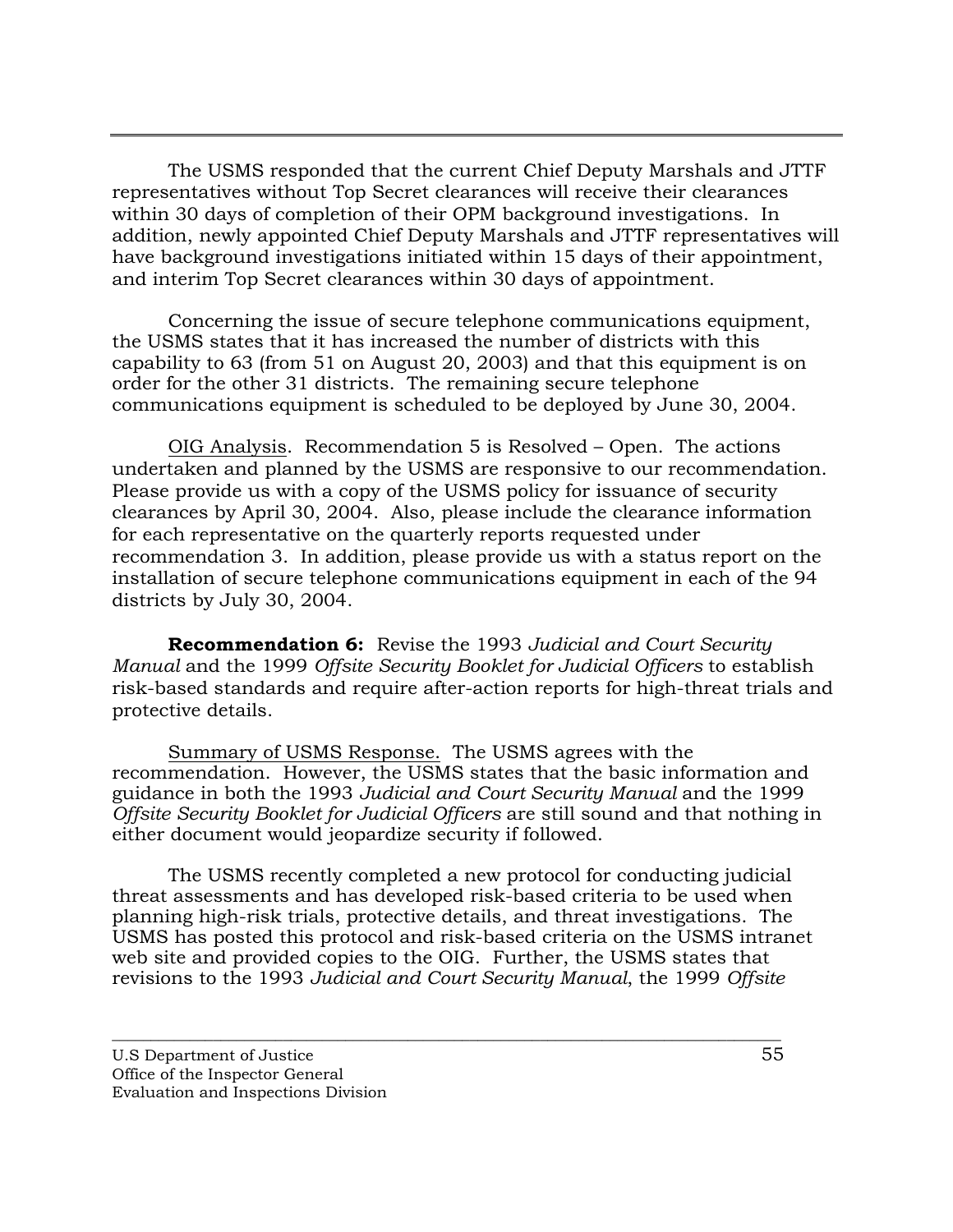The USMS responded that the current Chief Deputy Marshals and JTTF representatives without Top Secret clearances will receive their clearances within 30 days of completion of their OPM background investigations. In addition, newly appointed Chief Deputy Marshals and JTTF representatives will have background investigations initiated within 15 days of their appointment, and interim Top Secret clearances within 30 days of appointment.

Concerning the issue of secure telephone communications equipment, the USMS states that it has increased the number of districts with this capability to 63 (from 51 on August 20, 2003) and that this equipment is on order for the other 31 districts. The remaining secure telephone communications equipment is scheduled to be deployed by June 30, 2004.

OIG Analysis. Recommendation 5 is Resolved – Open. The actions undertaken and planned by the USMS are responsive to our recommendation. Please provide us with a copy of the USMS policy for issuance of security clearances by April 30, 2004. Also, please include the clearance information for each representative on the quarterly reports requested under recommendation 3. In addition, please provide us with a status report on the installation of secure telephone communications equipment in each of the 94 districts by July 30, 2004.

**Recommendation 6:** Revise the 1993 *Judicial and Court Security Manual* and the 1999 *Offsite Security Booklet for Judicial Officers* to establish risk-based standards and require after-action reports for high-threat trials and protective details.

Summary of USMS Response. The USMS agrees with the recommendation. However, the USMS states that the basic information and guidance in both the 1993 *Judicial and Court Security Manual* and the 1999 *Offsite Security Booklet for Judicial Officers* are still sound and that nothing in either document would jeopardize security if followed.

The USMS recently completed a new protocol for conducting judicial threat assessments and has developed risk-based criteria to be used when planning high-risk trials, protective details, and threat investigations. The USMS has posted this protocol and risk-based criteria on the USMS intranet web site and provided copies to the OIG. Further, the USMS states that revisions to the 1993 *Judicial and Court Security Manual*, the 1999 *Offsite*